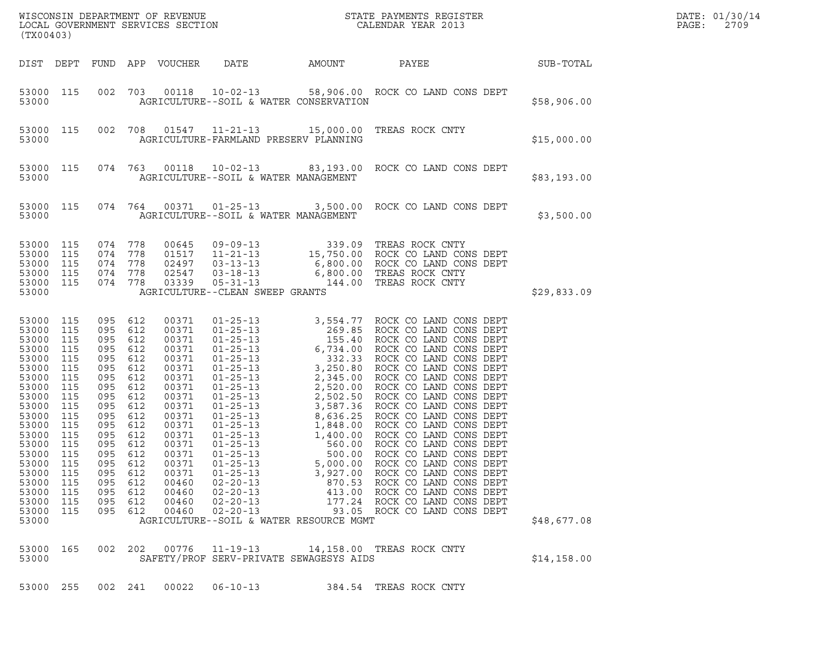| (TX00403)                                                                                                                                                                                                                                                                                                                                             |                                 |                                                                                                                                                                                                                 |                                                                                                                                                                                           | WISCONSIN DEPARTMENT OF REVENUE<br>LOCAL GOVERNMENT SERVICES SECTION<br>(TWOO1001)                       | DATE: 01/30/14<br>PAGE:<br>2709                     |                                                                                                                                                                                                                                |                  |  |
|-------------------------------------------------------------------------------------------------------------------------------------------------------------------------------------------------------------------------------------------------------------------------------------------------------------------------------------------------------|---------------------------------|-----------------------------------------------------------------------------------------------------------------------------------------------------------------------------------------------------------------|-------------------------------------------------------------------------------------------------------------------------------------------------------------------------------------------|----------------------------------------------------------------------------------------------------------|-----------------------------------------------------|--------------------------------------------------------------------------------------------------------------------------------------------------------------------------------------------------------------------------------|------------------|--|
| DIST DEPT FUND APP VOUCHER                                                                                                                                                                                                                                                                                                                            |                                 |                                                                                                                                                                                                                 |                                                                                                                                                                                           |                                                                                                          | DATE AMOUNT                                         | PAYEE                                                                                                                                                                                                                          | <b>SUB-TOTAL</b> |  |
| 53000 115<br>53000                                                                                                                                                                                                                                                                                                                                    |                                 |                                                                                                                                                                                                                 |                                                                                                                                                                                           |                                                                                                          | AGRICULTURE--SOIL & WATER CONSERVATION              | 002 703 00118 10-02-13 58,906.00 ROCK CO LAND CONS DEPT                                                                                                                                                                        | \$58,906.00      |  |
| 53000 115<br>53000                                                                                                                                                                                                                                                                                                                                    |                                 |                                                                                                                                                                                                                 |                                                                                                                                                                                           |                                                                                                          | AGRICULTURE-FARMLAND PRESERV PLANNING               | 002 708 01547 11-21-13 15,000.00 TREAS ROCK CNTY                                                                                                                                                                               | \$15,000.00      |  |
| 53000 115<br>53000                                                                                                                                                                                                                                                                                                                                    |                                 |                                                                                                                                                                                                                 |                                                                                                                                                                                           | AGRICULTURE--SOIL & WATER MANAGEMENT                                                                     |                                                     | 074 763 00118 10-02-13 83,193.00 ROCK CO LAND CONS DEPT                                                                                                                                                                        | \$83,193.00      |  |
| 53000 115<br>53000                                                                                                                                                                                                                                                                                                                                    |                                 |                                                                                                                                                                                                                 |                                                                                                                                                                                           | AGRICULTURE--SOIL & WATER MANAGEMENT                                                                     |                                                     | 074 764 00371 01-25-13 3,500.00 ROCK CO LAND CONS DEPT                                                                                                                                                                         | \$3,500.00       |  |
| 53000<br>115<br>53000<br>115<br>53000<br>115<br>53000<br>115<br>53000 115<br>53000                                                                                                                                                                                                                                                                    |                                 | 074 778<br>074 778<br>074 778<br>074 778<br>074 778                                                                                                                                                             |                                                                                                                                                                                           | AGRICULTURE--CLEAN SWEEP GRANTS                                                                          |                                                     | 00645 09-09-13 339.09 TREAS ROCK CNTY<br>01517 11-21-13 15,750.00 ROCK CO LAND CONS DEPT<br>02497 03-13-13 6,800.00 ROCK CO LAND CONS DEPT<br>02547 03-18-13 6,800.00 TREAS ROCK CNTY<br>03339 05-31-13 144.00 TREAS ROCK CNTY | \$29,833.09      |  |
| 53000<br>115<br>53000<br>115<br>53000<br>115<br>53000<br>115<br>53000<br>115<br>53000<br>115<br>53000<br>115<br>53000<br>115<br>53000<br>115<br>53000<br>115<br>53000<br>115<br>53000<br>115<br>53000<br>115<br>53000<br>115<br>53000<br>115<br>53000<br>115<br>53000<br>115<br>53000<br>115<br>53000<br>115<br>53000<br>115<br>53000<br>115<br>53000 | 095<br>095<br>095<br>095<br>095 | 095 612<br>095 612<br>095 612<br>095 612<br>095 612<br>095 612<br>095 612<br>095 612<br>095 612<br>095 612<br>095 612<br>095 612<br>095 612<br>095 612<br>095 612<br>612<br>612<br>612<br>612<br>612<br>095 612 | 00371<br>00371<br>00371<br>00371<br>00371<br>00371<br>00371<br>00371<br>00371<br>00371<br>00371<br>00371<br>00371<br>00371<br>00371<br>00371<br>00371<br>00460<br>00460<br>00460<br>00460 | $01 - 25 - 13$<br>$01 - 25 - 13$<br>$02 - 20 - 13$<br>$02 - 20 - 13$<br>$02 - 20 - 13$<br>$02 - 20 - 13$ | 5,000.00<br>AGRICULTURE--SOIL & WATER RESOURCE MGMT | ROCK CO LAND CONS DEPT<br>3,927.00 ROCK CO LAND CONS DEPT<br>870.53 ROCK CO LAND CONS DEPT<br>413.00 ROCK CO LAND CONS DEPT<br>177.24 ROCK CO LAND CONS DEPT<br>93.05 ROCK CO LAND CONS DEPT                                   | \$48,677.08      |  |
| 53000<br>165<br>53000                                                                                                                                                                                                                                                                                                                                 |                                 | 002 202                                                                                                                                                                                                         | 00776                                                                                                                                                                                     | $11 - 19 - 13$                                                                                           | SAFETY/PROF SERV-PRIVATE SEWAGESYS AIDS             | 14,158.00 TREAS ROCK CNTY                                                                                                                                                                                                      | \$14,158.00      |  |
| 53000 255                                                                                                                                                                                                                                                                                                                                             |                                 | 002 241                                                                                                                                                                                                         | 00022                                                                                                                                                                                     | $06 - 10 - 13$                                                                                           |                                                     | 384.54 TREAS ROCK CNTY                                                                                                                                                                                                         |                  |  |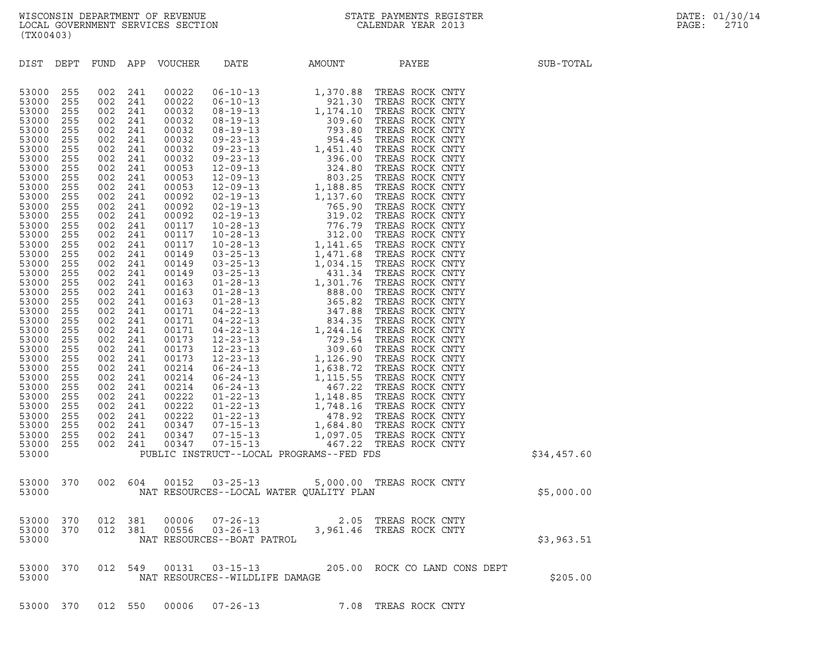| DIST                                                                                                                                                                                                                                                                                                                                                        | DEPT                                                                                                                                                                                                                                                                   |                                                                                                                                                                                                                                                                        |                                                                                                                                                                                                                                                                        | FUND APP VOUCHER | DATE                           | AMOUNT                                   | PAYEE                                                                                                                                                                                                                                    | SUB-TOTAL   |
|-------------------------------------------------------------------------------------------------------------------------------------------------------------------------------------------------------------------------------------------------------------------------------------------------------------------------------------------------------------|------------------------------------------------------------------------------------------------------------------------------------------------------------------------------------------------------------------------------------------------------------------------|------------------------------------------------------------------------------------------------------------------------------------------------------------------------------------------------------------------------------------------------------------------------|------------------------------------------------------------------------------------------------------------------------------------------------------------------------------------------------------------------------------------------------------------------------|------------------|--------------------------------|------------------------------------------|------------------------------------------------------------------------------------------------------------------------------------------------------------------------------------------------------------------------------------------|-------------|
| 53000<br>53000<br>53000<br>53000<br>53000<br>53000<br>53000<br>53000<br>53000<br>53000<br>53000<br>53000<br>53000<br>53000<br>53000<br>53000<br>53000<br>53000<br>53000<br>53000<br>53000<br>53000<br>53000<br>53000<br>53000<br>53000<br>53000<br>53000<br>53000<br>53000<br>53000<br>53000<br>53000<br>53000<br>53000<br>53000<br>53000<br>53000<br>53000 | 255<br>255<br>255<br>255<br>255<br>255<br>255<br>255<br>255<br>255<br>255<br>255<br>255<br>255<br>255<br>255<br>255<br>255<br>255<br>255<br>255<br>255<br>255<br>255<br>255<br>255<br>255<br>255<br>255<br>255<br>255<br>255<br>255<br>255<br>255<br>255<br>255<br>255 | 002<br>002<br>002<br>002<br>002<br>002<br>002<br>002<br>002<br>002<br>002<br>002<br>002<br>002<br>002<br>002<br>002<br>002<br>002<br>002<br>002<br>002<br>002<br>002<br>002<br>002<br>002<br>002<br>002<br>002<br>002<br>002<br>002<br>002<br>002<br>002<br>002<br>002 | 241<br>241<br>241<br>241<br>241<br>241<br>241<br>241<br>241<br>241<br>241<br>241<br>241<br>241<br>241<br>241<br>241<br>241<br>241<br>241<br>241<br>241<br>241<br>241<br>241<br>241<br>241<br>241<br>241<br>241<br>241<br>241<br>241<br>241<br>241<br>241<br>241<br>241 |                  |                                | PUBLIC INSTRUCT--LOCAL PROGRAMS--FED FDS | VOUCHER DATE 1990<br>00022 06-10-13 1, 370.88 TREAS ROCK CNTY<br>00022 06-10-13 1, 370.88 TREAS ROCK CNTY<br>00032 08-19-13 1, 174.10 TREAS ROCK CNTY<br>00032 08-19-13 309.60 TREAS ROCK CNTY<br>00032 09-23-13 1, 451.40 TREAS ROCK CN | \$34,457.60 |
| 53000<br>53000                                                                                                                                                                                                                                                                                                                                              | 370                                                                                                                                                                                                                                                                    |                                                                                                                                                                                                                                                                        |                                                                                                                                                                                                                                                                        |                  |                                | NAT RESOURCES--LOCAL WATER QUALITY PLAN  | 002 604 00152 03-25-13 5,000.00 TREAS ROCK CNTY                                                                                                                                                                                          | \$5,000.00  |
| 53000<br>53000<br>53000                                                                                                                                                                                                                                                                                                                                     | 370<br>370                                                                                                                                                                                                                                                             | 012                                                                                                                                                                                                                                                                    | 381<br>012 381                                                                                                                                                                                                                                                         | 00006<br>00556   | NAT RESOURCES--BOAT PATROL     |                                          | 07-26-13 2.05 TREAS ROCK CNTY<br>03-26-13 3,961.46 TREAS ROCK CNTY                                                                                                                                                                       | \$3,963.51  |
| 53000 370<br>53000                                                                                                                                                                                                                                                                                                                                          |                                                                                                                                                                                                                                                                        | 012                                                                                                                                                                                                                                                                    |                                                                                                                                                                                                                                                                        |                  | NAT RESOURCES--WILDLIFE DAMAGE |                                          | 549  00131  03-15-13  205.00  ROCK CO LAND CONS DEPT                                                                                                                                                                                     | \$205.00    |
|                                                                                                                                                                                                                                                                                                                                                             | 53000 370                                                                                                                                                                                                                                                              |                                                                                                                                                                                                                                                                        | 012 550                                                                                                                                                                                                                                                                |                  | 00006 07-26-13                 |                                          | 7.08 TREAS ROCK CNTY                                                                                                                                                                                                                     |             |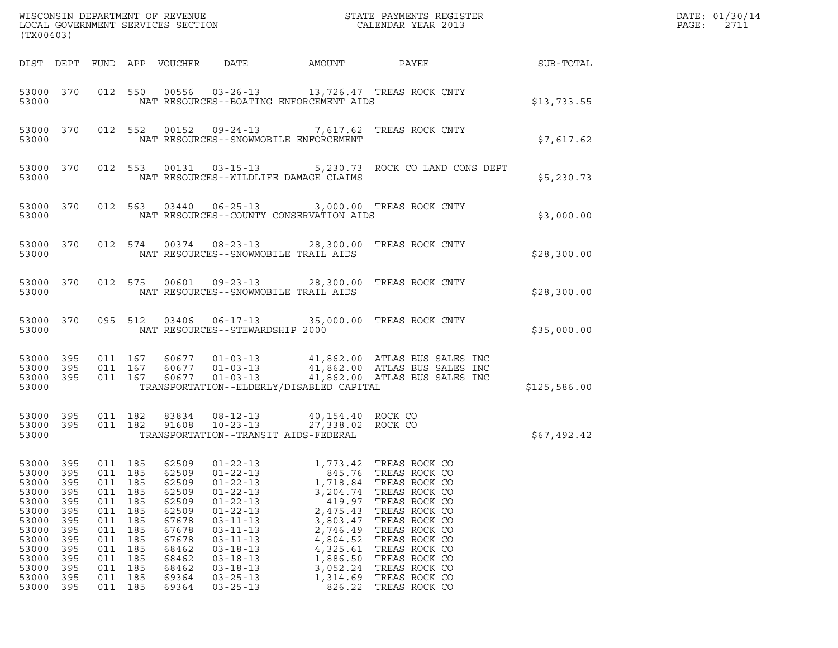| LOCAL GOVERNMENT SERVICES SECTION<br>(TX00403)                                                                                                                                                                               |                                                                                                |                                                                                                |                                                                                                                            |                                                                                                                                                                                                                                                          |                                                                                                                                                                |                                                                                                                                                                                                                                            | DATE: 01/30/14<br>PAGE:<br>2711 |  |
|------------------------------------------------------------------------------------------------------------------------------------------------------------------------------------------------------------------------------|------------------------------------------------------------------------------------------------|------------------------------------------------------------------------------------------------|----------------------------------------------------------------------------------------------------------------------------|----------------------------------------------------------------------------------------------------------------------------------------------------------------------------------------------------------------------------------------------------------|----------------------------------------------------------------------------------------------------------------------------------------------------------------|--------------------------------------------------------------------------------------------------------------------------------------------------------------------------------------------------------------------------------------------|---------------------------------|--|
| DIST DEPT                                                                                                                                                                                                                    |                                                                                                |                                                                                                | FUND APP VOUCHER                                                                                                           | DATE                                                                                                                                                                                                                                                     | AMOUNT                                                                                                                                                         | PAYEE                                                                                                                                                                                                                                      | SUB-TOTAL                       |  |
| 53000 370<br>53000                                                                                                                                                                                                           |                                                                                                |                                                                                                |                                                                                                                            | NAT RESOURCES--BOATING ENFORCEMENT AIDS                                                                                                                                                                                                                  |                                                                                                                                                                | 012 550 00556 03-26-13 13,726.47 TREAS ROCK CNTY                                                                                                                                                                                           | \$13,733.55                     |  |
| 53000 370<br>53000                                                                                                                                                                                                           |                                                                                                |                                                                                                |                                                                                                                            | NAT RESOURCES--SNOWMOBILE ENFORCEMENT                                                                                                                                                                                                                    |                                                                                                                                                                | 012 552 00152 09-24-13 7,617.62 TREAS ROCK CNTY                                                                                                                                                                                            | \$7,617.62                      |  |
| 53000 370<br>53000                                                                                                                                                                                                           |                                                                                                |                                                                                                |                                                                                                                            | 012 553 00131 03-15-13<br>NAT RESOURCES--WILDLIFE DAMAGE CLAIMS                                                                                                                                                                                          |                                                                                                                                                                | 5,230.73 ROCK CO LAND CONS DEPT                                                                                                                                                                                                            | \$5,230.73                      |  |
| 53000 370<br>53000                                                                                                                                                                                                           |                                                                                                |                                                                                                |                                                                                                                            | NAT RESOURCES--COUNTY CONSERVATION AIDS                                                                                                                                                                                                                  |                                                                                                                                                                | 012 563 03440 06-25-13 3,000.00 TREAS ROCK CNTY                                                                                                                                                                                            | \$3,000.00                      |  |
| 53000 370<br>53000                                                                                                                                                                                                           |                                                                                                |                                                                                                |                                                                                                                            | 012 574 00374 08-23-13<br>NAT RESOURCES--SNOWMOBILE TRAIL AIDS                                                                                                                                                                                           |                                                                                                                                                                | 28,300.00 TREAS ROCK CNTY                                                                                                                                                                                                                  | \$28,300.00                     |  |
| 53000 370<br>53000                                                                                                                                                                                                           |                                                                                                | 012 575                                                                                        |                                                                                                                            | NAT RESOURCES--SNOWMOBILE TRAIL AIDS                                                                                                                                                                                                                     |                                                                                                                                                                | 00601  09-23-13  28,300.00 TREAS ROCK CNTY                                                                                                                                                                                                 | \$28,300.00                     |  |
| 53000 370<br>53000                                                                                                                                                                                                           |                                                                                                | 095 512                                                                                        |                                                                                                                            | NAT RESOURCES--STEWARDSHIP 2000                                                                                                                                                                                                                          |                                                                                                                                                                |                                                                                                                                                                                                                                            | \$35,000.00                     |  |
| 53000 395<br>53000 395<br>53000 395<br>53000                                                                                                                                                                                 |                                                                                                | 011 167<br>011 167<br>011 167                                                                  | 60677                                                                                                                      | 60677  01-03-13<br>$01 - 03 - 13$<br>TRANSPORTATION--ELDERLY/DISABLED CAPITAL                                                                                                                                                                            |                                                                                                                                                                | 41,862.00 ATLAS BUS SALES INC<br>60677  01-03-13  41,862.00  ATLAS BUS SALES INC<br>41,862.00 ATLAS BUS SALES INC                                                                                                                          | \$125,586.00                    |  |
| 53000 395<br>53000 395<br>53000                                                                                                                                                                                              |                                                                                                | 011 182<br>011 182                                                                             | 83834<br>91608                                                                                                             | $08 - 12 - 13$<br>$10 - 23 - 13$<br>TRANSPORTATION--TRANSIT AIDS-FEDERAL                                                                                                                                                                                 | 40,154.40 ROCK CO<br>27,338.02 ROCK CO                                                                                                                         |                                                                                                                                                                                                                                            | \$67,492.42                     |  |
| 53000<br>395<br>53000<br>395<br>53000<br>395<br>53000<br>395<br>53000<br>395<br>53000<br>395<br>53000<br>395<br>53000<br>395<br>53000<br>395<br>53000<br>395<br>53000<br>395<br>53000<br>395<br>53000<br>395<br>53000<br>395 | 011<br>011<br>011<br>011<br>011<br>011<br>011<br>011<br>011<br>011<br>011<br>011<br>011<br>011 | 185<br>185<br>185<br>185<br>185<br>185<br>185<br>185<br>185<br>185<br>185<br>185<br>185<br>185 | 62509<br>62509<br>62509<br>62509<br>62509<br>62509<br>67678<br>67678<br>67678<br>68462<br>68462<br>68462<br>69364<br>69364 | $01 - 22 - 13$<br>$01 - 22 - 13$<br>$01 - 22 - 13$<br>$01 - 22 - 13$<br>$01 - 22 - 13$<br>$01 - 22 - 13$<br>$03 - 11 - 13$<br>$03 - 11 - 13$<br>$03 - 11 - 13$<br>$03 - 18 - 13$<br>$03 - 18 - 13$<br>$03 - 18 - 13$<br>$03 - 25 - 13$<br>$03 - 25 - 13$ | 1,773.42<br>845.76<br>1,718.84<br>3,204.74<br>419.97<br>2,475.43<br>3,803.47<br>2,746.49<br>4,804.52<br>4,325.61<br>1,886.50<br>3,052.24<br>1,314.69<br>826.22 | TREAS ROCK CO<br>TREAS ROCK CO<br>TREAS ROCK CO<br>TREAS ROCK CO<br>TREAS ROCK CO<br>TREAS ROCK CO<br>TREAS ROCK CO<br>TREAS ROCK CO<br>TREAS ROCK CO<br>TREAS ROCK CO<br>TREAS ROCK CO<br>TREAS ROCK CO<br>TREAS ROCK CO<br>TREAS ROCK CO |                                 |  |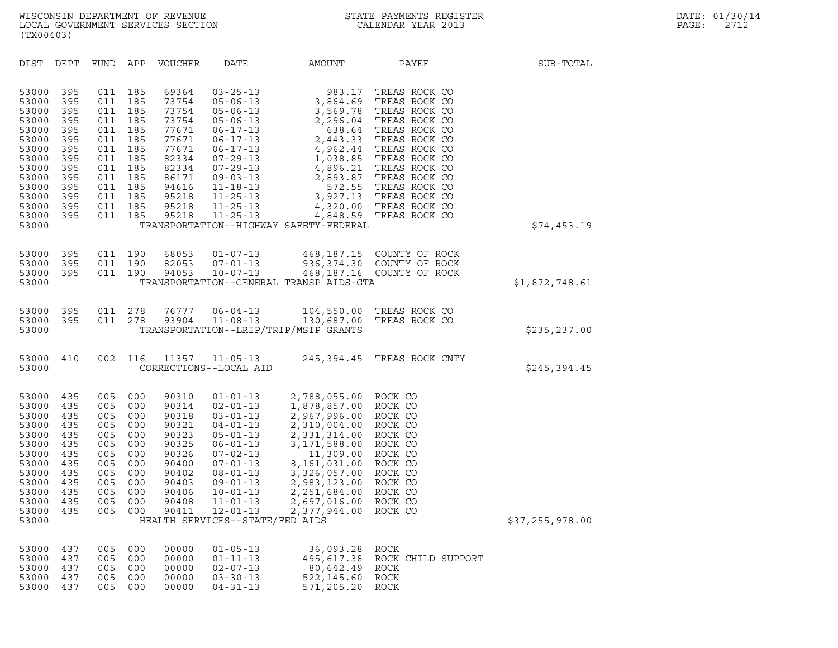| (TX00403)                                                                                                                           |                                                                                                |                                                                                                |                                                                                                |                                                                                                                            |                                                                                                                                                                                                                                              |                                                                                                                                                                                                                                     |                                                                                                                                                                                                                                                                                                           |                 |  |
|-------------------------------------------------------------------------------------------------------------------------------------|------------------------------------------------------------------------------------------------|------------------------------------------------------------------------------------------------|------------------------------------------------------------------------------------------------|----------------------------------------------------------------------------------------------------------------------------|----------------------------------------------------------------------------------------------------------------------------------------------------------------------------------------------------------------------------------------------|-------------------------------------------------------------------------------------------------------------------------------------------------------------------------------------------------------------------------------------|-----------------------------------------------------------------------------------------------------------------------------------------------------------------------------------------------------------------------------------------------------------------------------------------------------------|-----------------|--|
| DIST                                                                                                                                | DEPT                                                                                           | FUND APP                                                                                       |                                                                                                | VOUCHER                                                                                                                    | DATE                                                                                                                                                                                                                                         | AMOUNT                                                                                                                                                                                                                              | PAYEE                                                                                                                                                                                                                                                                                                     | SUB-TOTAL       |  |
| 53000<br>53000<br>53000<br>53000<br>53000<br>53000<br>53000<br>53000<br>53000<br>53000<br>53000<br>53000<br>53000<br>53000<br>53000 | 395<br>395<br>395<br>395<br>395<br>395<br>395<br>395<br>395<br>395<br>395<br>395<br>395<br>395 | 011<br>011<br>011<br>011<br>011<br>011<br>011<br>011<br>011<br>011<br>011<br>011<br>011<br>011 | 185<br>185<br>185<br>185<br>185<br>185<br>185<br>185<br>185<br>185<br>185<br>185<br>185<br>185 | 69364<br>73754<br>73754<br>73754<br>77671<br>77671<br>77671<br>82334<br>82334<br>86171<br>94616<br>95218<br>95218<br>95218 | $03 - 25 - 13$<br>$05 - 06 - 13$<br>$05 - 06 - 13$<br>05-06-13<br>$06 - 17 - 13$<br>06-17-13<br>$06 - 17 - 13$<br>$07 - 29 - 13$<br>$07 - 29 - 13$<br>$09 - 03 - 13$<br>$11 - 18 - 13$<br>$11 - 25 - 13$<br>$11 - 25 - 13$<br>$11 - 25 - 13$ | 983.17<br>3,864.69<br>3,569.78<br>2,296.04<br>638.64<br>2,443.33<br>572.55<br>TRANSPORTATION--HIGHWAY SAFETY-FEDERAL                                                                                                                | TREAS ROCK CO<br>TREAS ROCK CO<br>TREAS ROCK CO<br>TREAS ROCK CO<br>TREAS ROCK CO<br>TREAS ROCK CO<br>4,962.44 TREAS ROCK CO<br>1,038.85 TREAS ROCK CO<br>4,896.21 TREAS ROCK CO<br>2,893.87 TREAS ROCK CO<br>TREAS ROCK CO<br>3,927.13 TREAS ROCK CO<br>4,320.00 TREAS ROCK CO<br>4,848.59 TREAS ROCK CO | \$74,453.19     |  |
| 53000<br>53000<br>53000<br>53000                                                                                                    | 395<br>395<br>395                                                                              | 011<br>011<br>011                                                                              | 190<br>190<br>190                                                                              | 68053<br>82053<br>94053                                                                                                    | $01 - 07 - 13$<br>$07 - 01 - 13$<br>$10 - 07 - 13$                                                                                                                                                                                           | TRANSPORTATION--GENERAL TRANSP AIDS-GTA                                                                                                                                                                                             | 468,187.15 COUNTY OF ROCK<br>936, 374.30 COUNTY OF ROCK<br>468,187.16 COUNTY OF ROCK                                                                                                                                                                                                                      | \$1,872,748.61  |  |
| 53000<br>53000<br>53000                                                                                                             | 395<br>395                                                                                     | 011<br>011                                                                                     | 278<br>278                                                                                     | 76777<br>93904                                                                                                             | $06 - 04 - 13$<br>$11 - 08 - 13$                                                                                                                                                                                                             | 104,550.00<br>130,687.00<br>TRANSPORTATION--LRIP/TRIP/MSIP GRANTS                                                                                                                                                                   | TREAS ROCK CO<br>TREAS ROCK CO                                                                                                                                                                                                                                                                            | \$235, 237.00   |  |
| 53000<br>53000                                                                                                                      | 410                                                                                            | 002                                                                                            | 116                                                                                            | 11357                                                                                                                      | $11 - 05 - 13$<br>CORRECTIONS--LOCAL AID                                                                                                                                                                                                     |                                                                                                                                                                                                                                     | 245,394.45 TREAS ROCK CNTY                                                                                                                                                                                                                                                                                | \$245,394.45    |  |
| 53000<br>53000<br>53000<br>53000<br>53000<br>53000<br>53000<br>53000<br>53000<br>53000<br>53000<br>53000<br>53000<br>53000          | 435<br>435<br>435<br>435<br>435<br>435<br>435<br>435<br>435<br>435<br>435<br>435<br>435        | 005<br>005<br>005<br>005<br>005<br>005<br>005<br>005<br>005<br>005<br>005<br>005<br>005        | 000<br>000<br>000<br>000<br>000<br>000<br>000<br>000<br>000<br>000<br>000<br>000<br>000        | 90310<br>90314<br>90318<br>90321<br>90323<br>90325<br>90326<br>90400<br>90402<br>90403<br>90406<br>90408                   | $01 - 01 - 13$<br>$02 - 01 - 13$<br>$03 - 01 - 13$<br>04-01-13<br>$05 - 01 - 13$<br>06-01-13<br>$07 - 02 - 13$<br>$07 - 01 - 13$<br>$08 - 01 - 13$<br>$09 - 01 - 13$<br>$10 - 01 - 13$<br>$11 - 01 - 13$<br>HEALTH SERVICES--STATE/FED AIDS  | 2,788,055.00<br>1,878,857.00<br>2,967,996.00<br>2,310,004.00<br>2,331,314.00<br>3,171,588.00<br>11,309.00<br>8,161,031.00<br>3,326,057.00<br>2,983,123.00<br>2,251,684.00<br>2,697,016.00<br>90411  12-01-13  2,377,944.00  ROCK CO | ROCK CO<br>ROCK CO<br>ROCK CO<br>ROCK CO<br>ROCK CO<br>ROCK CO<br>ROCK CO<br>ROCK CO<br>ROCK CO<br>ROCK CO<br>ROCK CO<br>ROCK CO                                                                                                                                                                          | \$37,255,978.00 |  |
| 53000<br>53000<br>53000<br>53000<br>53000                                                                                           | 437<br>437<br>437<br>437<br>437                                                                | 005<br>005<br>005<br>005<br>005                                                                | 000<br>000<br>000<br>000<br>000                                                                | 00000<br>00000<br>00000<br>00000<br>00000                                                                                  | $01 - 05 - 13$<br>$01 - 11 - 13$<br>$02 - 07 - 13$<br>$03 - 30 - 13$<br>$04 - 31 - 13$                                                                                                                                                       | 36,093.28<br>495,617.38<br>80,642.49<br>522,145.60<br>571,205.20                                                                                                                                                                    | ROCK<br>ROCK CHILD SUPPORT<br>ROCK<br>ROCK<br>ROCK                                                                                                                                                                                                                                                        |                 |  |
|                                                                                                                                     |                                                                                                |                                                                                                |                                                                                                |                                                                                                                            |                                                                                                                                                                                                                                              |                                                                                                                                                                                                                                     |                                                                                                                                                                                                                                                                                                           |                 |  |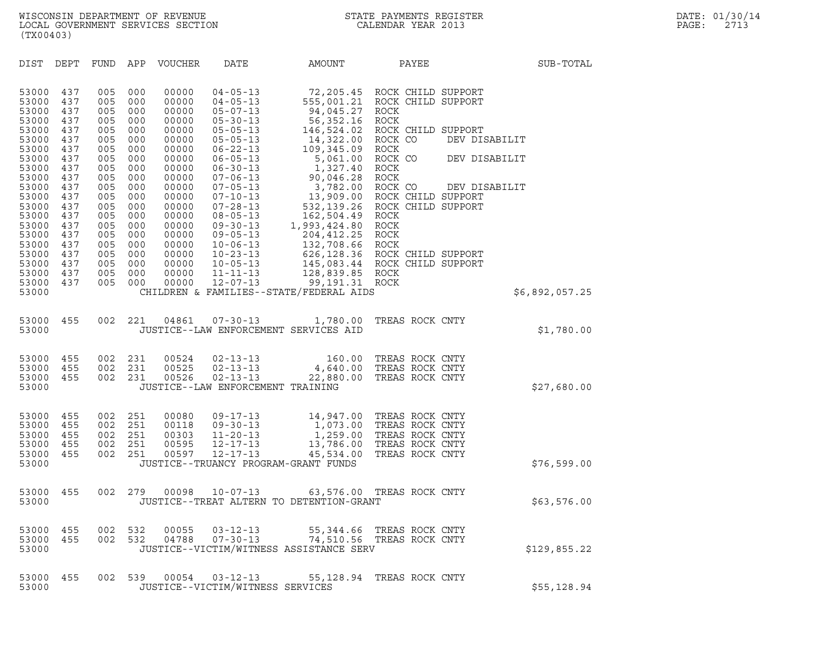| (TX00403)                                          |                                 |                                 |                                 |                                           |                                                                                         |                                                                              |                                                                                                                         |               |                |
|----------------------------------------------------|---------------------------------|---------------------------------|---------------------------------|-------------------------------------------|-----------------------------------------------------------------------------------------|------------------------------------------------------------------------------|-------------------------------------------------------------------------------------------------------------------------|---------------|----------------|
| DIST                                               | DEPT                            | FUND                            | APP                             | VOUCHER                                   | DATE                                                                                    | AMOUNT                                                                       | PAYEE                                                                                                                   |               | SUB-TOTAL      |
| 53000<br>53000<br>53000                            | 437<br>437<br>437               | 005<br>005<br>005               | 000<br>000<br>000               | 00000<br>00000<br>00000                   | $04 - 05 - 13$<br>$04 - 05 - 13$<br>$05 - 07 - 13$                                      | 94,045.27                                                                    | 72,205.45 ROCK CHILD SUPPORT<br>555,001.21 ROCK CHILD SUPPORT<br>ROCK                                                   |               |                |
| 53000<br>53000<br>53000<br>53000                   | 437<br>437<br>437<br>437        | 005<br>005<br>005<br>005        | 000<br>000<br>000<br>000        | 00000<br>00000<br>00000<br>00000          | $05 - 30 - 13$<br>$05 - 05 - 13$<br>$05 - 05 - 13$<br>$06 - 22 - 13$                    | 56,352.16<br>146,524.02<br>14,322.00<br>109,345.09                           | ROCK<br>ROCK CHILD SUPPORT<br>ROCK CO<br>ROCK                                                                           | DEV DISABILIT |                |
| 53000<br>53000<br>53000                            | 437<br>437<br>437               | 005<br>005<br>005               | 000<br>000<br>000               | 00000<br>00000<br>00000                   | $06 - 05 - 13$<br>$06 - 30 - 13$<br>$07 - 06 - 13$                                      | 5,061.00<br>1,327.40<br>90,046.28                                            | ROCK CO<br>ROCK<br>ROCK                                                                                                 | DEV DISABILIT |                |
| 53000<br>53000<br>53000<br>53000                   | 437<br>437<br>437<br>437        | 005<br>005<br>005<br>005        | 000<br>000<br>000<br>000        | 00000<br>00000<br>00000<br>00000          | $07 - 05 - 13$<br>$07 - 10 - 13$<br>$07 - 28 - 13$<br>$08 - 05 - 13$                    | 3,782.00 ROCK CO<br>162,504.49 ROCK                                          | 13,909.00 ROCK CHILD SUPPORT<br>532,139.26 ROCK CHILD SUPPORT                                                           | DEV DISABILIT |                |
| 53000<br>53000<br>53000<br>53000<br>53000          | 437<br>437<br>437<br>437<br>437 | 005<br>005<br>005<br>005<br>005 | 000<br>000<br>000<br>000<br>000 | 00000<br>00000<br>00000<br>00000<br>00000 | $09 - 30 - 13$<br>$09 - 05 - 13$<br>$10 - 06 - 13$<br>$10 - 23 - 13$<br>$10 - 05 - 13$  | 1,993,424.80 ROCK<br>204,412.25<br>132,708.66 ROCK                           | ROCK<br>626,128.36 ROCK CHILD SUPPORT<br>145,083.44 ROCK CHILD SUPPORT                                                  |               |                |
| 53000<br>53000<br>53000                            | 437<br>437                      | 005<br>005                      | 000<br>000                      | 00000<br>00000                            | $11 - 11 - 13$<br>$12 - 07 - 13$                                                        | 128,839.85 ROCK<br>99,191.31 ROCK<br>CHILDREN & FAMILIES--STATE/FEDERAL AIDS |                                                                                                                         |               | \$6,892,057.25 |
| 53000<br>53000                                     | 455                             | 002                             | 221                             | 04861                                     | $07 - 30 - 13$                                                                          | 1,780.00<br>JUSTICE--LAW ENFORCEMENT SERVICES AID                            | TREAS ROCK CNTY                                                                                                         |               | \$1,780.00     |
| 53000<br>53000<br>53000<br>53000                   | 455<br>455<br>455               | 002<br>002<br>002               | 231<br>231<br>231               | 00524<br>00525<br>00526                   | $02 - 13 - 13$<br>$02 - 13 - 13$<br>$02 - 13 - 13$<br>JUSTICE--LAW ENFORCEMENT TRAINING | 160.00<br>22,880.00                                                          | TREAS ROCK CNTY<br>4,640.00 TREAS ROCK CNTY<br>TREAS ROCK CNTY                                                          |               | \$27,680.00    |
| 53000<br>53000<br>53000<br>53000<br>53000<br>53000 | 455<br>455<br>455<br>455<br>455 | 002<br>002<br>002<br>002<br>002 | 251<br>251<br>251<br>251<br>251 | 00080<br>00118<br>00303<br>00595<br>00597 | $09 - 17 - 13$<br>$09 - 30 - 13$<br>$11 - 20 - 13$<br>$12 - 17 - 13$<br>12-17-13        | 13,786.00<br>45,534.00<br>JUSTICE--TRUANCY PROGRAM-GRANT FUNDS               | 14,947.00 TREAS ROCK CNTY<br>1,073.00 TREAS ROCK CNTY<br>1,259.00 TREAS ROCK CNTY<br>TREAS ROCK CNTY<br>TREAS ROCK CNTY |               | \$76,599.00    |
| 53000<br>53000                                     | 455                             | 002                             | 279                             | 00098                                     | $10 - 07 - 13$                                                                          | 63,576.00<br>JUSTICE--TREAT ALTERN TO DETENTION-GRANT                        | TREAS ROCK CNTY                                                                                                         |               | \$63,576.00    |
| 53000<br>53000<br>53000                            | 455<br>455                      | 002<br>002                      | 532<br>532                      | 00055<br>04788                            | $03 - 12 - 13$<br>$07 - 30 - 13$                                                        | JUSTICE--VICTIM/WITNESS ASSISTANCE SERV                                      | 55,344.66 TREAS ROCK CNTY<br>74,510.56 TREAS ROCK CNTY                                                                  |               | \$129,855.22   |
| 53000<br>53000                                     | 455                             | 002                             | 539                             | 00054                                     | $03 - 12 - 13$<br>JUSTICE--VICTIM/WITNESS SERVICES                                      | 55,128.94                                                                    | TREAS ROCK CNTY                                                                                                         |               | \$55, 128.94   |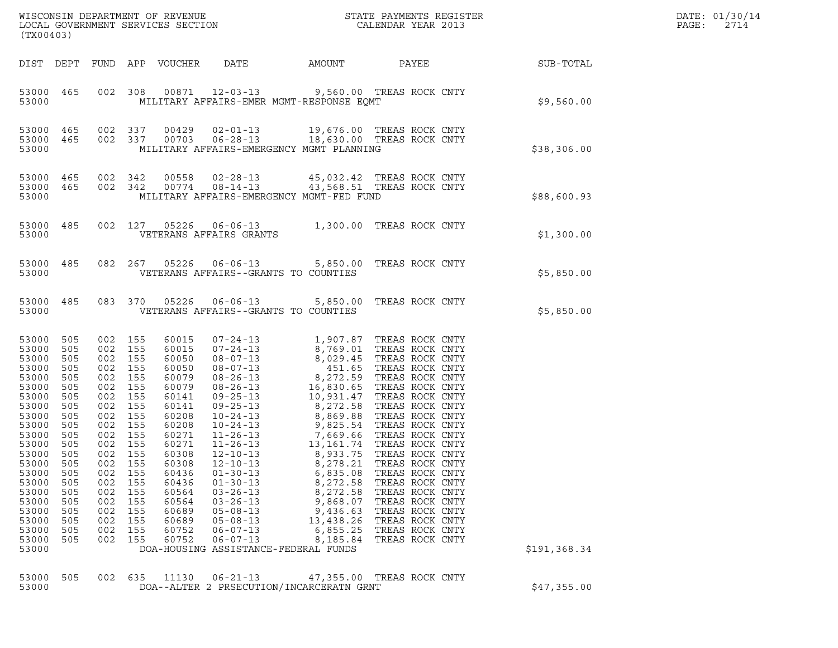| (TX00403)                                                                                                                                                                                                   |                                                                                                                                                        |                                                                                                                                                                                |                                                                                                              |                                                                                                                                                                                                    |                                                                                                                                                                                                                                                                                                                                |                                                                                                                       |                                                                                                                                                                                                                                                                                                                                                                                                                                                                                                                                                                               |              | DATE: 01/30/14<br>PAGE:<br>2714 |
|-------------------------------------------------------------------------------------------------------------------------------------------------------------------------------------------------------------|--------------------------------------------------------------------------------------------------------------------------------------------------------|--------------------------------------------------------------------------------------------------------------------------------------------------------------------------------|--------------------------------------------------------------------------------------------------------------|----------------------------------------------------------------------------------------------------------------------------------------------------------------------------------------------------|--------------------------------------------------------------------------------------------------------------------------------------------------------------------------------------------------------------------------------------------------------------------------------------------------------------------------------|-----------------------------------------------------------------------------------------------------------------------|-------------------------------------------------------------------------------------------------------------------------------------------------------------------------------------------------------------------------------------------------------------------------------------------------------------------------------------------------------------------------------------------------------------------------------------------------------------------------------------------------------------------------------------------------------------------------------|--------------|---------------------------------|
|                                                                                                                                                                                                             |                                                                                                                                                        |                                                                                                                                                                                |                                                                                                              | DIST DEPT FUND APP VOUCHER                                                                                                                                                                         | DATE                                                                                                                                                                                                                                                                                                                           | AMOUNT                                                                                                                | PAYEE                                                                                                                                                                                                                                                                                                                                                                                                                                                                                                                                                                         | SUB-TOTAL    |                                 |
| 53000                                                                                                                                                                                                       | 53000 465                                                                                                                                              |                                                                                                                                                                                |                                                                                                              |                                                                                                                                                                                                    | 002 308 00871 12-03-13 9,560.00 TREAS ROCK CNTY<br>MILITARY AFFAIRS-EMER MGMT-RESPONSE EQMT                                                                                                                                                                                                                                    |                                                                                                                       |                                                                                                                                                                                                                                                                                                                                                                                                                                                                                                                                                                               | \$9,560.00   |                                 |
| 53000 465<br>53000 465<br>53000                                                                                                                                                                             |                                                                                                                                                        | 002 337<br>002 337                                                                                                                                                             |                                                                                                              | 00429                                                                                                                                                                                              | 00703  06-28-13  18,630.00 TREAS ROCK CNTY<br>MILITARY AFFAIRS-EMERGENCY MGMT PLANNING                                                                                                                                                                                                                                         |                                                                                                                       | 02-01-13 19,676.00 TREAS ROCK CNTY                                                                                                                                                                                                                                                                                                                                                                                                                                                                                                                                            | \$38,306.00  |                                 |
| 53000 465<br>53000 465<br>53000                                                                                                                                                                             |                                                                                                                                                        | 002 342<br>002 342                                                                                                                                                             |                                                                                                              | 00558<br>00774                                                                                                                                                                                     | MILITARY AFFAIRS-EMERGENCY MGMT-FED FUND                                                                                                                                                                                                                                                                                       |                                                                                                                       | 02-28-13 45,032.42 TREAS ROCK CNTY<br>08-14-13 43,568.51 TREAS ROCK CNTY                                                                                                                                                                                                                                                                                                                                                                                                                                                                                                      | \$88,600.93  |                                 |
| 53000                                                                                                                                                                                                       | 53000 485                                                                                                                                              |                                                                                                                                                                                |                                                                                                              | 002 127 05226                                                                                                                                                                                      | VETERANS AFFAIRS GRANTS                                                                                                                                                                                                                                                                                                        |                                                                                                                       | 06-06-13 1,300.00 TREAS ROCK CNTY                                                                                                                                                                                                                                                                                                                                                                                                                                                                                                                                             | \$1,300.00   |                                 |
| 53000                                                                                                                                                                                                       | 53000 485                                                                                                                                              |                                                                                                                                                                                |                                                                                                              |                                                                                                                                                                                                    | 082  267  05226  06-06-13  5,850.00 TREAS ROCK CNTY<br>VETERANS AFFAIRS--GRANTS TO COUNTIES                                                                                                                                                                                                                                    |                                                                                                                       |                                                                                                                                                                                                                                                                                                                                                                                                                                                                                                                                                                               | \$5,850.00   |                                 |
| 53000                                                                                                                                                                                                       | 53000 485                                                                                                                                              |                                                                                                                                                                                |                                                                                                              | 083 370 05226                                                                                                                                                                                      | VETERANS AFFAIRS--GRANTS TO COUNTIES                                                                                                                                                                                                                                                                                           |                                                                                                                       | 06-06-13 5,850.00 TREAS ROCK CNTY                                                                                                                                                                                                                                                                                                                                                                                                                                                                                                                                             | \$5,850.00   |                                 |
| 53000<br>53000<br>53000<br>53000<br>53000<br>53000<br>53000<br>53000<br>53000<br>53000<br>53000<br>53000<br>53000<br>53000<br>53000<br>53000<br>53000<br>53000<br>53000<br>53000<br>53000<br>53000<br>53000 | 505<br>505<br>505<br>505<br>505<br>505<br>505<br>505<br>505<br>505<br>505<br>505<br>505<br>505<br>505<br>505<br>505<br>505<br>505<br>505<br>505<br>505 | 002 155<br>002<br>002 155<br>002<br>002<br>002<br>002<br>002<br>002<br>002<br>002 155<br>002 155<br>002 155<br>002<br>002<br>002<br>002<br>002<br>002<br>002<br>002<br>002 155 | 155<br>155<br>155<br>155<br>155<br>155<br>155<br>155<br>155<br>155<br>155<br>155<br>155<br>155<br>155<br>155 | 60015<br>60015<br>60050<br>60050<br>60079<br>60079<br>60141<br>60141<br>60208<br>60208<br>60271<br>60271<br>60308<br>60308<br>60436<br>60436<br>60564<br>60564<br>60689<br>60689<br>60752<br>60752 | $07 - 24 - 13$<br>$09 - 25 - 13$<br>09-25-13<br>10-24-13<br>10-24-13<br>11-26-13<br>7,669.66<br>11-26-13<br>8,933.75<br>$12 - 10 - 13$<br>$01 - 30 - 13$<br>$01 - 30 - 13$<br>$03 - 26 - 13$<br>$03 - 26 - 13$<br>$05 - 08 - 13$<br>$05 - 08 - 13$<br>$06 - 07 - 13$<br>$06 - 07 - 13$<br>DOA-HOUSING ASSISTANCE-FEDERAL FUNDS | 8,272.58<br>8,278.21<br>6,835.08<br>8,272.58<br>8,272.58<br>9,868.07<br>9,436.63<br>13,438.26<br>6,855.25<br>8,185.84 | 1,907.87 TREAS ROCK CNTY<br>07-24-13<br>07-24-13<br>08-07-13<br>08-07-13<br>08-26-13<br>08-26-13<br>08-26-13<br>16,830.65<br>TREAS ROCK CNTY<br>08-26-13<br>16,830.65<br>TREAS ROCK CNTY<br>09-25-13<br>10,931.47<br>TREAS ROCK CNTY<br>09-25-13<br>10,931.47<br>TREAS ROCK CNTY<br>TREAS ROCK CNTY<br>TREAS ROCK CNTY<br>TREAS ROCK CNTY<br>TREAS ROCK CNTY<br>TREAS ROCK CNTY<br>TREAS ROCK CNTY<br>TREAS ROCK CNTY<br>TREAS ROCK CNTY<br>TREAS ROCK CNTY<br>TREAS ROCK CNTY<br>TREAS ROCK CNTY<br>TREAS ROCK CNTY<br>TREAS ROCK CNTY<br>TREAS ROCK CNTY<br>TREAS ROCK CNTY | \$191,368.34 |                                 |
| 53000<br>53000                                                                                                                                                                                              | 505                                                                                                                                                    | 002                                                                                                                                                                            | 635                                                                                                          | 11130                                                                                                                                                                                              | $06 - 21 - 13$<br>DOA--ALTER 2 PRSECUTION/INCARCERATN GRNT                                                                                                                                                                                                                                                                     |                                                                                                                       | 47,355.00 TREAS ROCK CNTY                                                                                                                                                                                                                                                                                                                                                                                                                                                                                                                                                     | \$47,355.00  |                                 |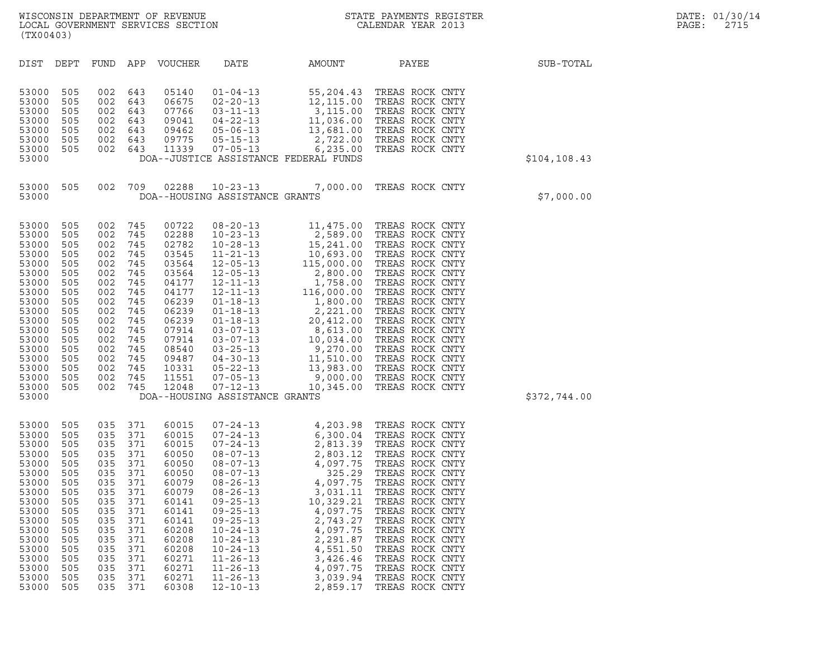| (TX00403)                                                                                                                                                               |                                                                                                                            |                                                                                                                            |                                                                                                                            |                                                                                                                                                                |                                                                                                                                                                                                                                                                                              |                                                                                                                                                                                                                                                    |                                                                                                                                                                                                                                                                                                                                                                                                  |               |
|-------------------------------------------------------------------------------------------------------------------------------------------------------------------------|----------------------------------------------------------------------------------------------------------------------------|----------------------------------------------------------------------------------------------------------------------------|----------------------------------------------------------------------------------------------------------------------------|----------------------------------------------------------------------------------------------------------------------------------------------------------------|----------------------------------------------------------------------------------------------------------------------------------------------------------------------------------------------------------------------------------------------------------------------------------------------|----------------------------------------------------------------------------------------------------------------------------------------------------------------------------------------------------------------------------------------------------|--------------------------------------------------------------------------------------------------------------------------------------------------------------------------------------------------------------------------------------------------------------------------------------------------------------------------------------------------------------------------------------------------|---------------|
| DIST                                                                                                                                                                    | DEPT                                                                                                                       | FUND                                                                                                                       | APP                                                                                                                        | VOUCHER                                                                                                                                                        | DATE                                                                                                                                                                                                                                                                                         | AMOUNT                                                                                                                                                                                                                                             | PAYEE                                                                                                                                                                                                                                                                                                                                                                                            | SUB-TOTAL     |
| 53000<br>53000<br>53000<br>53000<br>53000<br>53000<br>53000<br>53000                                                                                                    | 505<br>505<br>505<br>505<br>505<br>505<br>505                                                                              | 002<br>002<br>002<br>002<br>002<br>002<br>002                                                                              | 643<br>643<br>643<br>643<br>643<br>643<br>643                                                                              | 05140<br>06675<br>07766<br>09041<br>09462<br>09775<br>11339                                                                                                    | $01 - 04 - 13$<br>$02 - 20 - 13$<br>$03 - 11 - 13$<br>$04 - 22 - 13$<br>$05 - 06 - 13$<br>$05 - 15 - 13$<br>$07 - 05 - 13$                                                                                                                                                                   | $\begin{array}{r} 55,204.43 \\ 12,115.00 \\ 3,115.00 \\ 11,036.00 \\ 13,681.00 \\ 2,722.00 \\ 6,235.00 \\ \end{array}$<br>12,115.00<br>3,115.00<br>11,036.00<br>13,681.00<br>6,235.00<br>DOA--JUSTICE ASSISTANCE FEDERAL FUNDS                     | TREAS ROCK CNTY<br>TREAS ROCK CNTY<br>TREAS ROCK CNTY<br>TREAS ROCK CNTY<br>TREAS ROCK CNTY<br>2,722.00 TREAS ROCK CNTY<br>TREAS ROCK CNTY                                                                                                                                                                                                                                                       | \$104, 108.43 |
| 53000<br>53000                                                                                                                                                          | 505                                                                                                                        | 002                                                                                                                        | 709                                                                                                                        | 02288                                                                                                                                                          | $10 - 23 - 13$<br>DOA--HOUSING ASSISTANCE GRANTS                                                                                                                                                                                                                                             | 7,000.00                                                                                                                                                                                                                                           | TREAS ROCK CNTY                                                                                                                                                                                                                                                                                                                                                                                  | \$7,000.00    |
| 53000<br>53000<br>53000<br>53000<br>53000<br>53000<br>53000<br>53000<br>53000<br>53000<br>53000<br>53000<br>53000<br>53000<br>53000<br>53000<br>53000<br>53000<br>53000 | 505<br>505<br>505<br>505<br>505<br>505<br>505<br>505<br>505<br>505<br>505<br>505<br>505<br>505<br>505<br>505<br>505<br>505 | 002<br>002<br>002<br>002<br>002<br>002<br>002<br>002<br>002<br>002<br>002<br>002<br>002<br>002<br>002<br>002<br>002<br>002 | 745<br>745<br>745<br>745<br>745<br>745<br>745<br>745<br>745<br>745<br>745<br>745<br>745<br>745<br>745<br>745<br>745<br>745 | 00722<br>02288<br>02782<br>03545<br>03564<br>03564<br>04177<br>04177<br>06239<br>06239<br>06239<br>07914<br>07914<br>08540<br>09487<br>10331<br>11551<br>12048 | $08 - 20 - 13$<br>$10 - 23 - 13$<br>DOA--HOUSING ASSISTANCE GRANTS                                                                                                                                                                                                                           | $2,509$<br>15, 241.00<br>10, 693.00                                                                                                                                                                                                                | 11,475.00 TREAS ROCK CNTY<br>2,589.00 TREAS ROCK CNTY<br>$\begin{tabular}{cccc} 15, & 15, \\ 15, & 10,69 \, \text{.} \\ 13 & 115,000.00 \\ 13 & 2,800.00 \text{ TREA} \\ 1-13 & 11,758.00 \text{ TREAS Rock} \\ 1-13 & 116,000.00 \text{ TREAS Rock} \\ 18-13 & 1,800.00 \text{ TREAS ROK CNTY} \\ 18-13 & 2,221.00 \text{ TREAS ROK CNTY} \\ -18-13 & 20,412.00 \text{ TREAS ROK CNTY} \\ 3-07$ | \$372,744.00  |
| 53000<br>53000<br>53000<br>53000<br>53000<br>53000<br>53000<br>53000<br>53000<br>53000<br>53000<br>53000<br>53000<br>53000<br>53000<br>53000<br>53000<br>53000          | 505<br>505<br>505<br>505<br>505<br>505<br>505<br>505<br>505<br>505<br>505<br>505<br>505<br>505<br>505<br>505<br>505<br>505 | 035<br>035<br>035<br>035<br>035<br>035<br>035<br>035<br>035<br>035<br>035<br>035<br>035<br>035<br>035<br>035<br>035<br>035 | 371<br>371<br>371<br>371<br>371<br>371<br>371<br>371<br>371<br>371<br>371<br>371<br>371<br>371<br>371<br>371<br>371<br>371 | 60015<br>60015<br>60015<br>60050<br>60050<br>60050<br>60079<br>60079<br>60141<br>60141<br>60141<br>60208<br>60208<br>60208<br>60271<br>60271<br>60271<br>60308 | $07 - 24 - 13$<br>$08 - 07 - 13$<br>$08 - 07 - 13$<br>$08 - 07 - 13$<br>$08 - 26 - 13$<br>$08 - 26 - 13$<br>$09 - 25 - 13$<br>$09 - 25 - 13$<br>$09 - 25 - 13$<br>$10 - 24 - 13$<br>$10 - 24 - 13$<br>$10 - 24 - 13$<br>$11 - 26 - 13$<br>$11 - 26 - 13$<br>$11 - 26 - 13$<br>$12 - 10 - 13$ | $\begin{array}{r} +7203.98 \\ 6,300.04 \\ 2,813.39 \\ 2,803.12 \\ 4,097.75 \\ 325.29 \\ 4,097.75 \\ 3,031.11 \end{array}$<br>10,329.21<br>4,097.75<br>2,743.27<br>4,097.75<br>2,291.87<br>4,551.50<br>3,426.46<br>4,097.75<br>3,039.94<br>2,859.17 | TREAS ROCK CNTY<br>TREAS ROCK CNTY<br>TREAS ROCK CNTY<br>TREAS ROCK CNTY<br>TREAS ROCK CNTY<br>TREAS ROCK CNTY<br>TREAS ROCK CNTY<br>TREAS ROCK CNTY<br>TREAS ROCK CNTY<br>TREAS ROCK CNTY<br>TREAS ROCK CNTY<br>TREAS ROCK CNTY<br>TREAS ROCK CNTY<br>TREAS ROCK CNTY<br>TREAS ROCK CNTY<br>TREAS ROCK CNTY                                                                                     |               |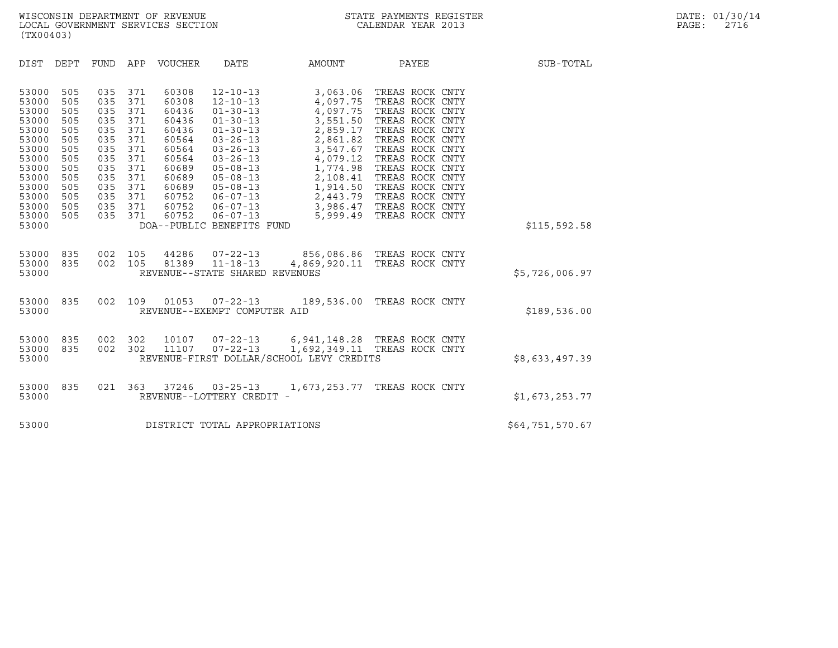| (TX00403)                                                                                                                                                                                                                                                                                                                               |                                                                                                                                                                                                                                                                                                                                                                                                                                                                                                                       |                                                                                                                                                                                                                                      |                                                                                                                                                                                            |                 |
|-----------------------------------------------------------------------------------------------------------------------------------------------------------------------------------------------------------------------------------------------------------------------------------------------------------------------------------------|-----------------------------------------------------------------------------------------------------------------------------------------------------------------------------------------------------------------------------------------------------------------------------------------------------------------------------------------------------------------------------------------------------------------------------------------------------------------------------------------------------------------------|--------------------------------------------------------------------------------------------------------------------------------------------------------------------------------------------------------------------------------------|--------------------------------------------------------------------------------------------------------------------------------------------------------------------------------------------|-----------------|
| DEPT<br>FUND<br>DIST                                                                                                                                                                                                                                                                                                                    | APP<br>VOUCHER<br>DATE                                                                                                                                                                                                                                                                                                                                                                                                                                                                                                | AMOUNT                                                                                                                                                                                                                               | PAYEE                                                                                                                                                                                      | SUB-TOTAL       |
| 53000<br>505<br>035<br>53000<br>505<br>035<br>53000<br>035<br>505<br>035<br>53000<br>505<br>035<br>53000<br>505<br>035<br>53000<br>505<br>53000<br>505<br>035<br>505<br>035<br>53000<br>035<br>53000<br>505<br>53000<br>505<br>035<br>53000<br>505<br>035<br>53000<br>505<br>035<br>53000<br>505<br>035<br>505<br>035<br>53000<br>53000 | 371<br>60308<br>$12 - 10 - 13$<br>371<br>60308<br>$12 - 10 - 13$<br>371<br>60436<br>$01 - 30 - 13$<br>371<br>60436<br>$01 - 30 - 13$<br>371<br>60436<br>$01 - 30 - 13$<br>371<br>60564<br>$03 - 26 - 13$<br>371<br>60564<br>$03 - 26 - 13$<br>371<br>60564<br>$03 - 26 - 13$<br>371<br>60689<br>$05 - 08 - 13$<br>371<br>$05 - 08 - 13$<br>60689<br>371<br>$05 - 08 - 13$<br>60689<br>371<br>60752<br>$06 - 07 - 13$<br>371<br>60752<br>$06 - 07 - 13$<br>371<br>60752<br>$06 - 07 - 13$<br>DOA--PUBLIC BENEFITS FUND | 3,063.06 TREAS ROCK CNTY<br>4,097.75<br>4,097.75<br>3,551.50<br>2,859.17<br>2,861.82<br>3,547.67<br>4,079.12<br>1,774.98<br>2,108.41<br>1,914.50 TREAS ROCK CNTY<br>2,443.79 TREAS ROCK CNTY<br>3,986.47 TREAS ROCK CNTY<br>5,999.49 | TREAS ROCK CNTY<br>TREAS ROCK CNTY<br>TREAS ROCK CNTY<br>TREAS ROCK CNTY<br>TREAS ROCK CNTY<br>TREAS ROCK CNTY<br>TREAS ROCK CNTY<br>TREAS ROCK CNTY<br>TREAS ROCK CNTY<br>TREAS ROCK CNTY | \$115,592.58    |
| 835<br>002<br>53000<br>002<br>53000<br>835<br>53000                                                                                                                                                                                                                                                                                     | 105<br>44286 07-22-13<br>$11 - 18 - 13$<br>81389<br>105<br>REVENUE--STATE SHARED REVENUES                                                                                                                                                                                                                                                                                                                                                                                                                             | 856,086.86 TREAS ROCK CNTY<br>4,869,920.11 TREAS ROCK CNTY                                                                                                                                                                           |                                                                                                                                                                                            | \$5,726,006.97  |
| 53000<br>835<br>002<br>53000                                                                                                                                                                                                                                                                                                            | 109<br>01053<br>$07 - 22 - 13$<br>REVENUE--EXEMPT COMPUTER AID                                                                                                                                                                                                                                                                                                                                                                                                                                                        | 189,536.00 TREAS ROCK CNTY                                                                                                                                                                                                           |                                                                                                                                                                                            | \$189,536.00    |
| 835<br>002<br>53000<br>002<br>53000<br>835<br>53000                                                                                                                                                                                                                                                                                     | 302<br>10107<br>$07 - 22 - 13$<br>$07 - 22 - 13$<br>302<br>11107<br>REVENUE-FIRST DOLLAR/SCHOOL LEVY CREDITS                                                                                                                                                                                                                                                                                                                                                                                                          | 6,941,148.28 TREAS ROCK CNTY<br>1,692,349.11 TREAS ROCK CNTY                                                                                                                                                                         |                                                                                                                                                                                            | \$8,633,497.39  |
| 835<br>021<br>53000<br>53000                                                                                                                                                                                                                                                                                                            | 363<br>37246<br>$03 - 25 - 13$<br>REVENUE--LOTTERY CREDIT -                                                                                                                                                                                                                                                                                                                                                                                                                                                           | 1,673,253.77 TREAS ROCK CNTY                                                                                                                                                                                                         |                                                                                                                                                                                            | \$1,673,253.77  |
| 53000                                                                                                                                                                                                                                                                                                                                   | DISTRICT TOTAL APPROPRIATIONS                                                                                                                                                                                                                                                                                                                                                                                                                                                                                         |                                                                                                                                                                                                                                      |                                                                                                                                                                                            | \$64,751,570.67 |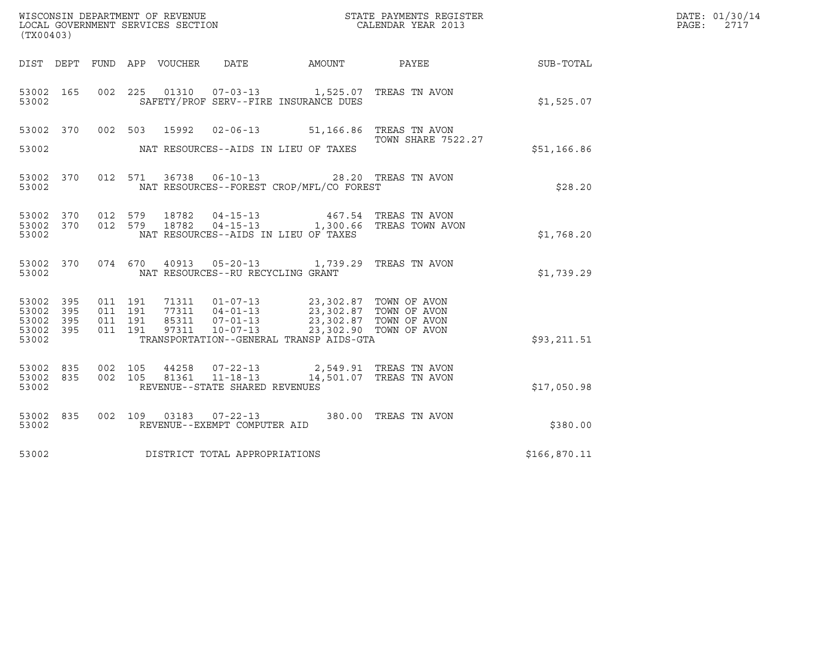| (TX00403)                                 |                          |                                          |                  | WISCONSIN DEPARTMENT OF REVENUE<br>LOCAL GOVERNMENT SERVICES SECTION |                                                                                                                                 | STATE PAYMENTS REGISTER<br>CALENDAR YEAR 2013     |              | DATE: 01/30/14<br>PAGE:<br>2717 |
|-------------------------------------------|--------------------------|------------------------------------------|------------------|----------------------------------------------------------------------|---------------------------------------------------------------------------------------------------------------------------------|---------------------------------------------------|--------------|---------------------------------|
| DIST DEPT                                 |                          |                                          | FUND APP VOUCHER | DATE                                                                 | AMOUNT                                                                                                                          | PAYEE                                             | SUB-TOTAL    |                                 |
| 53002 165<br>53002                        |                          | 002 225                                  |                  |                                                                      | 01310  07-03-13  1,525.07  TREAS TN AVON<br>SAFETY/PROF SERV--FIRE INSURANCE DUES                                               |                                                   | \$1,525.07   |                                 |
| 53002 370                                 |                          | 002 503                                  | 15992            |                                                                      | 02-06-13 51,166.86 TREAS TN AVON                                                                                                | <b>TOWN SHARE 7522.27</b>                         |              |                                 |
| 53002                                     |                          |                                          |                  |                                                                      | NAT RESOURCES--AIDS IN LIEU OF TAXES                                                                                            |                                                   | \$51,166.86  |                                 |
| 53002 370<br>53002                        |                          |                                          |                  | 012 571 36738 06-10-13                                               | NAT RESOURCES--FOREST CROP/MFL/CO FOREST                                                                                        | 28.20 TREAS TN AVON                               | \$28.20      |                                 |
| 53002 370<br>53002<br>53002               | 370                      | 012 579<br>012 579                       | 18782<br>18782   | $04 - 15 - 13$<br>$04 - 15 - 13$                                     | NAT RESOURCES--AIDS IN LIEU OF TAXES                                                                                            | 467.54 TREAS TN AVON<br>1,300.66 TREAS TOWN AVON  | \$1,768.20   |                                 |
| 53002 370<br>53002                        |                          |                                          | 074 670          | NAT RESOURCES--RU RECYCLING GRANT                                    | 40913 05-20-13 1,739.29                                                                                                         | TREAS TN AVON                                     | \$1,739.29   |                                 |
| 53002<br>53002<br>53002<br>53002<br>53002 | 395<br>395<br>395<br>395 | 011 191<br>011 191<br>011 191<br>011 191 | 85311<br>97311   | $01 - 07 - 13$<br>$07 - 01 - 13$<br>$10 - 07 - 13$                   | 71311  01-07-13  23,302.87  TOWN OF AVON<br>77311  04-01-13  23,302.87  TOWN OF AVON<br>TRANSPORTATION--GENERAL TRANSP AIDS-GTA | 23,302.87 TOWN OF AVON<br>23,302.90 TOWN OF AVON  | \$93,211.51  |                                 |
| 53002 835<br>53002<br>53002               | 835                      | 002 105<br>002 105                       | 44258<br>81361   | $07 - 22 - 13$<br>$11 - 18 - 13$<br>REVENUE--STATE SHARED REVENUES   |                                                                                                                                 | 2,549.91 TREAS TN AVON<br>14,501.07 TREAS TN AVON | \$17,050.98  |                                 |
| 53002 835<br>53002                        |                          |                                          | 002 109          | REVENUE--EXEMPT COMPUTER AID                                         |                                                                                                                                 | 380.00 TREAS TN AVON                              | \$380.00     |                                 |
| 53002                                     |                          |                                          |                  | DISTRICT TOTAL APPROPRIATIONS                                        |                                                                                                                                 |                                                   | \$166,870.11 |                                 |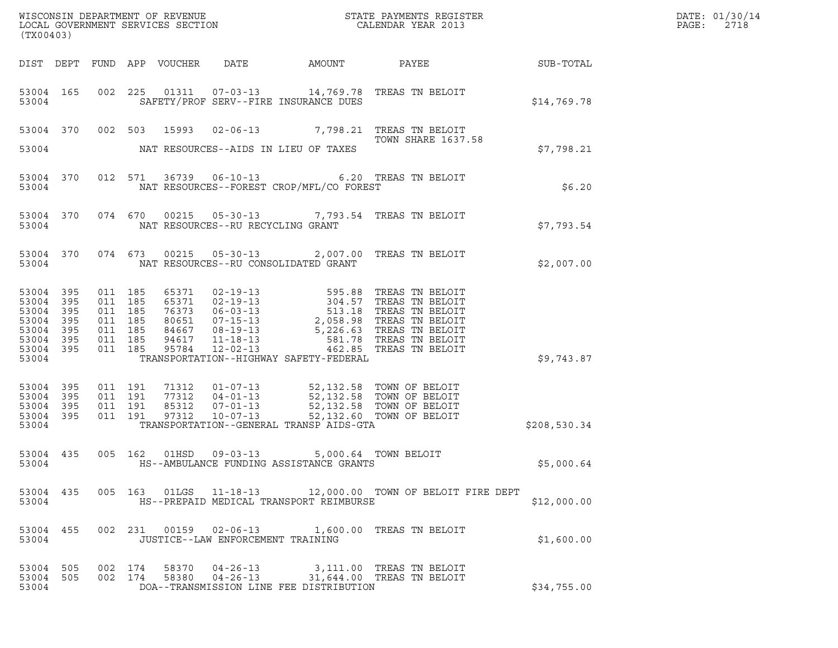| 53004<br>53004<br>53004<br>53004<br>53004<br>53004<br>- 395<br>53004<br>395<br>53004<br>395<br>53004<br>395<br>53004<br>395<br>53004<br>395<br>53004<br>- 395<br>53004 |                                                                |               | SAFETY/PROF SERV--FIRE INSURANCE DUES<br>NAT RESOURCES--AIDS IN LIEU OF TAXES                    |                                          | <b>SUB-TOTAL</b><br>53004 165 002 225 01311 07-03-13 14,769.78 TREAS TN BELOIT<br>53004 370 002 503 15993 02-06-13 7,798.21 TREAS TN BELOIT<br>TOWN SHARE 1637.58                                                                        | \$14,769.78<br>\$7,798.21 |  |
|------------------------------------------------------------------------------------------------------------------------------------------------------------------------|----------------------------------------------------------------|---------------|--------------------------------------------------------------------------------------------------|------------------------------------------|------------------------------------------------------------------------------------------------------------------------------------------------------------------------------------------------------------------------------------------|---------------------------|--|
|                                                                                                                                                                        |                                                                |               |                                                                                                  |                                          |                                                                                                                                                                                                                                          |                           |  |
|                                                                                                                                                                        |                                                                |               |                                                                                                  |                                          |                                                                                                                                                                                                                                          |                           |  |
|                                                                                                                                                                        |                                                                |               |                                                                                                  |                                          |                                                                                                                                                                                                                                          |                           |  |
|                                                                                                                                                                        |                                                                |               |                                                                                                  | NAT RESOURCES--FOREST CROP/MFL/CO FOREST | 53004 370 012 571 36739 06-10-13 6.20 TREAS TN BELOIT                                                                                                                                                                                    | \$6.20                    |  |
|                                                                                                                                                                        |                                                                |               | NAT RESOURCES--RU RECYCLING GRANT                                                                |                                          | 53004 370 074 670 00215 05-30-13 7,793.54 TREAS TN BELOIT                                                                                                                                                                                | \$7,793.54                |  |
|                                                                                                                                                                        |                                                                |               | NAT RESOURCES--RU CONSOLIDATED GRANT                                                             |                                          | 53004 370 074 673 00215 05-30-13 2,007.00 TREAS TN BELOIT                                                                                                                                                                                | \$2,007.00                |  |
|                                                                                                                                                                        | 011 185<br>011 185<br>011 185<br>011 185<br>011 185<br>011 185 | 011 185 65371 | TRANSPORTATION--HIGHWAY SAFETY-FEDERAL                                                           |                                          | 65371 02-19-13 595.88 TREAS TN BELOIT<br>65371 02-19-13 304.57 TREAS TN BELOIT<br>76373 06-03-13 513.18 TREAS TN BELOIT<br>80651 07-15-13 2,058.98 TREAS TN BELOIT<br>84667 08-19-13 5,226.63 TREAS TN BELOIT<br>94617 11-18-13 581.78 T | \$9,743.87                |  |
| 53004 395<br>53004<br>395<br>53004<br>395<br>53004<br>395<br>53004                                                                                                     |                                                                |               | TRANSPORTATION--GENERAL TRANSP AIDS-GTA                                                          |                                          |                                                                                                                                                                                                                                          | \$208,530.34              |  |
| 53004                                                                                                                                                                  |                                                                |               | 53004 435 005 162 01HSD 09-03-13 5,000.64 TOWN BELOIT<br>HS--AMBULANCE FUNDING ASSISTANCE GRANTS |                                          |                                                                                                                                                                                                                                          | \$5,000.64                |  |
| 53004                                                                                                                                                                  |                                                                |               | HS--PREPAID MEDICAL TRANSPORT REIMBURSE                                                          |                                          | 53004 435 005 163 01LGS 11-18-13 12,000.00 TOWN OF BELOIT FIRE DEPT                                                                                                                                                                      | \$12,000.00               |  |
| 53004                                                                                                                                                                  |                                                                |               | JUSTICE--LAW ENFORCEMENT TRAINING                                                                |                                          | 53004 455 002 231 00159 02-06-13 1,600.00 TREAS TN BELOIT                                                                                                                                                                                | \$1,600.00                |  |
| 53004 505<br>53004                                                                                                                                                     |                                                                |               | DOA--TRANSMISSION LINE FEE DISTRIBUTION                                                          |                                          | 53004 505 002 174 58370 04-26-13 3,111.00 TREAS TN BELOIT<br>002 174 58380 04-26-13 31,644.00 TREAS TN BELOIT                                                                                                                            | \$34,755.00               |  |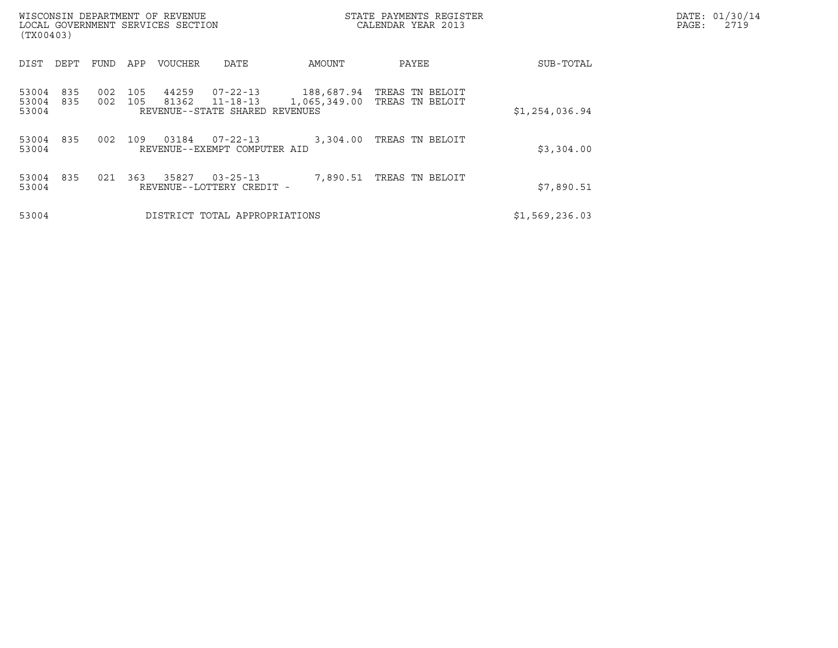| (TX00403)               |            |            |            | WISCONSIN DEPARTMENT OF REVENUE<br>LOCAL GOVERNMENT SERVICES SECTION |                                                              |                            | STATE PAYMENTS REGISTER<br>CALENDAR YEAR 2013 |                | DATE: 01/30/14<br>PAGE:<br>2719 |
|-------------------------|------------|------------|------------|----------------------------------------------------------------------|--------------------------------------------------------------|----------------------------|-----------------------------------------------|----------------|---------------------------------|
| DIST                    | DEPT       | FUND       | APP        | <b>VOUCHER</b>                                                       | DATE                                                         | AMOUNT                     | PAYEE                                         | SUB-TOTAL      |                                 |
| 53004<br>53004<br>53004 | 835<br>835 | 002<br>002 | 105<br>105 | 44259<br>81362                                                       | 07-22-13<br>$11 - 18 - 13$<br>REVENUE--STATE SHARED REVENUES | 188,687.94<br>1,065,349.00 | TREAS TN BELOIT<br>TREAS TN BELOIT            | \$1,254,036.94 |                                 |
| 53004<br>53004          | 835        | 002        | 109        | 03184                                                                | $07 - 22 - 13$<br>REVENUE--EXEMPT COMPUTER AID               | 3,304.00                   | TREAS TN BELOIT                               | \$3,304.00     |                                 |
| 53004<br>53004          | 835        | 021        | 363        | 35827                                                                | $03 - 25 - 13$<br>REVENUE--LOTTERY CREDIT -                  | 7,890.51                   | TREAS TN BELOIT                               | \$7,890.51     |                                 |
| 53004                   |            |            |            |                                                                      | DISTRICT TOTAL APPROPRIATIONS                                |                            |                                               | \$1,569,236.03 |                                 |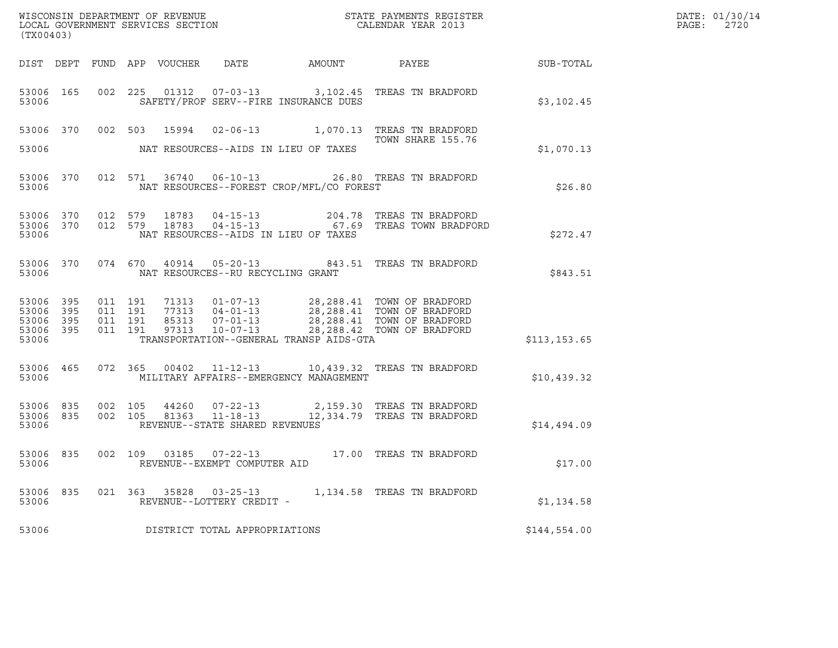| (TX00403)                                     |                        |                    |                    |  |                                                     |                                          |                                                                                                                                                                                              | DATE: 01/30/14<br>PAGE:<br>2720 |  |
|-----------------------------------------------|------------------------|--------------------|--------------------|--|-----------------------------------------------------|------------------------------------------|----------------------------------------------------------------------------------------------------------------------------------------------------------------------------------------------|---------------------------------|--|
|                                               |                        |                    |                    |  |                                                     |                                          |                                                                                                                                                                                              |                                 |  |
| 53006                                         | 53006 165              |                    |                    |  |                                                     | SAFETY/PROF SERV--FIRE INSURANCE DUES    | 002 225 01312 07-03-13 3,102.45 TREAS TN BRADFORD                                                                                                                                            | \$3,102.45                      |  |
|                                               |                        |                    |                    |  |                                                     |                                          | 53006 370 002 503 15994 02-06-13 1,070.13 TREAS TN BRADFORD<br>TOWN SHARE 155.76                                                                                                             |                                 |  |
| 53006                                         |                        |                    |                    |  |                                                     | NAT RESOURCES--AIDS IN LIEU OF TAXES     |                                                                                                                                                                                              | \$1,070.13                      |  |
| 53006                                         | 53006 370              |                    |                    |  |                                                     | NAT RESOURCES--FOREST CROP/MFL/CO FOREST | 012 571 36740 06-10-13 26.80 TREAS TN BRADFORD                                                                                                                                               | \$26.80                         |  |
| 53006                                         | 53006 370<br>53006 370 |                    |                    |  |                                                     | NAT RESOURCES--AIDS IN LIEU OF TAXES     | 012 579 18783 04-15-13 204.78 TREAS TN BRADFORD<br>012 579 18783 04-15-13 67.69 TREAS TOWN BRADFORD                                                                                          | \$272.47                        |  |
| 53006                                         |                        |                    |                    |  | NAT RESOURCES--RU RECYCLING GRANT                   |                                          | 53006 370 074 670 40914 05-20-13 843.51 TREAS TN BRADFORD                                                                                                                                    | \$843.51                        |  |
| 53006 395<br>53006<br>53006<br>53006<br>53006 | 395<br>395<br>395      | 011 191<br>011 191 | 011 191<br>011 191 |  |                                                     | TRANSPORTATION--GENERAL TRANSP AIDS-GTA  | 71313  01-07-13  28,288.41  TOWN OF BRADFORD<br>77313  04-01-13  28,288.41  TOWN OF BRADFORD<br>85313  07-01-13  28,288.41  TOWN OF BRADFORD<br>97313  10-07-13  28,288.42  TOWN OF BRADFORD | \$113, 153.65                   |  |
| 53006                                         | 53006 465              |                    |                    |  |                                                     | MILITARY AFFAIRS--EMERGENCY MANAGEMENT   | 072 365 00402 11-12-13 10,439.32 TREAS TN BRADFORD                                                                                                                                           | \$10,439.32                     |  |
| 53006 835<br>53006 835<br>53006               |                        |                    |                    |  | REVENUE--STATE SHARED REVENUES                      |                                          | 002 105 44260 07-22-13 2,159.30 TREAS TN BRADFORD<br>002 105 81363 11-18-13 12,334.79 TREAS TN BRADFORD                                                                                      | \$14,494.09                     |  |
| 53006                                         | 53006 835              |                    |                    |  | REVENUE--EXEMPT COMPUTER AID                        |                                          | 002 109 03185 07-22-13 17.00 TREAS TN BRADFORD                                                                                                                                               | \$17.00                         |  |
| 53006<br>53006                                | 835                    |                    |                    |  | 021 363 35828 03-25-13<br>REVENUE--LOTTERY CREDIT - |                                          | 1,134.58 TREAS TN BRADFORD                                                                                                                                                                   | \$1,134.58                      |  |
| 53006                                         |                        |                    |                    |  | DISTRICT TOTAL APPROPRIATIONS                       |                                          |                                                                                                                                                                                              | \$144,554.00                    |  |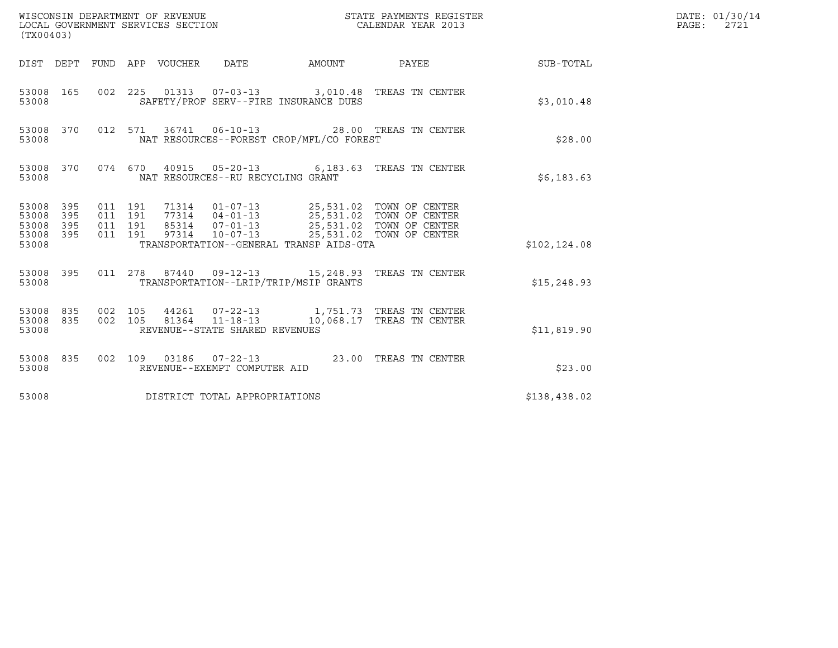| (TX00403)                                                       |                                          |                                 |                                                                                                                                                                                                                                 |        | $\tt WISCONSIM DEPARTMENT OF REVENUE$ $\tt TOCAL ENDAR YEAR$ $2013$ $\tt COICAL GOVERNMENT$ $SERVICES$ $SECTION$ |               | DATE: 01/30/14<br>PAGE: 2721 |
|-----------------------------------------------------------------|------------------------------------------|---------------------------------|---------------------------------------------------------------------------------------------------------------------------------------------------------------------------------------------------------------------------------|--------|------------------------------------------------------------------------------------------------------------------|---------------|------------------------------|
|                                                                 |                                          | DIST DEPT FUND APP VOUCHER DATE |                                                                                                                                                                                                                                 | AMOUNT | <b>PAYEE</b> FOR THE PAYEE                                                                                       | SUB-TOTAL     |                              |
| 53008                                                           |                                          |                                 | SAFETY/PROF SERV--FIRE INSURANCE DUES                                                                                                                                                                                           |        | 53008 165 002 225 01313 07-03-13 3,010.48 TREAS TN CENTER                                                        | \$3,010.48    |                              |
| 53008 370<br>53008                                              |                                          |                                 | NAT RESOURCES--FOREST CROP/MFL/CO FOREST                                                                                                                                                                                        |        | 012 571 36741 06-10-13 28.00 TREAS TN CENTER                                                                     | \$28.00       |                              |
| 53008 370<br>53008                                              |                                          |                                 | NAT RESOURCES--RU RECYCLING GRANT                                                                                                                                                                                               |        | 074 670 40915 05-20-13 6,183.63 TREAS TN CENTER                                                                  | \$6,183.63    |                              |
| 53008 395<br>53008<br>395<br>53008<br>395<br>53008 395<br>53008 | 011 191<br>011 191<br>011 191<br>011 191 |                                 | 71314  01-07-13  25,531.02  TOWN OF CENTER<br>77314  04-01-13  25,531.02  TOWN OF CENTER<br>85314  07-01-13  25,531.02  TOWN OF CENTER<br>97314  10-07-13  25,531.02  TOWN OF CENTER<br>TRANSPORTATION--GENERAL TRANSP AIDS-GTA |        |                                                                                                                  | \$102, 124.08 |                              |
| 53008                                                           |                                          |                                 | TRANSPORTATION--LRIP/TRIP/MSIP GRANTS                                                                                                                                                                                           |        | 53008 395 011 278 87440 09-12-13 15,248.93 TREAS TN CENTER                                                       | \$15, 248.93  |                              |
| 53008 835<br>53008 835<br>53008                                 | 002 105<br>002 105                       |                                 | REVENUE--STATE SHARED REVENUES                                                                                                                                                                                                  |        | 81364 11-18-13 10,068.17 TREAS TN CENTER                                                                         | \$11,819.90   |                              |
| 53008 835<br>53008                                              |                                          |                                 | REVENUE--EXEMPT COMPUTER AID                                                                                                                                                                                                    |        | 002 109 03186 07-22-13 23.00 TREAS TN CENTER                                                                     | \$23.00       |                              |
| 53008                                                           |                                          |                                 | DISTRICT TOTAL APPROPRIATIONS                                                                                                                                                                                                   |        |                                                                                                                  | \$138,438.02  |                              |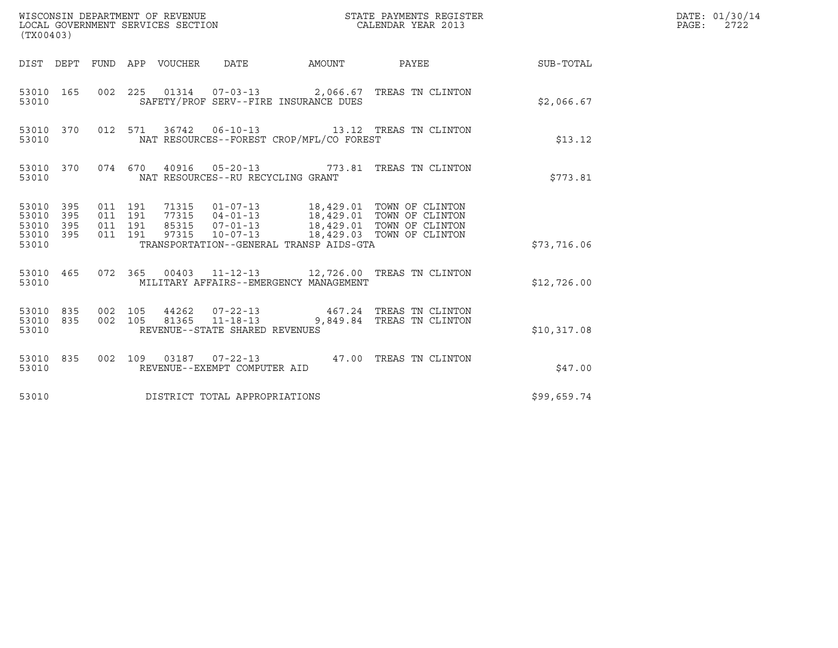| (TX00403)                                             |     |                               |                               |                                                  |                                          |                                                                                                                                                                                                      |             | DATE: 01/30/14<br>PAGE: 2722 |
|-------------------------------------------------------|-----|-------------------------------|-------------------------------|--------------------------------------------------|------------------------------------------|------------------------------------------------------------------------------------------------------------------------------------------------------------------------------------------------------|-------------|------------------------------|
|                                                       |     |                               |                               |                                                  |                                          | DIST DEPT FUND APP VOUCHER DATE AMOUNT PAYEE                                                                                                                                                         | SUB-TOTAL   |                              |
| 53010                                                 |     |                               |                               |                                                  | SAFETY/PROF SERV--FIRE INSURANCE DUES    | 53010 165 002 225 01314 07-03-13 2,066.67 TREAS TN CLINTON                                                                                                                                           | \$2,066.67  |                              |
| 53010 370<br>53010                                    |     |                               |                               |                                                  | NAT RESOURCES--FOREST CROP/MFL/CO FOREST | 012 571 36742 06-10-13 13.12 TREAS TN CLINTON                                                                                                                                                        | \$13.12     |                              |
| 53010                                                 |     |                               |                               | NAT RESOURCES--RU RECYCLING GRANT                |                                          | 53010 370 074 670 40916 05-20-13 773.81 TREAS TN CLINTON                                                                                                                                             | \$773.81    |                              |
| 53010 395<br>53010 395<br>53010<br>53010 395<br>53010 | 395 | 011 191<br>011 191<br>011 191 | 011 191                       |                                                  | TRANSPORTATION--GENERAL TRANSP AIDS-GTA  | 71315  01-07-13  18,429.01  TOWN OF CLINTON<br>77315  04-01-13  18,429.01  TOWN OF CLINTON<br>85315    07-01-13    18,429.01    TOWN OF CLINTON<br>97315    10-07-13    18,429.03    TOWN OF CLINTON | \$73,716.06 |                              |
| 53010                                                 |     |                               |                               |                                                  | MILITARY AFFAIRS--EMERGENCY MANAGEMENT   | 53010 465 072 365 00403 11-12-13 12,726.00 TREAS TN CLINTON                                                                                                                                          | \$12,726.00 |                              |
| 53010 835<br>53010 835<br>53010                       |     | 002 105<br>002 105            |                               | 81365 11-18-13<br>REVENUE--STATE SHARED REVENUES |                                          | 44262  07-22-13  467.24  TREAS TN CLINTON<br>9,849.84 TREAS TN CLINTON                                                                                                                               | \$10,317.08 |                              |
| 53010 835<br>53010                                    |     |                               |                               | REVENUE--EXEMPT COMPUTER AID                     |                                          | 002 109 03187 07-22-13 47.00 TREAS TN CLINTON                                                                                                                                                        | \$47.00     |                              |
| 53010                                                 |     |                               | DISTRICT TOTAL APPROPRIATIONS |                                                  |                                          |                                                                                                                                                                                                      | \$99,659.74 |                              |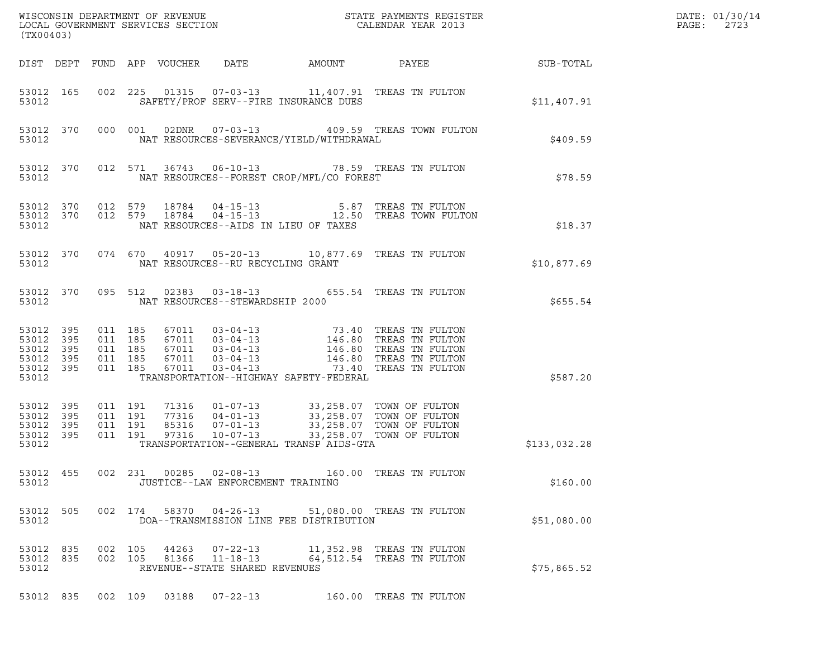| (TX00403)                                                                 |                                                                                                                                                                                                                                                                                                                                                                                                                               | DATE: 01/30/14<br>PAGE:<br>2723 |
|---------------------------------------------------------------------------|-------------------------------------------------------------------------------------------------------------------------------------------------------------------------------------------------------------------------------------------------------------------------------------------------------------------------------------------------------------------------------------------------------------------------------|---------------------------------|
|                                                                           | DIST DEPT FUND APP VOUCHER DATE<br>AMOUNT PAYEE SUB-TOTAL                                                                                                                                                                                                                                                                                                                                                                     |                                 |
| 53012 165<br>53012                                                        | 002 225 01315 07-03-13 11,407.91 TREAS TN FULTON<br>SAFETY/PROF SERV--FIRE INSURANCE DUES<br>\$11,407.91                                                                                                                                                                                                                                                                                                                      |                                 |
| 53012 370<br>53012                                                        | 000 001 02DNR 07-03-13 409.59 TREAS TOWN FULTON<br>NAT RESOURCES-SEVERANCE/YIELD/WITHDRAWAL<br>\$409.59                                                                                                                                                                                                                                                                                                                       |                                 |
| 53012 370<br>53012                                                        | 012 571 36743 06-10-13 78.59 TREAS TN FULTON<br>NAT RESOURCES--FOREST CROP/MFL/CO FOREST<br>\$78.59                                                                                                                                                                                                                                                                                                                           |                                 |
| 53012                                                                     | $\begin{array}{cccccc} 53012 & 370 & 012 & 579 & 18784 & 04-15-13 & & & & 5.87 & \text{TREAS TN FULTON} \\ 53012 & 370 & 012 & 579 & 18784 & 04-15-13 & & & 12.50 & \text{TREAS TOWN FULTON} \end{array}$<br>NAT RESOURCES--AIDS IN LIEU OF TAXES<br>\$18.37                                                                                                                                                                  |                                 |
| 53012 370<br>53012                                                        | 074 670 40917 05-20-13 10,877.69 TREAS TN FULTON<br>NAT RESOURCES--RU RECYCLING GRANT<br>\$10,877.69                                                                                                                                                                                                                                                                                                                          |                                 |
| 53012 370<br>53012                                                        | 095 512 02383 03-18-13 655.54 TREAS TN FULTON<br>\$655.54<br>NAT RESOURCES--STEWARDSHIP 2000                                                                                                                                                                                                                                                                                                                                  |                                 |
| 53012 395<br>53012 395<br>53012<br>395<br>53012 395<br>53012 395<br>53012 | $\begin{tabular}{llllllll} 67011 & 03-04-13 & 73.40 \mbox{ TREAS TN FULTON} \\ 67011 & 03-04-13 & 146.80 \mbox{ TREAS TN FULTON} \\ 67011 & 03-04-13 & 146.80 \mbox{ TREAS TN FULTON} \\ 67011 & 03-04-13 & 146.80 \mbox{ TREAS TN FULTON} \\ 67011 & 03-04-13 & 73.40 \mbox{ TREAS TN FULTON} \\ \end{tabular}$<br>011 185<br>011 185<br>011 185<br>011 185<br>011 185<br>TRANSPORTATION--HIGHWAY SAFETY-FEDERAL<br>\$587.20 |                                 |
| 53012<br>395<br>53012<br>395<br>53012<br>395<br>53012 395<br>53012        | 011 191<br>$\begin{tabular}{cccc} 71316 & 01-07-13 & 33\,, 258\,.07 & TOWN OF FULTON \\ 77316 & 04-01-13 & 33\,, 258\,.07 & TOWN OF FULTON \\ 85316 & 07-01-13 & 33\,, 258\,.07 & TOWN OF FULTON \\ 97316 & 10-07-13 & 33\,, 258\,.07 & TOWN OF FULTON \\ \end{tabular}$<br>011 191<br>011 191<br>011 191<br>TRANSPORTATION--GENERAL TRANSP AIDS-GTA<br>\$133,032.28                                                          |                                 |
| 53012 455<br>53012                                                        | 002 231 00285 02-08-13<br>160.00 TREAS TN FULTON<br>JUSTICE--LAW ENFORCEMENT TRAINING<br>\$160.00                                                                                                                                                                                                                                                                                                                             |                                 |
| 53012 505<br>53012                                                        | 002 174<br>58370 04-26-13<br>51,080.00 TREAS TN FULTON<br>DOA--TRANSMISSION LINE FEE DISTRIBUTION<br>\$51,080.00                                                                                                                                                                                                                                                                                                              |                                 |
| 53012 835<br>53012 835<br>53012                                           | 002 105<br>$07 - 22 - 13$<br>44263<br>11,352.98 TREAS TN FULTON<br>$11 - 18 - 13$<br>64,512.54 TREAS TN FULTON<br>002 105<br>81366<br>REVENUE--STATE SHARED REVENUES<br>\$75,865.52                                                                                                                                                                                                                                           |                                 |
| 53012 835                                                                 | 002 109 03188 07-22-13 160.00 TREAS TN FULTON                                                                                                                                                                                                                                                                                                                                                                                 |                                 |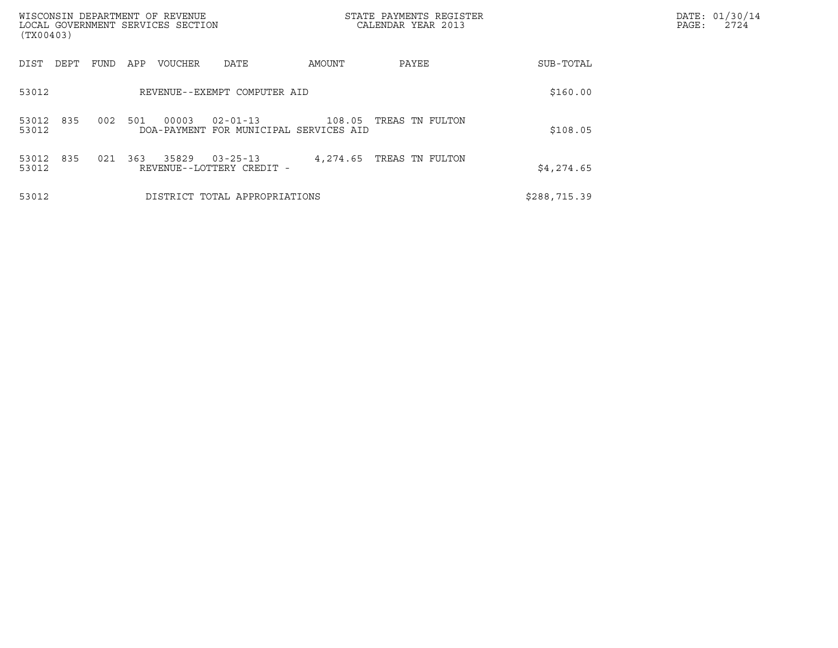| WISCONSIN DEPARTMENT OF REVENUE<br>LOCAL GOVERNMENT SERVICES SECTION<br>(TX00403) |                                                                             | STATE PAYMENTS REGISTER<br>CALENDAR YEAR 2013 |              | DATE: 01/30/14<br>PAGE:<br>2724 |
|-----------------------------------------------------------------------------------|-----------------------------------------------------------------------------|-----------------------------------------------|--------------|---------------------------------|
| FUND<br>DIST<br>DEPT                                                              | APP<br>VOUCHER<br>DATE                                                      | AMOUNT<br>PAYEE                               | SUB-TOTAL    |                                 |
| 53012                                                                             | REVENUE--EXEMPT COMPUTER AID                                                |                                               | \$160.00     |                                 |
| 835<br>002<br>53012<br>53012                                                      | 501<br>00003<br>$02 - 01 - 13$<br>DOA-PAYMENT<br>FOR MUNICIPAL SERVICES AID | TREAS TN FULTON<br>108.05                     | \$108.05     |                                 |
| 835<br>53012<br>021<br>53012                                                      | 363<br>35829<br>$03 - 25 - 13$<br>REVENUE--LOTTERY CREDIT -                 | TREAS TN FULTON<br>4,274.65                   | \$4,274.65   |                                 |
| 53012                                                                             | DISTRICT TOTAL APPROPRIATIONS                                               |                                               | \$288,715.39 |                                 |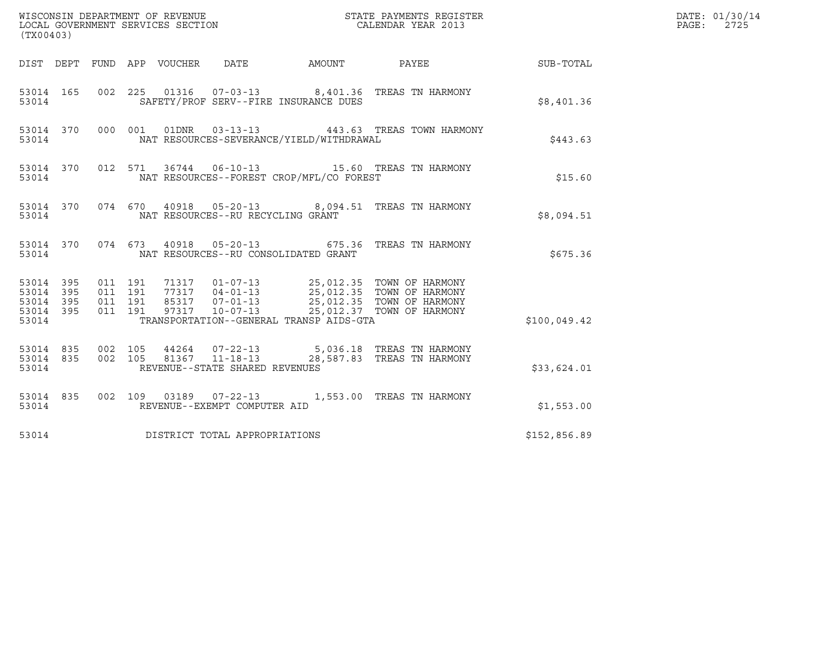| (TX00403)                                                    |                                                                                                                                                                                                                                                                                 |              | DATE: 01/30/14<br>PAGE:<br>2725 |
|--------------------------------------------------------------|---------------------------------------------------------------------------------------------------------------------------------------------------------------------------------------------------------------------------------------------------------------------------------|--------------|---------------------------------|
|                                                              | DIST DEPT FUND APP VOUCHER DATE AMOUNT PAYEE SUB-TOTAL                                                                                                                                                                                                                          |              |                                 |
| 53014 165<br>53014                                           | 002 225 01316 07-03-13 8,401.36 TREAS TN HARMONY<br>SAFETY/PROF SERV--FIRE INSURANCE DUES                                                                                                                                                                                       | \$8,401.36   |                                 |
| 53014                                                        | 53014 370 000 001 01DNR 03-13-13 443.63 TREAS TOWN HARMONY<br>NAT RESOURCES-SEVERANCE/YIELD/WITHDRAWAL                                                                                                                                                                          | \$443.63     |                                 |
| 53014                                                        | 53014 370 012 571 36744 06-10-13 15.60 TREAS TN HARMONY<br>NAT RESOURCES--FOREST CROP/MFL/CO FOREST                                                                                                                                                                             | \$15.60      |                                 |
| 53014                                                        | 53014 370 074 670 40918 05-20-13 8,094.51 TREAS TN HARMONY<br>NAT RESOURCES--RU RECYCLING GRANT                                                                                                                                                                                 | \$8,094.51   |                                 |
| 53014                                                        | 53014 370 074 673 40918 05-20-13 675.36 TREAS TN HARMONY<br>NAT RESOURCES--RU CONSOLIDATED GRANT                                                                                                                                                                                | \$675.36     |                                 |
| 53014 395<br>53014 395<br>395<br>53014<br>53014 395<br>53014 | 011 191<br>71317  01-07-13  25,012.35  TOWN OF HARMONY<br>77317  04-01-13  25,012.35  TOWN OF HARMONY<br>85317  07-01-13  25,012.35  TOWN OF HARMONY<br>97317  10-07-13  25,012.37  TOWN OF HARMONY<br>011 191<br>011 191<br>011 191<br>TRANSPORTATION--GENERAL TRANSP AIDS-GTA | \$100,049.42 |                                 |
| 53014                                                        | $\begin{array}{cccccc} 53014 & 835 & 002 & 105 & 44264 & 07-22-13 & & 5,036.18 & \text{TREAS TN HARMONY} \\ 53014 & 835 & 002 & 105 & 81367 & 11-18-13 & & 28,587.83 & \text{TREAS TN HARMONY} \end{array}$<br>REVENUE--STATE SHARED REVENUES                                   | \$33,624.01  |                                 |
| 53014                                                        | 53014 835 002 109 03189 07-22-13 1,553.00 TREAS TN HARMONY<br>REVENUE--EXEMPT COMPUTER AID                                                                                                                                                                                      | \$1,553.00   |                                 |
| 53014                                                        | DISTRICT TOTAL APPROPRIATIONS                                                                                                                                                                                                                                                   | \$152,856.89 |                                 |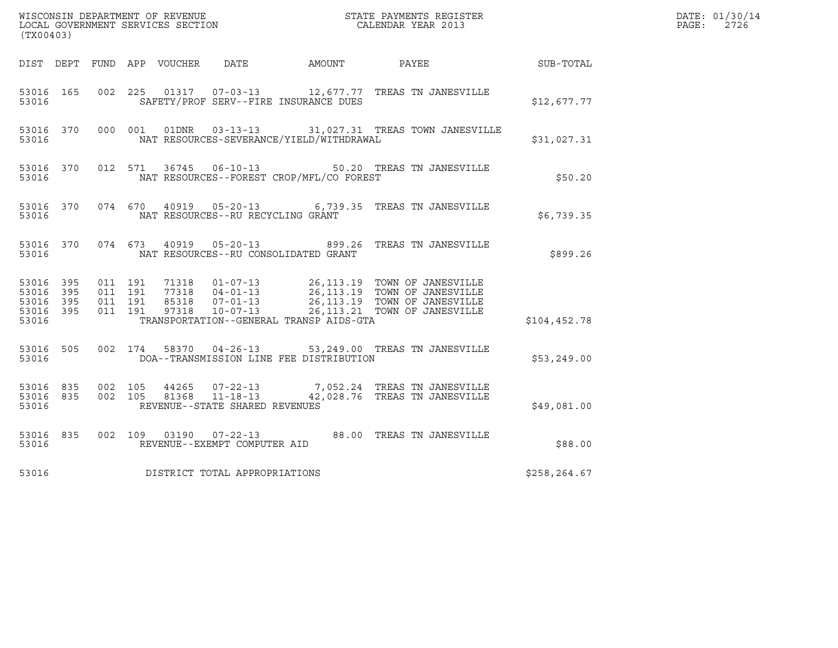| (TX00403)                                     |                   |                               |         |               |                                                                    |                                          |                                                                                                                                                                                                      | DATE: 01/30/14<br>$\mathtt{PAGE:}$ |  |  |  |
|-----------------------------------------------|-------------------|-------------------------------|---------|---------------|--------------------------------------------------------------------|------------------------------------------|------------------------------------------------------------------------------------------------------------------------------------------------------------------------------------------------------|------------------------------------|--|--|--|
|                                               |                   |                               |         |               | DIST DEPT FUND APP VOUCHER DATE                                    | AMOUNT                                   | PAYEE                                                                                                                                                                                                | SUB-TOTAL                          |  |  |  |
| 53016 165<br>53016                            |                   |                               |         |               |                                                                    | SAFETY/PROF SERV--FIRE INSURANCE DUES    | 002  225  01317  07-03-13  12,677.77  TREAS TN JANESVILLE                                                                                                                                            | \$12,677.77                        |  |  |  |
| 53016 370<br>53016                            |                   |                               |         | 000 001 01DNR |                                                                    | NAT RESOURCES-SEVERANCE/YIELD/WITHDRAWAL | 03-13-13 31,027.31 TREAS TOWN JANESVILLE                                                                                                                                                             | \$31,027.31                        |  |  |  |
| 53016 370<br>53016                            |                   |                               |         |               |                                                                    | NAT RESOURCES--FOREST CROP/MFL/CO FOREST | 012 571 36745 06-10-13 50.20 TREAS TN JANESVILLE                                                                                                                                                     | \$50.20                            |  |  |  |
| 53016 370<br>53016                            |                   |                               |         |               | NAT RESOURCES--RU RECYCLING GRANT                                  |                                          | 074  670  40919  05-20-13   6,739.35  TREAS TN JANESVILLE                                                                                                                                            | \$6,739.35                         |  |  |  |
| 53016 370<br>53016                            |                   |                               | 074 673 |               | 40919   05-20-13                                                   | NAT RESOURCES--RU CONSOLIDATED GRANT     | 899.26 TREAS TN JANESVILLE                                                                                                                                                                           | \$899.26                           |  |  |  |
| 53016 395<br>53016<br>53016<br>53016<br>53016 | 395<br>395<br>395 | 011 191<br>011 191<br>011 191 | 011 191 |               |                                                                    | TRANSPORTATION--GENERAL TRANSP AIDS-GTA  | 71318  01-07-13  26,113.19  TOWN OF JANESVILLE<br>77318  04-01-13  26,113.19  TOWN OF JANESVILLE<br>85318  07-01-13  26,113.19  TOWN OF JANESVILLE<br>97318  10-07-13  26,113.21  TOWN OF JANESVILLE | \$104,452.78                       |  |  |  |
| 53016 505<br>53016                            |                   |                               |         |               |                                                                    | DOA--TRANSMISSION LINE FEE DISTRIBUTION  | 002 174 58370 04-26-13 53,249.00 TREAS TN JANESVILLE                                                                                                                                                 | \$53,249.00                        |  |  |  |
| 53016 835<br>53016 835<br>53016               |                   | 002 105<br>002 105            |         | 81368         | 44265 07-22-13<br>$11 - 18 - 13$<br>REVENUE--STATE SHARED REVENUES |                                          | 7,052.24 TREAS TN JANESVILLE<br>42,028.76 TREAS TN JANESVILLE                                                                                                                                        | \$49,081.00                        |  |  |  |
| 53016 835<br>53016                            |                   |                               |         |               | REVENUE--EXEMPT COMPUTER AID                                       |                                          | 002 109 03190 07-22-13 88.00 TREAS TN JANESVILLE                                                                                                                                                     | \$88.00                            |  |  |  |
| 53016                                         |                   |                               |         |               | DISTRICT TOTAL APPROPRIATIONS                                      |                                          |                                                                                                                                                                                                      | \$258,264.67                       |  |  |  |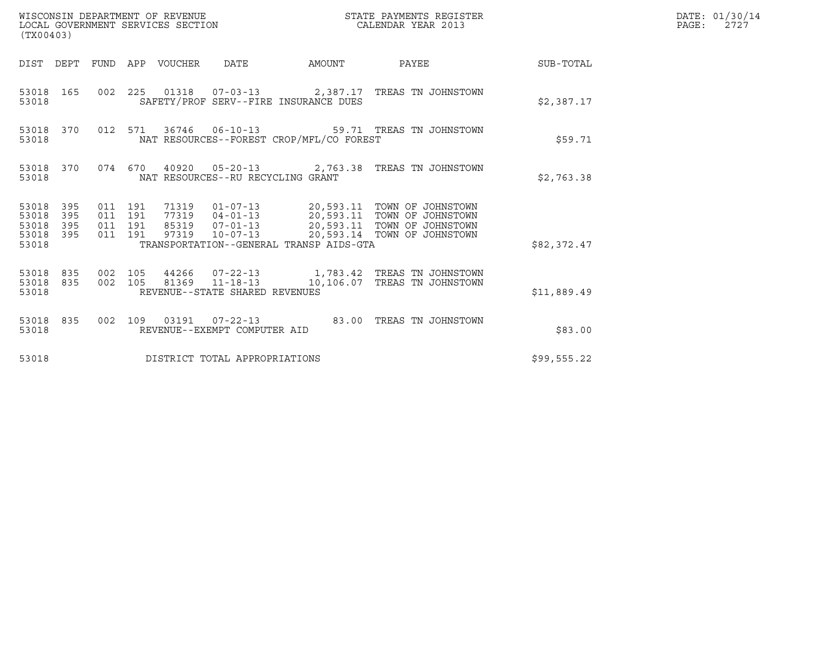| WISCONSIN DEPARTMENT OF REVENUE<br>(TX00403)                    | LOCAL GOVERNMENT SERVICES SECTION                                                                      | STATE PAYMENTS REGISTER<br>CALENDAR YEAR 2013 |             | DATE: 01/30/14<br>$\mathtt{PAGE:}$<br>2727 |
|-----------------------------------------------------------------|--------------------------------------------------------------------------------------------------------|-----------------------------------------------|-------------|--------------------------------------------|
|                                                                 | DIST DEPT FUND APP VOUCHER DATE                                                                        | AMOUNT PAYEE SUB-TOTAL                        |             |                                            |
| 53018 165<br>53018                                              | 002 225 01318 07-03-13 2,387.17 TREAS TN JOHNSTOWN<br>SAFETY/PROF SERV--FIRE INSURANCE DUES            |                                               | \$2,387.17  |                                            |
| 53018 370<br>53018                                              | 012 571 36746 06-10-13 59.71 TREAS TN JOHNSTOWN<br>NAT RESOURCES--FOREST CROP/MFL/CO FOREST            |                                               | \$59.71     |                                            |
| 53018 370<br>53018                                              | 074 670 40920 05-20-13 2,763.38 TREAS TN JOHNSTOWN<br>NAT RESOURCES--RU RECYCLING GRANT                |                                               | \$2,763.38  |                                            |
| 53018 395<br>53018<br>395<br>53018<br>395<br>53018 395<br>53018 | 011 191<br>011 191<br>011 191<br>011 191<br>97319<br>TRANSPORTATION--GENERAL TRANSP AIDS-GTA           | 10-07-13 20,593.14 TOWN OF JOHNSTOWN          | \$82,372.47 |                                            |
| 53018 835<br>53018 835<br>53018                                 | 002 105<br>81369  11-18-13  10,106.07  TREAS TN JOHNSTOWN<br>002 105<br>REVENUE--STATE SHARED REVENUES |                                               | \$11,889.49 |                                            |
| 53018 835<br>53018                                              | 002 109 03191 07-22-13 83.00 TREAS TN JOHNSTOWN<br>REVENUE--EXEMPT COMPUTER AID                        |                                               | \$83.00     |                                            |
| 53018                                                           | DISTRICT TOTAL APPROPRIATIONS                                                                          |                                               | \$99,555.22 |                                            |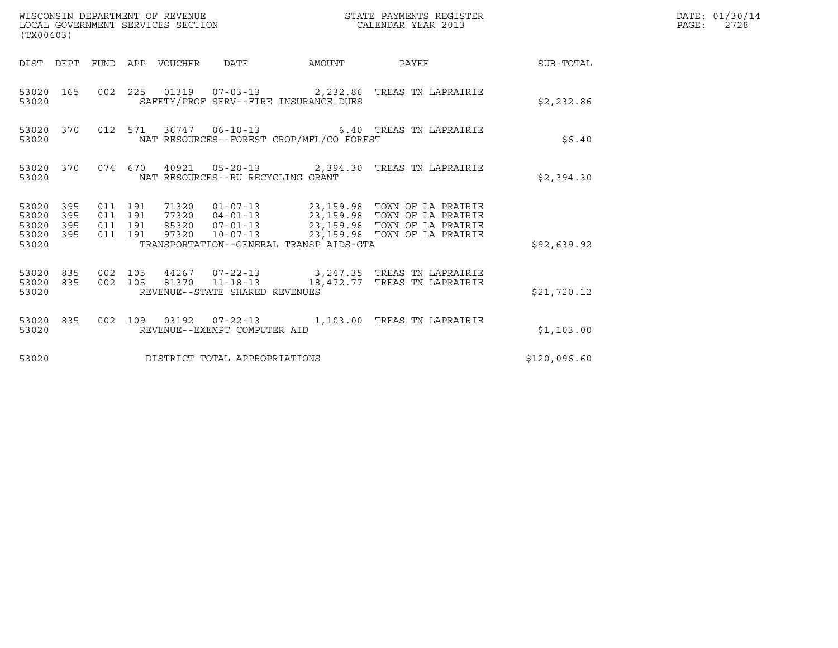| (TX00403)                                                    | WISCONSIN DEPARTMENT OF REVENUE<br>LOCAL GOVERNMENT SERVICES SECTION                                                                                  | STATE PAYMENTS REGISTER<br>CALENDAR YEAR 2013 |              | DATE: 01/30/14<br>$\mathtt{PAGE:}$<br>2728 |
|--------------------------------------------------------------|-------------------------------------------------------------------------------------------------------------------------------------------------------|-----------------------------------------------|--------------|--------------------------------------------|
|                                                              | DIST DEPT FUND APP VOUCHER DATE                                                                                                                       | AMOUNT PAYEE SUB-TOTAL                        |              |                                            |
| 53020 165<br>53020                                           | 002  225  01319  07-03-13  2,232.86 TREAS TN LAPRAIRIE<br>SAFETY/PROF SERV--FIRE INSURANCE DUES                                                       |                                               | \$2,232.86   |                                            |
| 53020 370<br>53020                                           | 012 571 36747 06-10-13 6.40 TREAS TN LAPRAIRIE<br>NAT RESOURCES--FOREST CROP/MFL/CO FOREST                                                            |                                               | \$6.40       |                                            |
| 53020                                                        | 53020 370 074 670 40921 05-20-13 2,394.30 TREAS TN LAPRAIRIE<br>NAT RESOURCES--RU RECYCLING GRANT                                                     |                                               | \$2,394.30   |                                            |
| 53020 395<br>53020<br>395<br>53020 395<br>53020 395<br>53020 | 011 191<br>011 191<br>011 191<br>97320  10-07-13  23,159.98  TOWN OF LA PRAIRIE<br>011 191<br>TRANSPORTATION--GENERAL TRANSP AIDS-GTA                 |                                               | \$92,639.92  |                                            |
| 53020 835<br>53020                                           | 53020 835 002 105 44267 07-22-13 3,247.35 TREAS TN LAPRAIRIE<br>002 105 81370 11-18-13 18,472.77 TREAS TN LAPRAIRIE<br>REVENUE--STATE SHARED REVENUES |                                               | \$21,720.12  |                                            |
| 53020 835<br>53020                                           | 002 109 03192 07-22-13 1,103.00 TREAS TN LAPRAIRIE<br>REVENUE--EXEMPT COMPUTER AID                                                                    |                                               | \$1,103.00   |                                            |
| 53020                                                        | DISTRICT TOTAL APPROPRIATIONS                                                                                                                         |                                               | \$120,096.60 |                                            |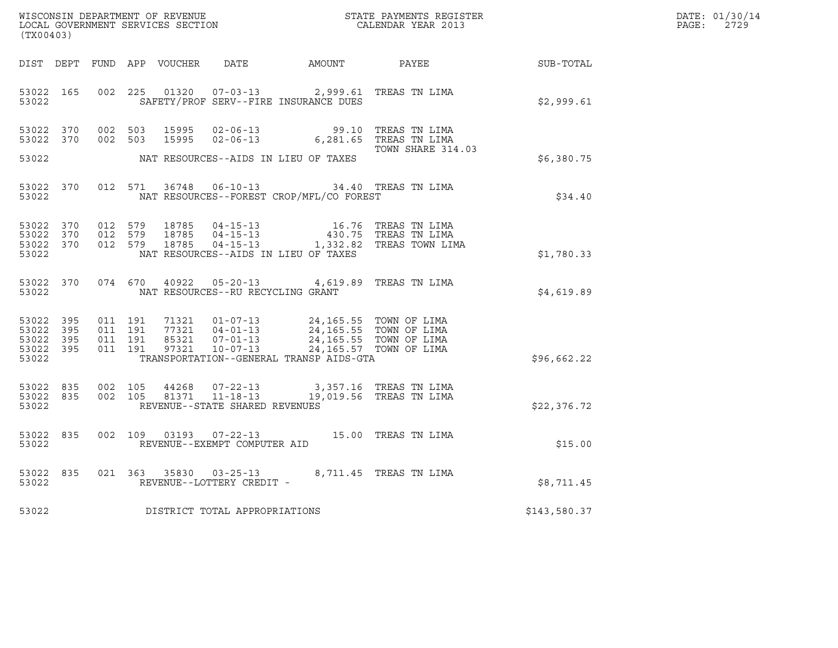| DATE: | 01/30/14 |
|-------|----------|
| PAGE: | 2729     |

| (TX00403)                                    |                                     |                               |         |  |                                   |                                                                                                                                                                                                                         |                                                                                                                                              |              | DATE: 01/30/14<br>PAGE: 2729 |
|----------------------------------------------|-------------------------------------|-------------------------------|---------|--|-----------------------------------|-------------------------------------------------------------------------------------------------------------------------------------------------------------------------------------------------------------------------|----------------------------------------------------------------------------------------------------------------------------------------------|--------------|------------------------------|
|                                              |                                     |                               |         |  |                                   |                                                                                                                                                                                                                         | DIST DEPT FUND APP VOUCHER DATE AMOUNT PAYEE SUB-TOTAL                                                                                       |              |                              |
|                                              | 53022                               |                               |         |  |                                   | 53022 165 002 225 01320 07-03-13 2,999.61 TREAS TN LIMA<br>SAFETY/PROF SERV--FIRE INSURANCE DUES                                                                                                                        |                                                                                                                                              | \$2,999.61   |                              |
|                                              |                                     |                               |         |  |                                   | 53022 370 002 503 15995 02-06-13 99.10 TREAS TN LIMA<br>53022 370 002 503 15995 02-06-13 6,281.65 TREAS TN LIMA                                                                                                         | TOWN SHARE 314.03                                                                                                                            |              |                              |
|                                              |                                     |                               |         |  |                                   | 53022 MAT RESOURCES--AIDS IN LIEU OF TAXES                                                                                                                                                                              |                                                                                                                                              | \$6,380.75   |                              |
|                                              |                                     |                               |         |  |                                   | 53022 370 012 571 36748 06-10-13 34.40 TREAS TN LIMA<br>53022 NAT RESOURCES--FOREST CROP/MFL/CO FOREST                                                                                                                  |                                                                                                                                              | \$34.40      |                              |
| 53022                                        | 53022 370<br>53022 370<br>53022 370 |                               |         |  |                                   | NAT RESOURCES--AIDS IN LIEU OF TAXES                                                                                                                                                                                    | 012 579 18785 04-15-13 16.76 TREAS TN LIMA<br>012 579 18785 04-15-13 430.75 TREAS TN LIMA<br>012 579 18785 04-15-13 1,332.82 TREAS TOWN LIMA | \$1,780.33   |                              |
|                                              | 53022                               |                               |         |  | NAT RESOURCES--RU RECYCLING GRANT | 53022 370 074 670 40922 05-20-13 4,619.89 TREAS TN LIMA                                                                                                                                                                 |                                                                                                                                              | \$4,619.89   |                              |
| 53022 395<br>53022 395<br>53022 395<br>53022 | 53022 395                           | 011 191<br>011 191<br>011 191 | 011 191 |  |                                   | 71321  01-07-13  24,165.55  TOWN OF LIMA<br>77321  04-01-13  24,165.55  TOWN OF LIMA<br>85321  07-01-13  24,165.55  TOWN OF LIMA<br>97321  10-07-13  24,165.57  TOWN OF LIMA<br>TRANSPORTATION--GENERAL TRANSP AIDS-GTA |                                                                                                                                              | \$96,662.22  |                              |
| 53022                                        | 53022 835                           | 53022 835 002 105<br>002 105  |         |  | REVENUE--STATE SHARED REVENUES    | 44268  07-22-13  3,357.16  TREAS TN LIMA<br>81371  11-18-13  19,019.56  TREAS TN LIMA                                                                                                                                   |                                                                                                                                              | \$22,376.72  |                              |
| 53022                                        | 53022 835                           |                               |         |  | REVENUE--EXEMPT COMPUTER AID      | 002 109 03193 07-22-13 15.00 TREAS TN LIMA                                                                                                                                                                              |                                                                                                                                              | \$15.00      |                              |
| 53022                                        | 53022 835                           |                               |         |  | REVENUE--LOTTERY CREDIT -         | 021 363 35830 03-25-13 8,711.45 TREAS TN LIMA                                                                                                                                                                           |                                                                                                                                              | \$8,711.45   |                              |
| 53022                                        |                                     |                               |         |  | DISTRICT TOTAL APPROPRIATIONS     |                                                                                                                                                                                                                         |                                                                                                                                              | \$143,580.37 |                              |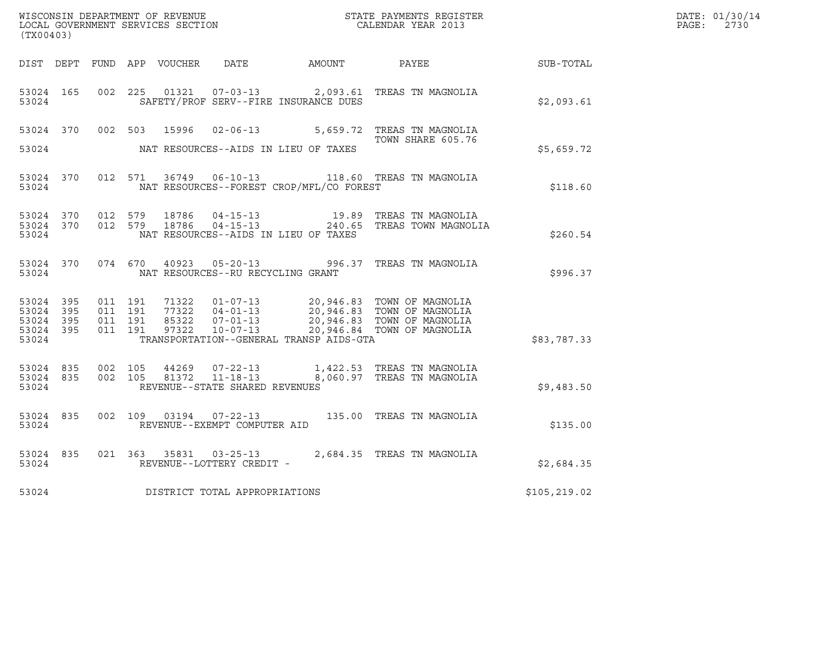| WISCONSIN DEPARTMENT OF REVENUE<br>LOCAL GOVERNMENT SERVICES SECTION TERM CALENDAR YEAR 2013<br>(TX00403) |                                         |                               |         |  |                                         |                                                |                                                                                                                                                                                                                                  |              | DATE: 01/30/14<br>PAGE: 2730 |
|-----------------------------------------------------------------------------------------------------------|-----------------------------------------|-------------------------------|---------|--|-----------------------------------------|------------------------------------------------|----------------------------------------------------------------------------------------------------------------------------------------------------------------------------------------------------------------------------------|--------------|------------------------------|
|                                                                                                           |                                         |                               |         |  |                                         |                                                | DIST DEPT FUND APP VOUCHER DATE AMOUNT PAYEE SUB-TOTAL                                                                                                                                                                           |              |                              |
| 53024 165<br>53024                                                                                        |                                         |                               |         |  |                                         | SAFETY/PROF SERV--FIRE INSURANCE DUES          | 002 225 01321 07-03-13 2,093.61 TREAS TN MAGNOLIA                                                                                                                                                                                | \$2,093.61   |                              |
|                                                                                                           |                                         |                               |         |  |                                         |                                                | 53024 370 002 503 15996 02-06-13 5,659.72 TREAS TN MAGNOLIA<br>TOWN SHARE 605.76                                                                                                                                                 |              |                              |
| 53024                                                                                                     |                                         |                               |         |  |                                         | NAT RESOURCES--AIDS IN LIEU OF TAXES           |                                                                                                                                                                                                                                  | \$5,659.72   |                              |
|                                                                                                           |                                         |                               |         |  |                                         | 53024 NAT RESOURCES--FOREST CROP/MFL/CO FOREST | 53024 370 012 571 36749 06-10-13 118.60 TREAS TN MAGNOLIA                                                                                                                                                                        | \$118.60     |                              |
|                                                                                                           | 53024                                   |                               |         |  |                                         | NAT RESOURCES--AIDS IN LIEU OF TAXES           | 53024 370 012 579 18786 04-15-13 19.89 TREAS TN MAGNOLIA<br>53024 370 012 579 18786 04-15-13 240.65 TREAS TOWN MAGNOLIA                                                                                                          | \$260.54     |                              |
|                                                                                                           |                                         |                               |         |  | 53024 NAT RESOURCES--RU RECYCLING GRANT |                                                | 53024 370 074 670 40923 05-20-13 996.37 TREAS TN MAGNOLIA                                                                                                                                                                        | \$996.37     |                              |
| 53024 395<br>53024 395<br>53024 395<br>53024                                                              | 53024 395                               | 011 191<br>011 191<br>011 191 | 011 191 |  |                                         | TRANSPORTATION--GENERAL TRANSP AIDS-GTA        | 71322     01-07-13     20,946.83     TOWN OF MAGNOLIA<br>77322     04-01-13     20,946.83     TOWN OF MAGNOLIA<br>85322     07-01-13     20,946.83     TOWN OF MAGNOLIA<br>97322     10-07-13     20,946.84     TOWN OF MAGNOLIA | \$83,787.33  |                              |
|                                                                                                           | 53024 835 002 105<br>53024 835<br>53024 |                               |         |  | REVENUE--STATE SHARED REVENUES          |                                                | 002 105 44269 07-22-13 1,422.53 TREAS TN MAGNOLIA<br>002 105 81372 11-18-13 8,060.97 TREAS TN MAGNOLIA                                                                                                                           | \$9,483.50   |                              |
| 53024                                                                                                     | 53024 835                               |                               |         |  | REVENUE--EXEMPT COMPUTER AID            |                                                | 002 109 03194 07-22-13 135.00 TREAS TN MAGNOLIA                                                                                                                                                                                  | \$135.00     |                              |
| 53024                                                                                                     | 53024 835                               |                               |         |  | REVENUE--LOTTERY CREDIT -               |                                                | 021 363 35831 03-25-13 2,684.35 TREAS TN MAGNOLIA                                                                                                                                                                                | \$2,684.35   |                              |
| 53024                                                                                                     |                                         |                               |         |  | DISTRICT TOTAL APPROPRIATIONS           |                                                |                                                                                                                                                                                                                                  | \$105,219.02 |                              |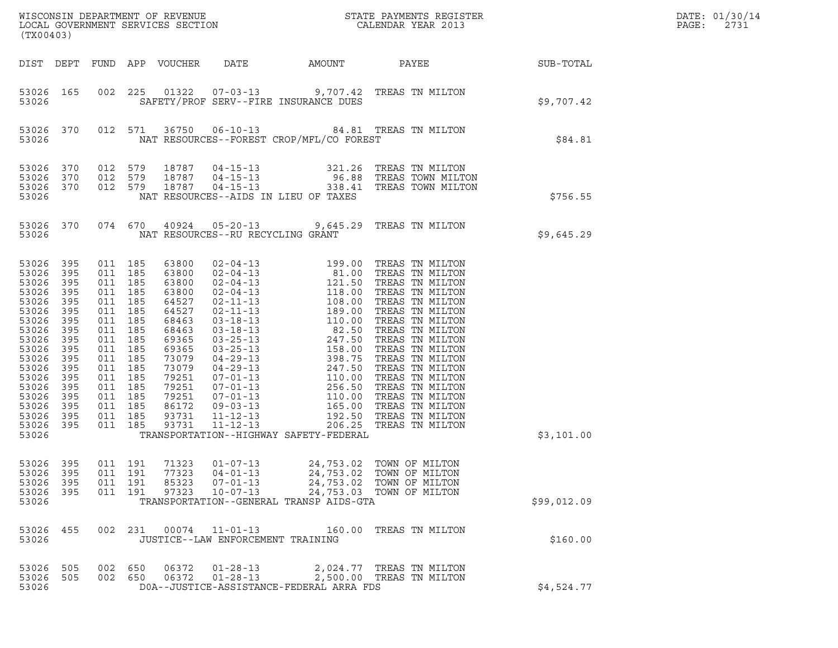| WISCONSIN DEPARTMENT OF REVENUE                               STATE PAYMENTS REGISTER LOCAL GOVERNMENT SERVICES SECTION                               CALENDAR YEAR 2013<br>(TX00403) |                                                                                                              |                                                                                                                                                                                                    |     |                                                                                                                                                                |                                                                      |                                                                   |                                                                                                          | DATE: 01/30/14<br>PAGE:<br>2731 |  |
|---------------------------------------------------------------------------------------------------------------------------------------------------------------------------------------|--------------------------------------------------------------------------------------------------------------|----------------------------------------------------------------------------------------------------------------------------------------------------------------------------------------------------|-----|----------------------------------------------------------------------------------------------------------------------------------------------------------------|----------------------------------------------------------------------|-------------------------------------------------------------------|----------------------------------------------------------------------------------------------------------|---------------------------------|--|
|                                                                                                                                                                                       |                                                                                                              |                                                                                                                                                                                                    |     | DIST DEPT FUND APP VOUCHER DATE                                                                                                                                |                                                                      | AMOUNT                                                            |                                                                                                          | PAYEE SUB-TOTAL                 |  |
| 53026 165<br>53026                                                                                                                                                                    |                                                                                                              | 002 225                                                                                                                                                                                            |     |                                                                                                                                                                |                                                                      | SAFETY/PROF SERV--FIRE INSURANCE DUES                             | 01322  07-03-13  9,707.42  TREAS TN MILTON                                                               | \$9,707.42                      |  |
| 53026                                                                                                                                                                                 | 53026 370                                                                                                    |                                                                                                                                                                                                    |     |                                                                                                                                                                |                                                                      | NAT RESOURCES--FOREST CROP/MFL/CO FOREST                          | 012 571 36750 06-10-13 84.81 TREAS TN MILTON                                                             | \$84.81                         |  |
| 53026<br>53026<br>53026                                                                                                                                                               | 370<br>370<br>53026 370                                                                                      | 012 579<br>012 579<br>012 579                                                                                                                                                                      |     | 18787<br>18787<br>18787                                                                                                                                        |                                                                      | NAT RESOURCES--AIDS IN LIEU OF TAXES                              | 04-15-13 321.26 TREAS TN MILTON<br>04-15-13 96.88 TREAS TOWN MILTON<br>04-15-13 338.41 TREAS TOWN MILTON | \$756.55                        |  |
| 53026                                                                                                                                                                                 |                                                                                                              |                                                                                                                                                                                                    |     |                                                                                                                                                                | NAT RESOURCES--RU RECYCLING GRANT                                    |                                                                   | 53026 370 074 670 40924 05-20-13 9,645.29 TREAS TN MILTON                                                | \$9,645.29                      |  |
| 53026 395<br>53026<br>53026<br>53026<br>53026<br>53026<br>53026<br>53026<br>53026<br>53026<br>53026<br>53026<br>53026<br>53026<br>53026<br>53026<br>53026<br>53026 395<br>53026       | 395<br>395<br>395<br>395<br>395<br>395<br>395<br>395<br>395<br>395<br>395<br>395<br>395<br>395<br>395<br>395 | 011 185<br>011 185<br>011 185<br>011 185<br>011 185<br>011 185<br>011 185<br>011 185<br>011 185<br>011 185<br>011 185<br>011 185<br>011 185<br>011 185<br>011 185<br>011 185<br>011 185<br>011 185 |     | 63800<br>63800<br>63800<br>63800<br>64527<br>64527<br>68463<br>68463<br>69365<br>69365<br>73079<br>73079<br>79251<br>79251<br>79251<br>86172<br>93731<br>93731 |                                                                      | TRANSPORTATION--HIGHWAY SAFETY-FEDERAL                            |                                                                                                          | \$3,101.00                      |  |
| 53026<br>53026<br>53026<br>53026<br>53026                                                                                                                                             | 395<br>395<br>395<br>395                                                                                     | 011 191<br>011 191<br>011 191<br>011 191                                                                                                                                                           |     | 71323<br>77323<br>85323<br>97323                                                                                                                               | $01 - 07 - 13$<br>$04 - 01 - 13$<br>$07 - 01 - 13$<br>$10 - 07 - 13$ | 24,753.02<br>24,753.02<br>TRANSPORTATION--GENERAL TRANSP AIDS-GTA | TOWN OF MILTON<br>TOWN OF MILTON<br>24,753.02 TOWN OF MILTON<br>24,753.03 TOWN OF MILTON                 | \$99,012.09                     |  |
| 53026<br>53026                                                                                                                                                                        | 455                                                                                                          | 002                                                                                                                                                                                                | 231 | 00074                                                                                                                                                          | $11 - 01 - 13$<br>JUSTICE--LAW ENFORCEMENT TRAINING                  |                                                                   | 160.00 TREAS TN MILTON                                                                                   | \$160.00                        |  |
| 53026<br>53026<br>53026                                                                                                                                                               | 505<br>505                                                                                                   | 002 650<br>002 650                                                                                                                                                                                 |     | 06372<br>06372                                                                                                                                                 | $01 - 28 - 13$<br>$01 - 28 - 13$                                     | DOA--JUSTICE-ASSISTANCE-FEDERAL ARRA FDS                          | 2,024.77 TREAS TN MILTON<br>2,500.00 TREAS TN MILTON                                                     | \$4,524.77                      |  |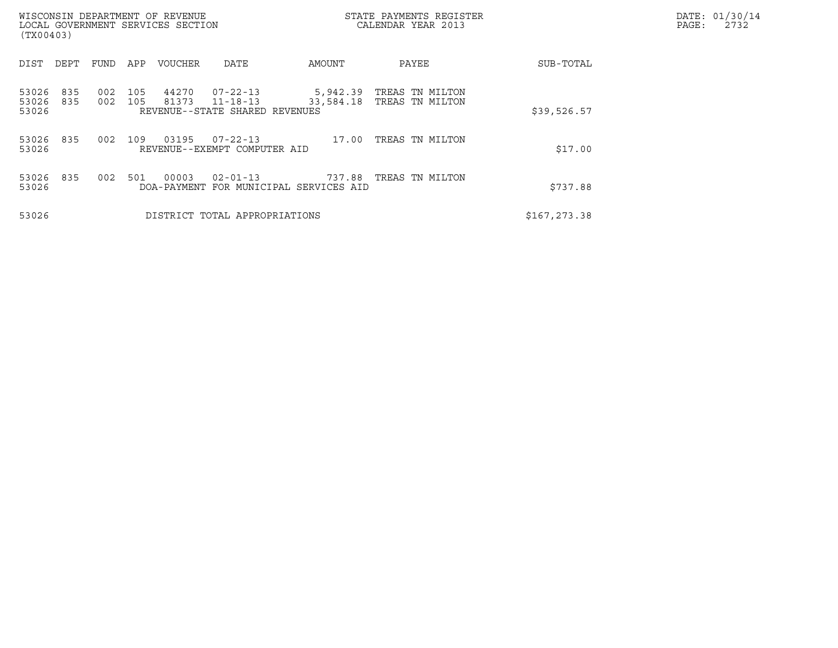| WISCONSIN DEPARTMENT OF REVENUE<br>LOCAL GOVERNMENT SERVICES SECTION<br>(TX00403) |            |            |                |                                                              |                       | STATE PAYMENTS REGISTER<br>CALENDAR YEAR 2013 |               | DATE: 01/30/14<br>PAGE:<br>2732 |
|-----------------------------------------------------------------------------------|------------|------------|----------------|--------------------------------------------------------------|-----------------------|-----------------------------------------------|---------------|---------------------------------|
| DIST<br>DEPT                                                                      | FUND       | APP        | <b>VOUCHER</b> | DATE                                                         | AMOUNT                | PAYEE                                         | SUB-TOTAL     |                                 |
| 835<br>53026<br>53026<br>835<br>53026                                             | 002<br>002 | 105<br>105 | 44270<br>81373 | 07-22-13<br>$11 - 18 - 13$<br>REVENUE--STATE SHARED REVENUES | 5,942.39<br>33,584.18 | TREAS TN MILTON<br>TREAS TN MILTON            | \$39,526.57   |                                 |
| 835<br>53026<br>53026                                                             | 002        | 109        | 03195          | $07 - 22 - 13$<br>REVENUE--EXEMPT COMPUTER AID               | 17.00                 | TREAS TN MILTON                               | \$17.00       |                                 |
| 835<br>53026<br>53026                                                             | 002        | 501        | 00003          | $02 - 01 - 13$<br>DOA-PAYMENT FOR MUNICIPAL SERVICES AID     | 737.88                | TREAS TN MILTON                               | \$737.88      |                                 |
| 53026                                                                             |            |            |                | DISTRICT TOTAL APPROPRIATIONS                                |                       |                                               | \$167, 273.38 |                                 |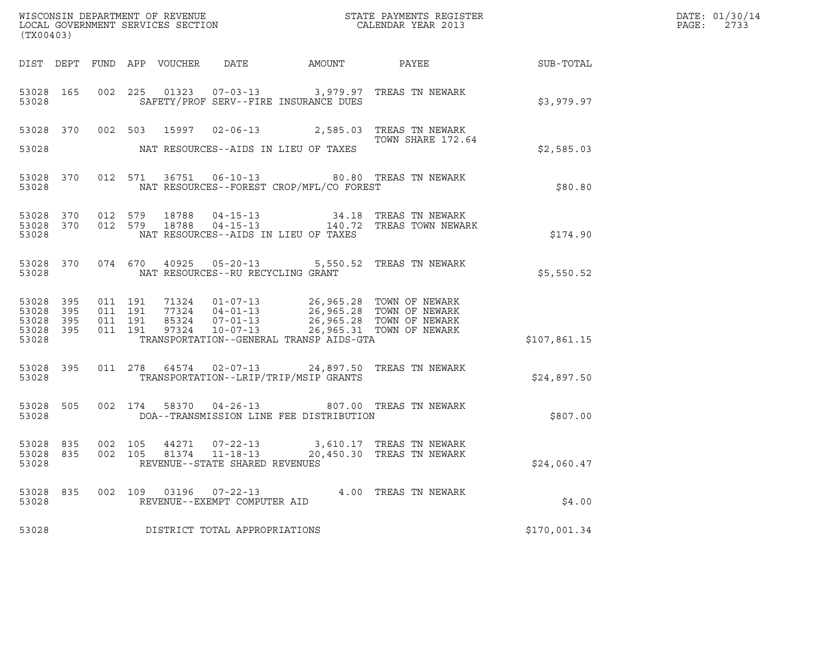| (TX00403)                                             |     |         |  |                                                 |                                                |                                                                                                                                                                                                               | DATE: 01/30/14<br>PAGE:<br>2733 |  |
|-------------------------------------------------------|-----|---------|--|-------------------------------------------------|------------------------------------------------|---------------------------------------------------------------------------------------------------------------------------------------------------------------------------------------------------------------|---------------------------------|--|
|                                                       |     |         |  |                                                 |                                                | DIST DEPT FUND APP VOUCHER DATE AMOUNT PAYEE SUB-TOTAL                                                                                                                                                        |                                 |  |
| 53028                                                 |     |         |  |                                                 | SAFETY/PROF SERV--FIRE INSURANCE DUES          | 53028 165 002 225 01323 07-03-13 3,979.97 TREAS TN NEWARK                                                                                                                                                     | \$3,979.97                      |  |
|                                                       |     |         |  |                                                 |                                                | 53028 370 002 503 15997 02-06-13 2,585.03 TREAS TN NEWARK<br>TOWN SHARE 172.64<br>TOWN SHARE 172.64                                                                                                           |                                 |  |
|                                                       |     |         |  |                                                 | 53028 NAT RESOURCES--AIDS IN LIEU OF TAXES     |                                                                                                                                                                                                               | \$2,585.03                      |  |
|                                                       |     |         |  |                                                 | 53028 NAT RESOURCES--FOREST CROP/MFL/CO FOREST | 53028 370 012 571 36751 06-10-13 80.80 TREAS TN NEWARK                                                                                                                                                        | \$80.80                         |  |
| 53028                                                 |     |         |  |                                                 | NAT RESOURCES--AIDS IN LIEU OF TAXES           | $\begin{array}{cccccc} 53028 & 370 & 012 & 579 & 18788 & 04-15-13 & & & & 34.18 & \text{TREAS TN NEWARK} \\ 53028 & 370 & 012 & 579 & 18788 & 04-15-13 & & & & 140.72 & \text{TREAS TOWN NEWARK} \end{array}$ | \$174.90                        |  |
|                                                       |     |         |  | 53028 NAT RESOURCES--RU RECYCLING GRANT         |                                                | 53028 370 074 670 40925 05-20-13 5,550.52 TREAS TN NEWARK                                                                                                                                                     | \$5,550.52                      |  |
| 53028 395<br>53028<br>53028 395<br>53028 395<br>53028 | 395 |         |  |                                                 | TRANSPORTATION--GENERAL TRANSP AIDS-GTA        | 011 191 71324 01-07-13 26,965.28 TOWN OF NEWARK<br>011 191 77324 04-01-13 26,965.28 TOWN OF NEWARK<br>011 191 85324 07-01-13 26,965.28 TOWN OF NEWARK<br>011 191 97324 10-07-13 26,965.31 TOWN OF NEWARK      | \$107,861.15                    |  |
| 53028 300                                             |     |         |  |                                                 | TRANSPORTATION--LRIP/TRIP/MSIP GRANTS          | 53028 395 011 278 64574 02-07-13 24,897.50 TREAS TN NEWARK                                                                                                                                                    | \$24,897.50                     |  |
|                                                       |     |         |  |                                                 | 53028 DOA--TRANSMISSION LINE FEE DISTRIBUTION  | 53028 505 002 174 58370 04-26-13 807.00 TREAS TN NEWARK                                                                                                                                                       | \$807.00                        |  |
| 53028 835<br>53028 835<br>53028                       |     |         |  | REVENUE--STATE SHARED REVENUES                  |                                                | 002 105 44271 07-22-13 3,610.17 TREAS TN NEWARK<br>002 105 81374 11-18-13 20,450.30 TREAS TN NEWARK                                                                                                           | \$24,060.47                     |  |
| 53028 835<br>53028                                    |     | 002 109 |  | 03196  07-22-13<br>REVENUE--EXEMPT COMPUTER AID |                                                | 4.00 TREAS TN NEWARK                                                                                                                                                                                          | \$4.00                          |  |
| 53028                                                 |     |         |  | DISTRICT TOTAL APPROPRIATIONS                   |                                                |                                                                                                                                                                                                               | \$170,001.34                    |  |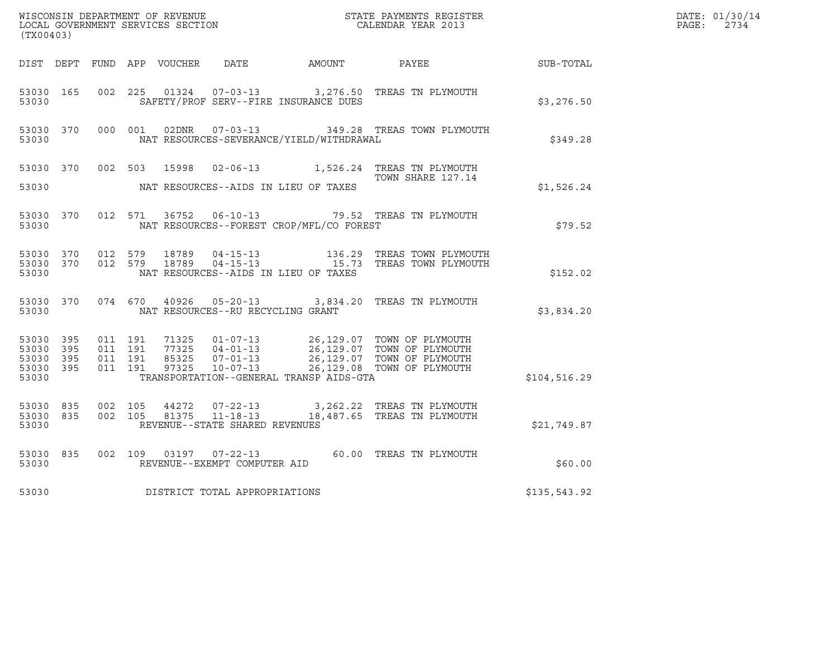| (TX00403)                                             |           |                                          |         |                |                                                  |                                              |                                                                                                                                                                                                                   |                  | DATE: 01/30/14<br>$\mathtt{PAGE}$ :<br>2734 |
|-------------------------------------------------------|-----------|------------------------------------------|---------|----------------|--------------------------------------------------|----------------------------------------------|-------------------------------------------------------------------------------------------------------------------------------------------------------------------------------------------------------------------|------------------|---------------------------------------------|
|                                                       |           |                                          |         |                |                                                  | DIST DEPT FUND APP VOUCHER DATE AMOUNT PAYEE |                                                                                                                                                                                                                   | <b>SUB-TOTAL</b> |                                             |
| 53030 165<br>53030                                    |           | 002 225                                  |         |                |                                                  | SAFETY/PROF SERV--FIRE INSURANCE DUES        | 01324  07-03-13  3,276.50  TREAS TN PLYMOUTH                                                                                                                                                                      | \$3,276.50       |                                             |
| 53030                                                 | 53030 370 |                                          | 000 001 |                |                                                  | NAT RESOURCES-SEVERANCE/YIELD/WITHDRAWAL     | 02DNR  07-03-13  349.28 TREAS TOWN PLYMOUTH                                                                                                                                                                       | \$349.28         |                                             |
| 53030 370                                             |           |                                          | 002 503 | 15998          |                                                  |                                              | 02-06-13 1,526.24 TREAS TN PLYMOUTH<br>TOWN SHARE 127.14                                                                                                                                                          |                  |                                             |
| 53030                                                 |           |                                          |         |                |                                                  | NAT RESOURCES--AIDS IN LIEU OF TAXES         |                                                                                                                                                                                                                   | \$1,526.24       |                                             |
| 53030 370<br>53030                                    |           |                                          | 012 571 |                |                                                  | NAT RESOURCES--FOREST CROP/MFL/CO FOREST     | 36752  06-10-13  79.52  TREAS TN PLYMOUTH                                                                                                                                                                         | \$79.52          |                                             |
| 53030                                                 | 53030 370 | 53030 370 012 579                        | 012 579 |                |                                                  | NAT RESOURCES--AIDS IN LIEU OF TAXES         |                                                                                                                                                                                                                   | \$152.02         |                                             |
| 53030                                                 | 53030 370 |                                          |         | 074 670 40926  | NAT RESOURCES--RU RECYCLING GRANT                |                                              | 05-20-13 3,834.20 TREAS TN PLYMOUTH                                                                                                                                                                               | \$3,834.20       |                                             |
| 53030 395<br>53030<br>53030 395<br>53030 395<br>53030 | 395       | 011 191<br>011 191<br>011 191<br>011 191 |         | 97325          | 85325 07-01-13<br>$10 - 07 - 13$                 | TRANSPORTATION--GENERAL TRANSP AIDS-GTA      | 71325 01-07-13 26,129.07 TOWN OF PLYMOUTH<br>77325 04-01-13<br>77325 04-01-13 26,129.07 TOWN OF PLYMOUTH<br>85325 07-01-13 26.129.07 TOWN OF PLYMOUTH<br>26,129.07 TOWN OF PLYMOUTH<br>26,129.08 TOWN OF PLYMOUTH | \$104,516.29     |                                             |
| 53030 835<br>53030 835<br>53030                       |           | 002 105<br>002 105                       |         | 44272<br>81375 | $11 - 18 - 13$<br>REVENUE--STATE SHARED REVENUES |                                              | 07-22-13 3,262.22 TREAS TN PLYMOUTH<br>18,487.65 TREAS TN PLYMOUTH                                                                                                                                                | \$21,749.87      |                                             |
| 53030 835<br>53030                                    |           | 002 109                                  |         |                | 03197 07-22-13<br>REVENUE--EXEMPT COMPUTER AID   |                                              | 60.00 TREAS TN PLYMOUTH                                                                                                                                                                                           | \$60.00          |                                             |
| 53030                                                 |           |                                          |         |                | DISTRICT TOTAL APPROPRIATIONS                    |                                              |                                                                                                                                                                                                                   | \$135,543.92     |                                             |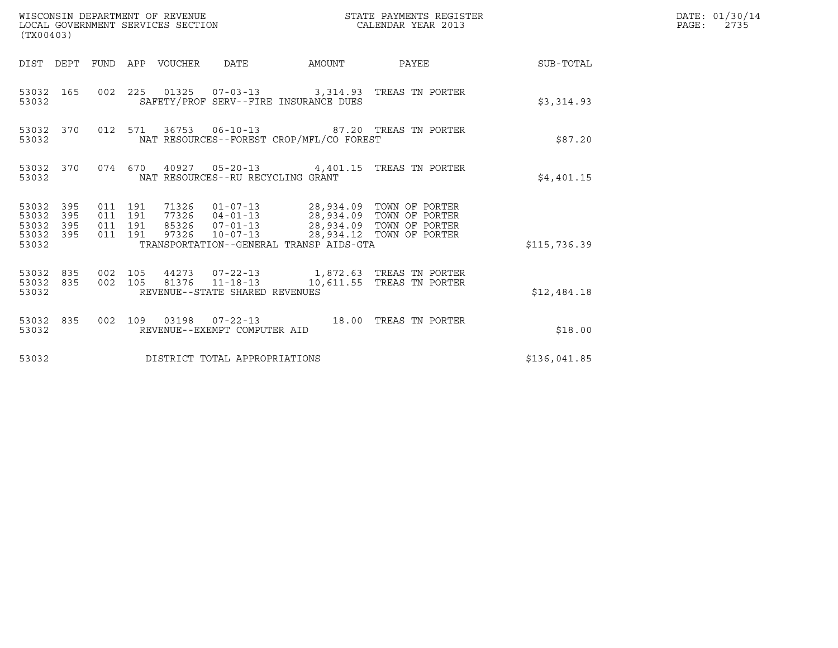| (TX00403)                                                    | WISCONSIN DEPARTMENT OF REVENUE<br>LOCAL GOVERNMENT SERVICES SECTION                                                                            | STATE PAYMENTS REGISTER<br>CALENDAR YEAR 2013 | DATE: 01/30/14<br>$\mathtt{PAGE:}$<br>2735 |
|--------------------------------------------------------------|-------------------------------------------------------------------------------------------------------------------------------------------------|-----------------------------------------------|--------------------------------------------|
|                                                              | DIST DEPT FUND APP VOUCHER DATE                                                                                                                 | AMOUNT PAYEE SUB-TOTAL                        |                                            |
| 53032 165<br>53032                                           | 002 225 01325 07-03-13 3,314.93 TREAS TN PORTER<br>SAFETY/PROF SERV--FIRE INSURANCE DUES                                                        | \$3,314.93                                    |                                            |
| 53032 370<br>53032                                           | 012 571 36753 06-10-13 87.20 TREAS TN PORTER<br>NAT RESOURCES--FOREST CROP/MFL/CO FOREST                                                        | \$87.20                                       |                                            |
| 53032                                                        | 53032 370 074 670 40927 05-20-13 4,401.15 TREAS TN PORTER<br>NAT RESOURCES--RU RECYCLING GRANT                                                  | \$4,401.15                                    |                                            |
| 53032 395<br>53032<br>395<br>53032 395<br>53032 395<br>53032 | 011 191<br>011 191<br>011 191<br>97326  10-07-13  28,934.12  TOWN OF PORTER<br>011 191<br>TRANSPORTATION--GENERAL TRANSP AIDS-GTA               | \$115,736.39                                  |                                            |
| 53032 835<br>53032                                           | 53032 835 002 105 44273 07-22-13 1,872.63 TREAS TN PORTER<br>002 105 81376 11-18-13 10,611.55 TREAS TN PORTER<br>REVENUE--STATE SHARED REVENUES | \$12,484.18                                   |                                            |
| 53032 835<br>53032                                           | 002 109 03198 07-22-13 18.00 TREAS TN PORTER<br>REVENUE--EXEMPT COMPUTER AID                                                                    | \$18.00                                       |                                            |
| 53032                                                        | DISTRICT TOTAL APPROPRIATIONS                                                                                                                   | \$136,041.85                                  |                                            |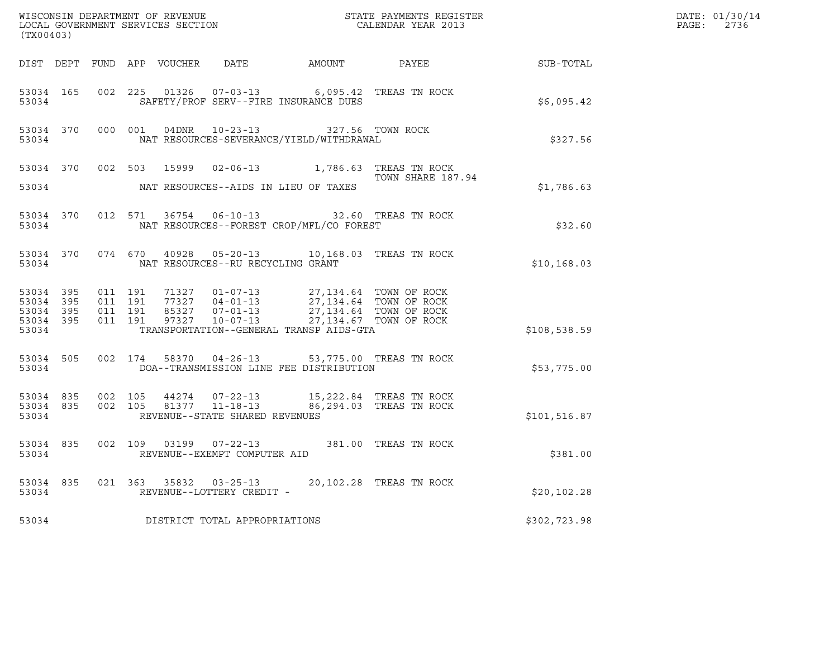| (TX00403)              |                   |                    |                                   |                                                                                                                                                                              |                   |               | DATE: 01/30/14<br>PAGE: 2736 |
|------------------------|-------------------|--------------------|-----------------------------------|------------------------------------------------------------------------------------------------------------------------------------------------------------------------------|-------------------|---------------|------------------------------|
|                        |                   |                    |                                   |                                                                                                                                                                              |                   |               |                              |
| 53034                  | 53034 165         |                    |                                   | 002 225 01326 07-03-13 6,095.42 TREAS TN ROCK<br>SAFETY/PROF SERV--FIRE INSURANCE DUES                                                                                       |                   | \$6,095.42    |                              |
| 53034                  |                   |                    |                                   | 53034 370 000 001 04DNR 10-23-13 327.56 TOWN ROCK<br>NAT RESOURCES-SEVERANCE/YIELD/WITHDRAWAL                                                                                |                   | \$327.56      |                              |
|                        |                   |                    |                                   | 53034 370 002 503 15999 02-06-13 1,786.63 TREAS TN ROCK                                                                                                                      | TOWN SHARE 187.94 |               |                              |
| 53034                  |                   |                    |                                   | NAT RESOURCES--AIDS IN LIEU OF TAXES                                                                                                                                         |                   | \$1,786.63    |                              |
| 53034                  | 53034 370         | 012 571            |                                   | 36754  06-10-13  32.60 TREAS TN ROCK<br>NAT RESOURCES--FOREST CROP/MFL/CO FOREST                                                                                             |                   | \$32.60       |                              |
|                        | 53034             |                    | NAT RESOURCES--RU RECYCLING GRANT | 53034 370 074 670 40928 05-20-13 10,168.03 TREAS TN ROCK                                                                                                                     |                   | \$10,168.03   |                              |
| 53034 395<br>53034 395 |                   | 011 191<br>011 191 |                                   | 71327  01-07-13  27,134.64  TOWN OF ROCK<br>77327  04-01-13  27,134.64  TOWN OF ROCK<br>85327  07-01-13  27,134.64  TOWN OF ROCK<br>97327  10-07-13  27,134.67  TOWN OF ROCK |                   |               |                              |
| 53034 395<br>53034     | 53034 395         | 011 191<br>011 191 |                                   | TRANSPORTATION--GENERAL TRANSP AIDS-GTA                                                                                                                                      |                   | \$108,538.59  |                              |
| 53034                  |                   |                    |                                   | 53034 505 002 174 58370 04-26-13 53,775.00 TREAS TN ROCK<br>DOA--TRANSMISSION LINE FEE DISTRIBUTION                                                                          |                   | \$53,775.00   |                              |
| 53034 835<br>53034     | 53034 835 002 105 | 002 105            | REVENUE--STATE SHARED REVENUES    | $\begin{array}{cccc} 44274 & 07-22-13 & 15,222.84 & \text{TREAS TN ROCK} \\ 81377 & 11-18-13 & 86,294.03 & \text{TREAS TN ROCK} \end{array}$                                 |                   | \$101, 516.87 |                              |
| 53034                  | 53034 835         |                    | REVENUE--EXEMPT COMPUTER AID      | 002 109 03199 07-22-13 381.00 TREAS TN ROCK                                                                                                                                  |                   | \$381.00      |                              |
| 53034                  |                   |                    | REVENUE--LOTTERY CREDIT -         | 53034 835 021 363 35832 03-25-13 20,102.28 TREAS TN ROCK                                                                                                                     |                   | \$20, 102.28  |                              |
| 53034                  |                   |                    | DISTRICT TOTAL APPROPRIATIONS     |                                                                                                                                                                              |                   | \$302,723.98  |                              |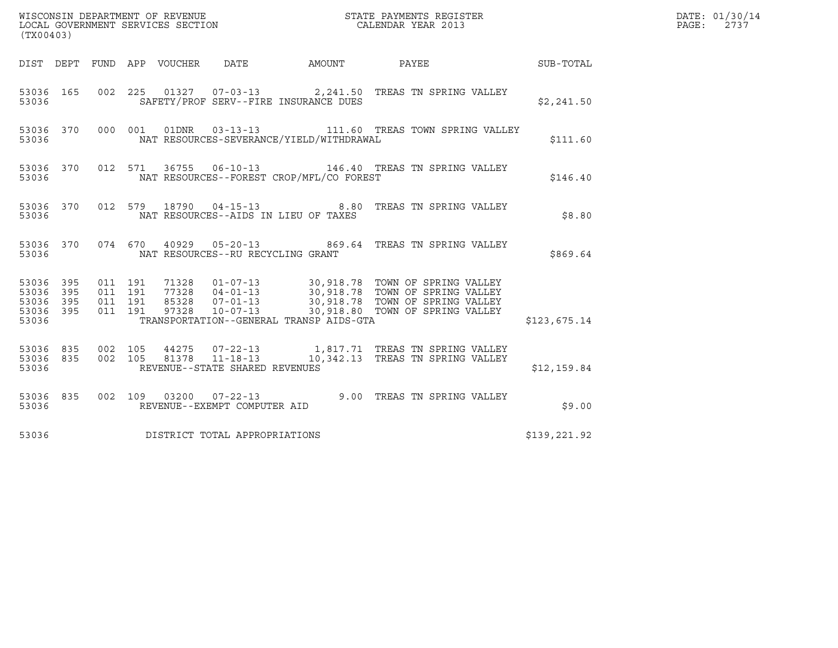| (TX00403)                                                         |                               |  |                                   | DATE: 01/30/14<br>PAGE:<br>2737            |                                                                  |              |  |
|-------------------------------------------------------------------|-------------------------------|--|-----------------------------------|--------------------------------------------|------------------------------------------------------------------|--------------|--|
|                                                                   |                               |  |                                   |                                            | DIST DEPT FUND APP VOUCHER DATE AMOUNT PAYEE SUB-TOTAL           |              |  |
| 53036                                                             |                               |  |                                   | SAFETY/PROF SERV--FIRE INSURANCE DUES      | 53036 165 002 225 01327 07-03-13 2,241.50 TREAS TN SPRING VALLEY | \$2,241.50   |  |
| 53036                                                             |                               |  |                                   | NAT RESOURCES-SEVERANCE/YIELD/WITHDRAWAL   | 53036 370 000 001 01DNR 03-13-13 111.60 TREAS TOWN SPRING VALLEY | \$111.60     |  |
| 53036                                                             |                               |  |                                   | NAT RESOURCES--FOREST CROP/MFL/CO FOREST   | 53036 370 012 571 36755 06-10-13 146.40 TREAS TN SPRING VALLEY   | \$146.40     |  |
|                                                                   |                               |  |                                   | 53036 MAT RESOURCES--AIDS IN LIEU OF TAXES | 53036 370 012 579 18790 04-15-13 8.80 TREAS TN SPRING VALLEY     | \$8.80       |  |
| 53036                                                             |                               |  | NAT RESOURCES--RU RECYCLING GRANT |                                            | 53036 370 074 670 40929 05-20-13 869.64 TREAS TN SPRING VALLEY   | \$869.64     |  |
| 53036 395 011 191<br>53036 395<br>53036 395<br>53036 395<br>53036 | 011 191<br>011 191<br>011 191 |  |                                   | TRANSPORTATION--GENERAL TRANSP AIDS-GTA    |                                                                  | \$123,675.14 |  |
| 53036                                                             |                               |  | REVENUE--STATE SHARED REVENUES    |                                            |                                                                  | \$12,159.84  |  |
| 53036                                                             |                               |  | REVENUE--EXEMPT COMPUTER AID      |                                            | 53036 835 002 109 03200 07-22-13 200 9.00 TREAS TN SPRING VALLEY | \$9.00       |  |
| 53036                                                             |                               |  | DISTRICT TOTAL APPROPRIATIONS     |                                            |                                                                  | \$139,221.92 |  |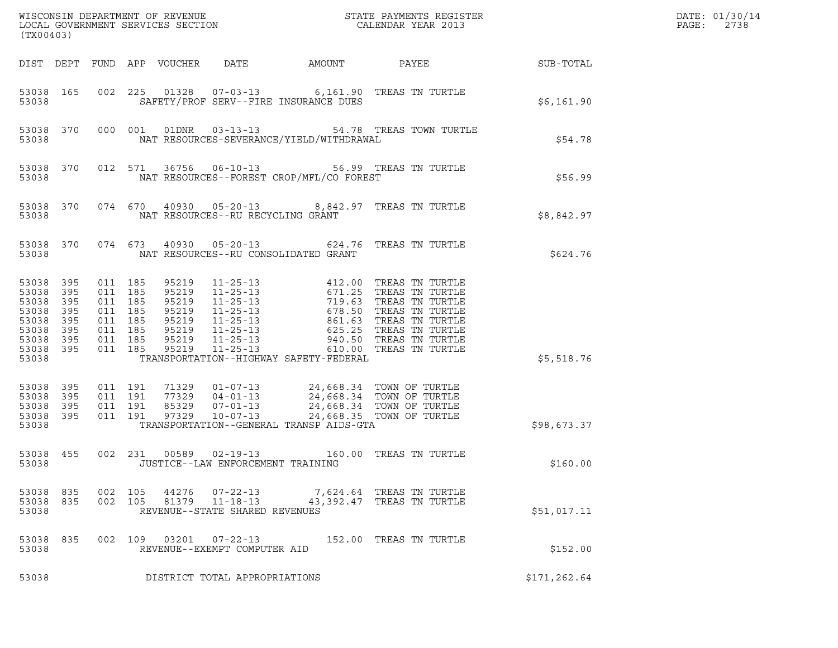| (TX00403)                                                                             |                                        |                                                                                      |         |                                                                      |                                                        |                                                                                                                                                        |                                                                                                                                                                                                                                                                                                  |                  | DATE: 01/30/14<br>PAGE:<br>2738 |
|---------------------------------------------------------------------------------------|----------------------------------------|--------------------------------------------------------------------------------------|---------|----------------------------------------------------------------------|--------------------------------------------------------|--------------------------------------------------------------------------------------------------------------------------------------------------------|--------------------------------------------------------------------------------------------------------------------------------------------------------------------------------------------------------------------------------------------------------------------------------------------------|------------------|---------------------------------|
|                                                                                       |                                        |                                                                                      |         | DIST DEPT FUND APP VOUCHER                                           | DATE                                                   | AMOUNT                                                                                                                                                 | PAYEE                                                                                                                                                                                                                                                                                            | <b>SUB-TOTAL</b> |                                 |
| 53038 165<br>53038                                                                    |                                        |                                                                                      |         |                                                                      |                                                        | SAFETY/PROF SERV--FIRE INSURANCE DUES                                                                                                                  | 002 225 01328 07-03-13 6,161.90 TREAS TN TURTLE                                                                                                                                                                                                                                                  | \$6,161.90       |                                 |
| 53038                                                                                 | 53038 370                              |                                                                                      | 000 001 |                                                                      |                                                        | NAT RESOURCES-SEVERANCE/YIELD/WITHDRAWAL                                                                                                               | 01DNR  03-13-13  54.78  TREAS TOWN TURTLE                                                                                                                                                                                                                                                        | \$54.78          |                                 |
| 53038                                                                                 | 53038 370                              |                                                                                      | 012 571 |                                                                      |                                                        | NAT RESOURCES--FOREST CROP/MFL/CO FOREST                                                                                                               | 36756  06-10-13  56.99  TREAS TN TURTLE                                                                                                                                                                                                                                                          | \$56.99          |                                 |
| 53038                                                                                 | 53038 370                              |                                                                                      |         |                                                                      | NAT RESOURCES--RU RECYCLING GRANT                      |                                                                                                                                                        | 074 670 40930 05-20-13 8,842.97 TREAS TN TURTLE                                                                                                                                                                                                                                                  | \$8,842.97       |                                 |
| 53038                                                                                 | 53038 370                              |                                                                                      | 074 673 |                                                                      |                                                        | NAT RESOURCES--RU CONSOLIDATED GRANT                                                                                                                   | 40930  05-20-13  624.76  TREAS TN TURTLE                                                                                                                                                                                                                                                         | \$624.76         |                                 |
| 53038 395<br>53038<br>53038<br>53038<br>53038<br>53038<br>53038<br>53038 395<br>53038 | 395<br>395<br>395<br>395<br>395<br>395 | 011 185<br>011 185<br>011 185<br>011 185<br>011 185<br>011 185<br>011 185<br>011 185 |         | 95219<br>95219<br>95219<br>95219<br>95219<br>95219<br>95219<br>95219 | $11 - 25 - 13$                                         | TRANSPORTATION--HIGHWAY SAFETY-FEDERAL                                                                                                                 | 11-25-13<br>11-25-13<br>11-25-13<br>11-25-13<br>11-25-13<br>11-25-13<br>11-25-13<br>11-25-13<br>11-25-13<br>11-25-13<br>11-25-13<br>11-25-13<br>11-25-13<br>240.50<br>TREAS TN TURTLE<br>11-25-13<br>240.50<br>TREAS TN TURTLE<br>11-25-13<br>240.50<br>TREAS TN TURTL<br>610.00 TREAS TN TURTLE | \$5,518.76       |                                 |
| 53038 395<br>53038<br>53038<br>53038 395<br>53038                                     | 395<br>395                             | 011 191<br>011 191<br>011 191<br>011 191                                             |         | 71329<br>77329<br>85329<br>97329                                     | $10 - 07 - 13$                                         | 01-07-13 24,668.34 TOWN OF TURTLE<br>04-01-13 24,668.34 TOWN OF TURTLE<br>07-01-13 24,668.34 TOWN OF TURTLE<br>TRANSPORTATION--GENERAL TRANSP AIDS-GTA | 24,668.35 TOWN OF TURTLE                                                                                                                                                                                                                                                                         | \$98,673.37      |                                 |
| 53038 455<br>53038                                                                    |                                        |                                                                                      | 002 231 | 00589                                                                | JUSTICE--LAW ENFORCEMENT TRAINING                      |                                                                                                                                                        |                                                                                                                                                                                                                                                                                                  | \$160.00         |                                 |
| 53038 835<br>53038                                                                    |                                        | 53038 835 002 105<br>002 105                                                         |         |                                                                      | REVENUE--STATE SHARED REVENUES                         |                                                                                                                                                        | 44276  07-22-13  7,624.64 TREAS TN TURTLE<br>81379  11-18-13  43,392.47  TREAS TN TURTLE                                                                                                                                                                                                         | \$51,017.11      |                                 |
| 53038 835<br>53038                                                                    |                                        |                                                                                      |         |                                                                      | 002 109 03201 07-22-13<br>REVENUE--EXEMPT COMPUTER AID |                                                                                                                                                        | 152.00 TREAS TN TURTLE                                                                                                                                                                                                                                                                           | \$152.00         |                                 |
| 53038                                                                                 |                                        |                                                                                      |         |                                                                      | DISTRICT TOTAL APPROPRIATIONS                          |                                                                                                                                                        |                                                                                                                                                                                                                                                                                                  | \$171,262.64     |                                 |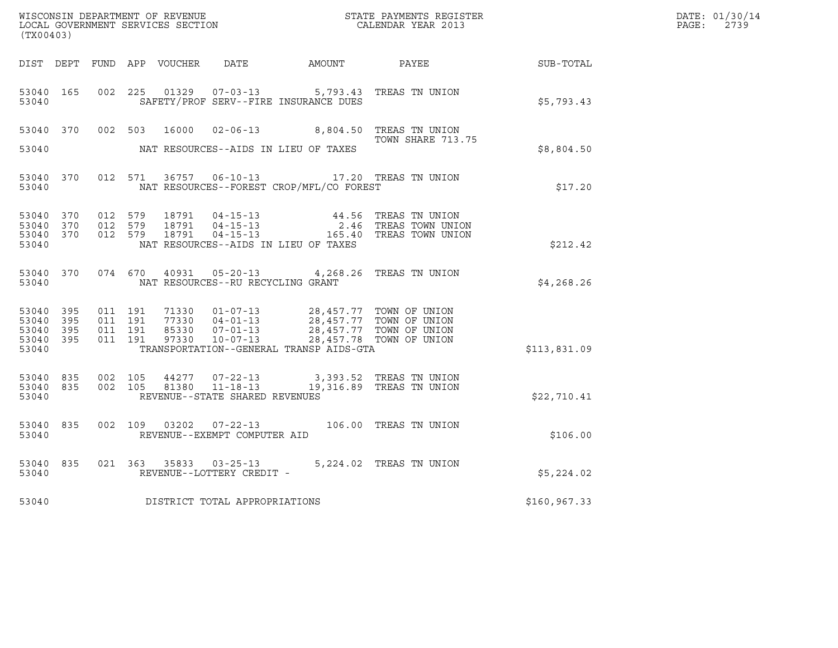| (TX00403)                                                 |     |                               |         |                                  |                                                     |                                                                                         |                                                                               |               | DATE: 01/30/14<br>$\mathtt{PAGE}$ :<br>2739 |
|-----------------------------------------------------------|-----|-------------------------------|---------|----------------------------------|-----------------------------------------------------|-----------------------------------------------------------------------------------------|-------------------------------------------------------------------------------|---------------|---------------------------------------------|
|                                                           |     |                               |         |                                  |                                                     |                                                                                         | DIST DEPT FUND APP VOUCHER DATE AMOUNT PAYEE TO SUB-TOTAL                     |               |                                             |
| 53040 165<br>53040                                        |     | 002 225                       |         | 01329                            |                                                     | 07-03-13 5,793.43 TREAS TN UNION<br>SAFETY/PROF SERV--FIRE INSURANCE DUES               |                                                                               | \$5,793.43    |                                             |
| 53040 370                                                 |     | 002 503                       |         | 16000                            |                                                     | 02-06-13 8,804.50 TREAS TN UNION                                                        | TOWN SHARE 713.75                                                             |               |                                             |
| 53040                                                     |     |                               |         |                                  |                                                     | NAT RESOURCES--AIDS IN LIEU OF TAXES                                                    |                                                                               | \$8,804.50    |                                             |
| 53040 370<br>53040                                        |     |                               | 012 571 |                                  |                                                     | 36757  06-10-13    17.20    TREAS TN UNION<br>NAT RESOURCES--FOREST CROP/MFL/CO FOREST  |                                                                               | \$17.20       |                                             |
| 53040 370<br>53040<br>53040 370<br>53040                  | 370 | 012 579<br>012 579<br>012 579 |         | 18791<br>18791<br>18791          | $04 - 15 - 13$<br>04 - 15 - 13<br>04 - 15 - 13      | NAT RESOURCES--AIDS IN LIEU OF TAXES                                                    | 44.56 TREAS TN UNION<br>2.46 TREAS TOWN UNION<br>165.40 TREAS TOWN UNION      | \$212.42      |                                             |
| 53040 370<br>53040                                        |     |                               | 074 670 |                                  | NAT RESOURCES--RU RECYCLING GRANT                   | 40931 05-20-13 4,268.26 TREAS TN UNION                                                  |                                                                               | \$4,268.26    |                                             |
| 53040 395<br>53040 395<br>53040 395<br>53040 395<br>53040 |     | 011 191<br>011 191<br>011 191 | 011 191 | 71330<br>77330<br>85330<br>97330 | $01 - 07 - 13$<br>$07 - 01 - 13$<br>$10 - 07 - 13$  | 04-01-13<br>04-01-13 28,457.77 TOWN OF UNION<br>TRANSPORTATION--GENERAL TRANSP AIDS-GTA | 28,457.77 TOWN OF UNION<br>28,457.77 TOWN OF UNION<br>28,457.78 TOWN OF UNION | \$113,831.09  |                                             |
| 53040 835<br>53040 835<br>53040                           |     | 002 105                       | 002 105 | 81380                            | $11 - 18 - 13$<br>REVENUE--STATE SHARED REVENUES    | 44277 07-22-13 3,393.52 TREAS TN UNION                                                  | 19,316.89 TREAS TN UNION                                                      | \$22,710.41   |                                             |
| 53040 835<br>53040                                        |     |                               |         |                                  | REVENUE--EXEMPT COMPUTER AID                        | 002 109 03202 07-22-13 106.00 TREAS TN UNION                                            |                                                                               | \$106.00      |                                             |
| 53040 835<br>53040                                        |     |                               |         |                                  | 021 363 35833 03-25-13<br>REVENUE--LOTTERY CREDIT - |                                                                                         | 5,224.02 TREAS TN UNION                                                       | \$5,224.02    |                                             |
| 53040                                                     |     |                               |         |                                  | DISTRICT TOTAL APPROPRIATIONS                       |                                                                                         |                                                                               | \$160, 967.33 |                                             |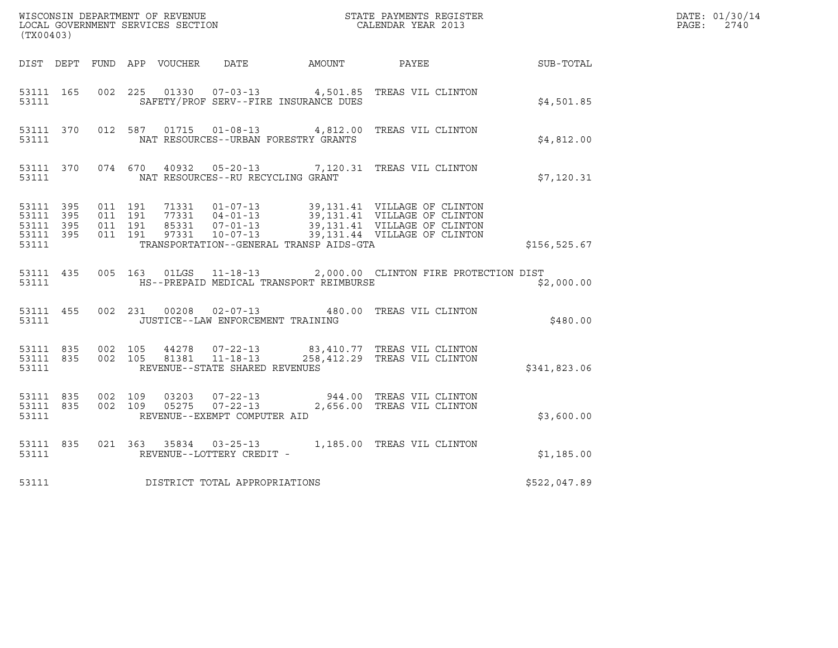| (TX00403)                                                 |                                          |         |                                                          | ${\tt WISCONSIM\ DEPARTMENT\ OF\ REVENUE}\qquad \qquad {\tt STATE\ PAYMENTS\ REGISTER} \\ {\tt LOCAL\ GOVERNMENT\ SERVICES\ SECTION}\qquad \qquad {\tt CALENDAR\ YEAR\ 2013}}$ |                                                                               |              | DATE: 01/30/14<br>PAGE:<br>2740 |
|-----------------------------------------------------------|------------------------------------------|---------|----------------------------------------------------------|--------------------------------------------------------------------------------------------------------------------------------------------------------------------------------|-------------------------------------------------------------------------------|--------------|---------------------------------|
|                                                           |                                          |         |                                                          | DIST DEPT FUND APP VOUCHER DATE AMOUNT PAYEE                                                                                                                                   |                                                                               | SUB-TOTAL    |                                 |
| 53111 165<br>53111                                        |                                          |         |                                                          | SAFETY/PROF SERV--FIRE INSURANCE DUES                                                                                                                                          | 002 225 01330 07-03-13 4,501.85 TREAS VIL CLINTON                             | \$4,501.85   |                                 |
| 53111 370<br>53111                                        |                                          |         |                                                          | NAT RESOURCES--URBAN FORESTRY GRANTS                                                                                                                                           | 012 587 01715 01-08-13 4,812.00 TREAS VIL CLINTON                             | \$4.812.00   |                                 |
| 53111                                                     |                                          |         | NAT RESOURCES--RU RECYCLING GRANT                        |                                                                                                                                                                                | 53111 370 074 670 40932 05-20-13 7,120.31 TREAS VIL CLINTON                   | \$7,120.31   |                                 |
| 53111 395<br>53111 395<br>53111 395<br>53111 395<br>53111 | 011 191<br>011 191<br>011 191<br>011 191 |         |                                                          | TRANSPORTATION--GENERAL TRANSP AIDS-GTA                                                                                                                                        |                                                                               | \$156,525.67 |                                 |
| 53111                                                     |                                          |         |                                                          | HS--PREPAID MEDICAL TRANSPORT REIMBURSE                                                                                                                                        | 53111 435 005 163 01LGS 11-18-13 2,000.00 CLINTON FIRE PROTECTION DIST        | \$2,000.00   |                                 |
| 53111                                                     |                                          |         | JUSTICE--LAW ENFORCEMENT TRAINING                        |                                                                                                                                                                                | 53111 455 002 231 00208 02-07-13 480.00 TREAS VIL CLINTON                     | \$480.00     |                                 |
| 53111 835<br>53111 835<br>53111                           | 002 105                                  |         | 002 105 81381 11-18-13<br>REVENUE--STATE SHARED REVENUES |                                                                                                                                                                                | 44278  07-22-13  83,410.77  TREAS VIL CLINTON<br>258,412.29 TREAS VIL CLINTON | \$341,823.06 |                                 |
| 53111 835<br>53111 835<br>53111                           | 002 109                                  | 002 109 | REVENUE--EXEMPT COMPUTER AID                             |                                                                                                                                                                                |                                                                               | \$3,600.00   |                                 |
| 53111 835<br>53111                                        |                                          |         | REVENUE--LOTTERY CREDIT -                                |                                                                                                                                                                                | 021 363 35834 03-25-13 1,185.00 TREAS VIL CLINTON                             | \$1,185.00   |                                 |
| 53111                                                     |                                          |         | DISTRICT TOTAL APPROPRIATIONS                            |                                                                                                                                                                                |                                                                               | \$522,047.89 |                                 |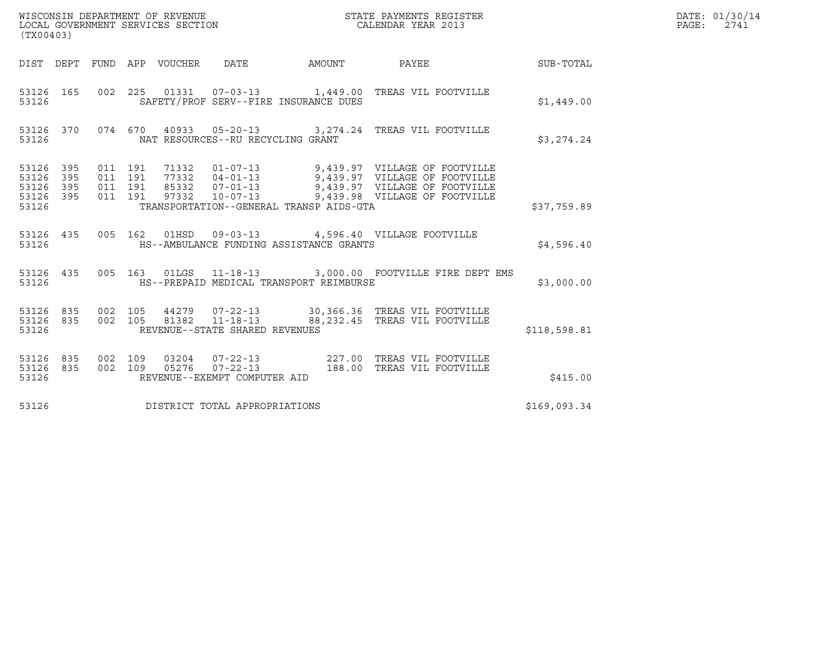| (TX00403)                                         |            |                                          |         | WISCONSIN DEPARTMENT OF REVENUE<br>LOCAL GOVERNMENT SERVICES SECTION |                                                        | DATE: 01/30/14<br>$\mathtt{PAGE}$ :<br>2741                                                                                                                                                  |              |  |
|---------------------------------------------------|------------|------------------------------------------|---------|----------------------------------------------------------------------|--------------------------------------------------------|----------------------------------------------------------------------------------------------------------------------------------------------------------------------------------------------|--------------|--|
|                                                   |            |                                          |         |                                                                      |                                                        | DIST DEPT FUND APP VOUCHER DATE AMOUNT PAYEE THE SUB-TOTAL                                                                                                                                   |              |  |
| 53126 165<br>53126                                |            |                                          |         |                                                                      | SAFETY/PROF SERV--FIRE INSURANCE DUES                  | 002  225  01331  07-03-13  1,449.00 TREAS VIL FOOTVILLE                                                                                                                                      | \$1,449.00   |  |
| 53126                                             |            |                                          |         |                                                                      | NAT RESOURCES--RU RECYCLING GRANT                      | 53126 370 074 670 40933 05-20-13 3,274.24 TREAS VIL FOOTVILLE                                                                                                                                | \$3,274.24   |  |
| 53126 395<br>53126<br>53126<br>53126 395<br>53126 | 395<br>395 | 011 191<br>011 191<br>011 191<br>011 191 |         |                                                                      | TRANSPORTATION--GENERAL TRANSP AIDS-GTA                | 71332 01-07-13 9,439.97 VILLAGE OF FOOTVILLE<br>77332 04-01-13 9,439.97 VILLAGE OF FOOTVILLE<br>85332 07-01-13 9,439.97 VILLAGE OF FOOTVILLE<br>97332 10-07-13 9,439.98 VILLAGE OF FOOTVILLE | \$37,759.89  |  |
| 53126                                             |            |                                          |         |                                                                      | HS--AMBULANCE FUNDING ASSISTANCE GRANTS                | 53126 435 005 162 01HSD 09-03-13 4,596.40 VILLAGE FOOTVILLE                                                                                                                                  | \$4,596.40   |  |
| 53126 435<br>53126                                |            |                                          |         |                                                                      | HS--PREPAID MEDICAL TRANSPORT REIMBURSE                | 005 163 01LGS 11-18-13 3,000.00 FOOTVILLE FIRE DEPT EMS                                                                                                                                      | \$3,000.00   |  |
| 53126 835<br>53126 835<br>53126                   |            | 002 105                                  | 002 105 |                                                                      | REVENUE--STATE SHARED REVENUES                         | 44279  07-22-13  30,366.36  TREAS VIL FOOTVILLE<br>81382  11-18-13  88,232.45  TREAS VIL FOOTVILLE                                                                                           | \$118,598.81 |  |
| 53126 835<br>53126 835<br>53126                   |            | 002 109                                  |         |                                                                      | 002 109 05276 07-22-13<br>REVENUE--EXEMPT COMPUTER AID | 03204  07-22-13  227.00  TREAS VIL FOOTVILLE<br>188.00 TREAS VIL FOOTVILLE                                                                                                                   | \$415.00     |  |
| 53126                                             |            |                                          |         |                                                                      | DISTRICT TOTAL APPROPRIATIONS                          |                                                                                                                                                                                              | \$169,093.34 |  |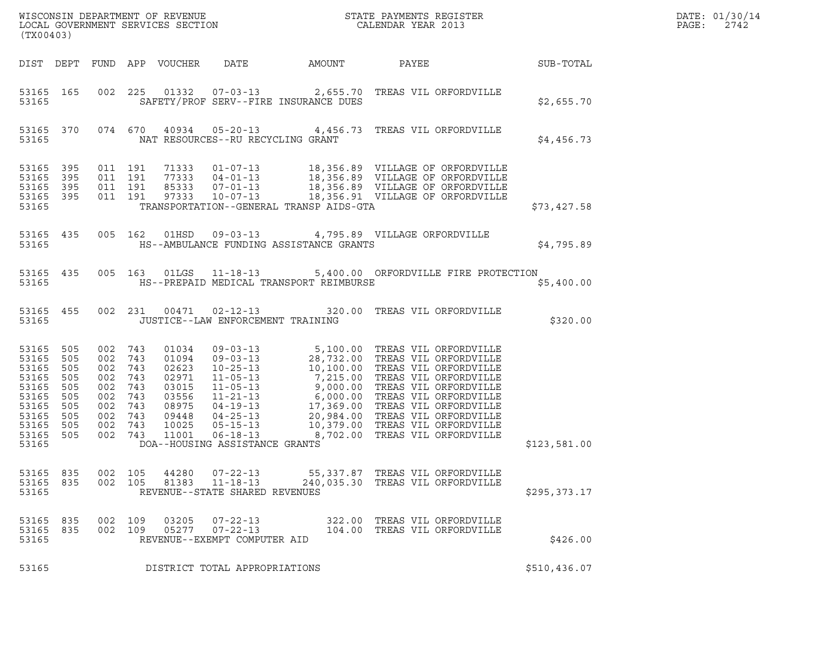| (TX00403)                                                                                       |                                                                    |                                                                        |                                                             |                                                                                        |                                                                    |                                         |                                                                                                                                                                                                                                                                                                 |               | DATE: 01/30/14<br>$\mathtt{PAGE:}$<br>2742 |
|-------------------------------------------------------------------------------------------------|--------------------------------------------------------------------|------------------------------------------------------------------------|-------------------------------------------------------------|----------------------------------------------------------------------------------------|--------------------------------------------------------------------|-----------------------------------------|-------------------------------------------------------------------------------------------------------------------------------------------------------------------------------------------------------------------------------------------------------------------------------------------------|---------------|--------------------------------------------|
|                                                                                                 |                                                                    |                                                                        |                                                             | DIST DEPT FUND APP VOUCHER                                                             | DATE                                                               | AMOUNT                                  | PAYEE SUB-TOTAL                                                                                                                                                                                                                                                                                 |               |                                            |
| 53165                                                                                           | 53165 165                                                          |                                                                        |                                                             |                                                                                        |                                                                    | SAFETY/PROF SERV--FIRE INSURANCE DUES   | 002 225 01332 07-03-13 2,655.70 TREAS VIL ORFORDVILLE                                                                                                                                                                                                                                           | \$2,655.70    |                                            |
| 53165                                                                                           | 53165 370                                                          |                                                                        |                                                             |                                                                                        | NAT RESOURCES--RU RECYCLING GRANT                                  |                                         | 074 670 40934 05-20-13 4,456.73 TREAS VIL ORFORDVILLE                                                                                                                                                                                                                                           | \$4,456.73    |                                            |
| 53165<br>53165<br>53165<br>53165 395<br>53165                                                   | 395<br>395<br>395                                                  | 011 191<br>011 191<br>011 191<br>011 191                               |                                                             |                                                                                        |                                                                    | TRANSPORTATION--GENERAL TRANSP AIDS-GTA | 71333  01-07-13  18,356.89  VILLAGE OF ORFORDVILLE<br>77333  04-01-13  18,356.89  VILLAGE OF ORFORDVILLE<br>85333  07-01-13  18,356.89  VILLAGE OF ORFORDVILLE<br>97333  10-07-13  18,356.91  VILLAGE OF ORFORDVILLE                                                                            | \$73,427.58   |                                            |
| 53165                                                                                           | 53165 435                                                          | 005 162                                                                |                                                             |                                                                                        |                                                                    | HS--AMBULANCE FUNDING ASSISTANCE GRANTS | 01HSD 09-03-13 4,795.89 VILLAGE ORFORDVILLE                                                                                                                                                                                                                                                     | \$4,795.89    |                                            |
| 53165                                                                                           | 53165 435                                                          |                                                                        |                                                             |                                                                                        |                                                                    | HS--PREPAID MEDICAL TRANSPORT REIMBURSE | 005 163 01LGS 11-18-13 5,400.00 ORFORDVILLE FIRE PROTECTION                                                                                                                                                                                                                                     | \$5,400.00    |                                            |
| 53165                                                                                           | 53165 455                                                          | 002 231                                                                |                                                             |                                                                                        | JUSTICE--LAW ENFORCEMENT TRAINING                                  |                                         | 00471  02-12-13  320.00 TREAS VIL ORFORDVILLE                                                                                                                                                                                                                                                   | \$320.00      |                                            |
| 53165<br>53165<br>53165<br>53165<br>53165<br>53165<br>53165<br>53165<br>53165<br>53165<br>53165 | 505<br>505<br>505<br>505<br>505<br>505<br>505<br>505<br>505<br>505 | 002 743<br>002<br>002<br>002<br>002<br>002<br>002<br>002<br>002<br>002 | 743<br>743<br>743<br>743<br>743<br>743<br>743<br>743<br>743 | 01034<br>01094<br>02623<br>02971<br>03015<br>03556<br>08975<br>09448<br>10025<br>11001 | DOA--HOUSING ASSISTANCE GRANTS                                     |                                         | 09-03-13<br>09-03-13<br>28,732.00 TREAS VIL ORFORDVILLE<br>10-25-13<br>10,100.00 TREAS VIL ORFORDVILLE<br>11-05-13<br>7,215.00 TREAS VIL ORFORDVILLE<br>11-05-13<br>9,000.00 TREAS VIL ORFORDVILLE<br>11-21-13<br>6,000.00 TREAS VIL ORFORDVILLE<br><br>06-18-13 8,702.00 TREAS VIL ORFORDVILLE | \$123,581.00  |                                            |
| 53165 835<br>53165 835<br>53165                                                                 |                                                                    | 002 105<br>002 105                                                     |                                                             | 44280<br>81383                                                                         | $07 - 22 - 13$<br>$11 - 18 - 13$<br>REVENUE--STATE SHARED REVENUES |                                         | 55,337.87 TREAS VIL ORFORDVILLE<br>240,035.30 TREAS VIL ORFORDVILLE                                                                                                                                                                                                                             | \$295, 373.17 |                                            |
| 53165<br>53165 835<br>53165                                                                     | 835                                                                | 002<br>002                                                             | 109<br>109                                                  | 03205<br>05277                                                                         | $07 - 22 - 13$<br>$07 - 22 - 13$<br>REVENUE--EXEMPT COMPUTER AID   |                                         | 322.00 TREAS VIL ORFORDVILLE<br>104.00 TREAS VIL ORFORDVILLE                                                                                                                                                                                                                                    | \$426.00      |                                            |
| 53165                                                                                           |                                                                    |                                                                        |                                                             |                                                                                        | DISTRICT TOTAL APPROPRIATIONS                                      |                                         |                                                                                                                                                                                                                                                                                                 | \$510,436.07  |                                            |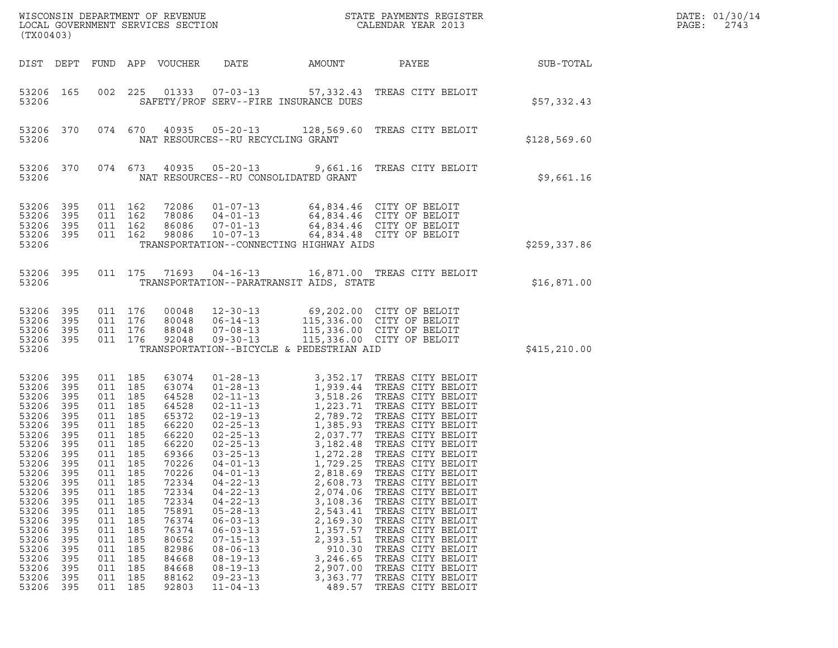| (TX00403)                                                                                                                                                                                                                                                                                                                                                                      |                                                                                                                     |                                                                                                                                                                                       |                                                                                                                                                                                                             |                                                                                                                                                                                                                                                                                                                                                    |                                                                                                                                                                              | $\tt WISCONSIM DEPARTMENT OF REVENUE$ $\tt WISCONSIM EN THE BAYMENTS REGISTERLOCAL GOVERNMENT SERVICES SECTION CALENDAR YEAR 2013$                                                                                                                                                                                                                                                                                                                                                                                                                                                                                                            |              | DATE: 01/30/14<br>PAGE:<br>2743 |
|--------------------------------------------------------------------------------------------------------------------------------------------------------------------------------------------------------------------------------------------------------------------------------------------------------------------------------------------------------------------------------|---------------------------------------------------------------------------------------------------------------------|---------------------------------------------------------------------------------------------------------------------------------------------------------------------------------------|-------------------------------------------------------------------------------------------------------------------------------------------------------------------------------------------------------------|----------------------------------------------------------------------------------------------------------------------------------------------------------------------------------------------------------------------------------------------------------------------------------------------------------------------------------------------------|------------------------------------------------------------------------------------------------------------------------------------------------------------------------------|-----------------------------------------------------------------------------------------------------------------------------------------------------------------------------------------------------------------------------------------------------------------------------------------------------------------------------------------------------------------------------------------------------------------------------------------------------------------------------------------------------------------------------------------------------------------------------------------------------------------------------------------------|--------------|---------------------------------|
| DIST DEPT                                                                                                                                                                                                                                                                                                                                                                      |                                                                                                                     |                                                                                                                                                                                       | FUND APP VOUCHER                                                                                                                                                                                            | DATE                                                                                                                                                                                                                                                                                                                                               | AMOUNT                                                                                                                                                                       | PAYEE                                                                                                                                                                                                                                                                                                                                                                                                                                                                                                                                                                                                                                         | SUB-TOTAL    |                                 |
| 53206 165<br>53206                                                                                                                                                                                                                                                                                                                                                             | 002                                                                                                                 | 225                                                                                                                                                                                   | 01333                                                                                                                                                                                                       | SAFETY/PROF SERV--FIRE INSURANCE DUES                                                                                                                                                                                                                                                                                                              |                                                                                                                                                                              | 07-03-13 57,332.43 TREAS CITY BELOIT                                                                                                                                                                                                                                                                                                                                                                                                                                                                                                                                                                                                          | \$57,332.43  |                                 |
| 53206 370<br>53206                                                                                                                                                                                                                                                                                                                                                             |                                                                                                                     | 074 670                                                                                                                                                                               | 40935                                                                                                                                                                                                       | $05 - 20 - 13$<br>NAT RESOURCES--RU RECYCLING GRANT                                                                                                                                                                                                                                                                                                |                                                                                                                                                                              | 128,569.60 TREAS CITY BELOIT                                                                                                                                                                                                                                                                                                                                                                                                                                                                                                                                                                                                                  | \$128,569.60 |                                 |
| 53206 370<br>53206                                                                                                                                                                                                                                                                                                                                                             |                                                                                                                     | 074 673                                                                                                                                                                               | 40935                                                                                                                                                                                                       | $05 - 20 - 13$<br>NAT RESOURCES--RU CONSOLIDATED GRANT                                                                                                                                                                                                                                                                                             |                                                                                                                                                                              | 9,661.16 TREAS CITY BELOIT                                                                                                                                                                                                                                                                                                                                                                                                                                                                                                                                                                                                                    | \$9,661.16   |                                 |
| 53206<br>395<br>395<br>53206<br>53206<br>395<br>53206 395<br>53206                                                                                                                                                                                                                                                                                                             |                                                                                                                     | 011 162<br>011 162<br>011 162<br>011 162                                                                                                                                              | 72086<br>78086<br>86086<br>98086                                                                                                                                                                            | $04 - 01 - 13$<br>$07 - 01 - 13$<br>$10 - 07 - 13$<br>TRANSPORTATION--CONNECTING HIGHWAY AIDS                                                                                                                                                                                                                                                      |                                                                                                                                                                              | 01-07-13 64,834.46 CITY OF BELOIT<br>64,834.46 CITY OF BELOIT<br>64,834.46 CITY OF BELOIT<br>64,834.48 CITY OF BELOIT                                                                                                                                                                                                                                                                                                                                                                                                                                                                                                                         | \$259,337.86 |                                 |
| 53206 395<br>53206                                                                                                                                                                                                                                                                                                                                                             |                                                                                                                     | 011 175                                                                                                                                                                               | 71693                                                                                                                                                                                                       | $04 - 16 - 13$<br>TRANSPORTATION--PARATRANSIT AIDS, STATE                                                                                                                                                                                                                                                                                          |                                                                                                                                                                              | 16,871.00 TREAS CITY BELOIT                                                                                                                                                                                                                                                                                                                                                                                                                                                                                                                                                                                                                   | \$16,871.00  |                                 |
| 53206<br>395<br>53206<br>395<br>53206<br>395<br>53206 395<br>53206                                                                                                                                                                                                                                                                                                             |                                                                                                                     | 011 176<br>011 176<br>011 176<br>011 176                                                                                                                                              | 00048<br>80048<br>88048<br>92048                                                                                                                                                                            | $12 - 30 - 13$<br>$06 - 14 - 13$<br>$07 - 08 - 13$<br>$09 - 30 - 13$<br>TRANSPORTATION--BICYCLE & PEDESTRIAN AID                                                                                                                                                                                                                                   |                                                                                                                                                                              | 69,202.00 CITY OF BELOIT<br>115,336.00 CITY OF BELOIT<br>115,336.00 CITY OF BELOIT<br>115,336.00 CITY OF BELOIT                                                                                                                                                                                                                                                                                                                                                                                                                                                                                                                               | \$415,210.00 |                                 |
| 53206<br>395<br>395<br>53206<br>53206<br>395<br>53206<br>395<br>53206<br>395<br>53206<br>395<br>53206<br>395<br>53206<br>395<br>53206<br>- 395<br>53206<br>395<br>53206<br>395<br>53206<br>395<br>53206<br>395<br>53206<br>395<br>53206<br>395<br>53206<br>395<br>53206<br>395<br>53206<br>395<br>53206<br>395<br>53206<br>395<br>53206<br>395<br>53206<br>395<br>395<br>53206 | 011<br>011<br>011<br>011<br>011<br>011<br>011<br>011<br>011<br>011<br>011<br>011<br>011<br>011<br>011<br>011<br>011 | 011 185<br>011 185<br>011 185<br>185<br>011 185<br>185<br>011 185<br>185<br>011 185<br>185<br>185<br>185<br>185<br>185<br>185<br>185<br>185<br>185<br>185<br>185<br>185<br>185<br>185 | 63074<br>63074<br>64528<br>64528<br>65372<br>66220<br>66220<br>66220<br>69366<br>70226<br>70226<br>72334<br>72334<br>72334<br>75891<br>76374<br>76374<br>80652<br>82986<br>84668<br>84668<br>88162<br>92803 | $01 - 28 - 13$<br>$01 - 28 - 13$<br>$02 - 11 - 13$<br>$02 - 11 - 13$<br>$03 - 25 - 13$<br>$04 - 01 - 13$<br>$04 - 01 - 13$<br>$04 - 22 - 13$<br>$04 - 22 - 13$<br>$04 - 22 - 13$<br>$05 - 28 - 13$<br>$06 - 03 - 13$<br>$06 - 03 - 13$<br>$07 - 15 - 13$<br>$08 - 06 - 13$<br>$08 - 19 - 13$<br>$08 - 19 - 13$<br>$09 - 23 - 13$<br>$11 - 04 - 13$ | 1,272.28<br>1,729.25<br>2,818.69<br>2,608.73<br>2,074.06<br>3,108.36<br>2,543.41<br>2,169.30<br>1,357.57<br>2,393.51<br>910.30<br>3,246.65<br>2,907.00<br>3,363.77<br>489.57 | 3,352.17 TREAS CITY BELOIT<br>1,939.44   TREAS CITY BELOIT<br>3,518.26   TREAS CITY BELOIT<br>3,518.26 IREAD CITY BELOIT<br>1,223.71 TREAS CITY BELOIT<br>2,789.72 TREAS CITY BELOIT<br>02-19-13<br>02-25-13<br>02-25-13<br>02-25-13<br>1,385.93<br>2,037.77<br>TREAS CITY BELOIT<br>2,037.77<br>TREAS CITY BELOIT<br>TREAS CITY BELOIT<br>TREAS CITY BELOIT<br>TREAS CITY BELOIT<br>TREAS CITY BELOIT<br>TREAS CITY BELOIT<br>TREAS CITY BELOIT<br>TREAS CITY BELOIT<br>TREAS CITY BELOIT<br>TREAS CITY BELOIT<br>TREAS CITY BELOIT<br>TREAS CITY BELOIT<br>TREAS CITY BELOIT<br>TREAS CITY BELOIT<br>TREAS CITY BELOIT<br>TREAS CITY BELOIT |              |                                 |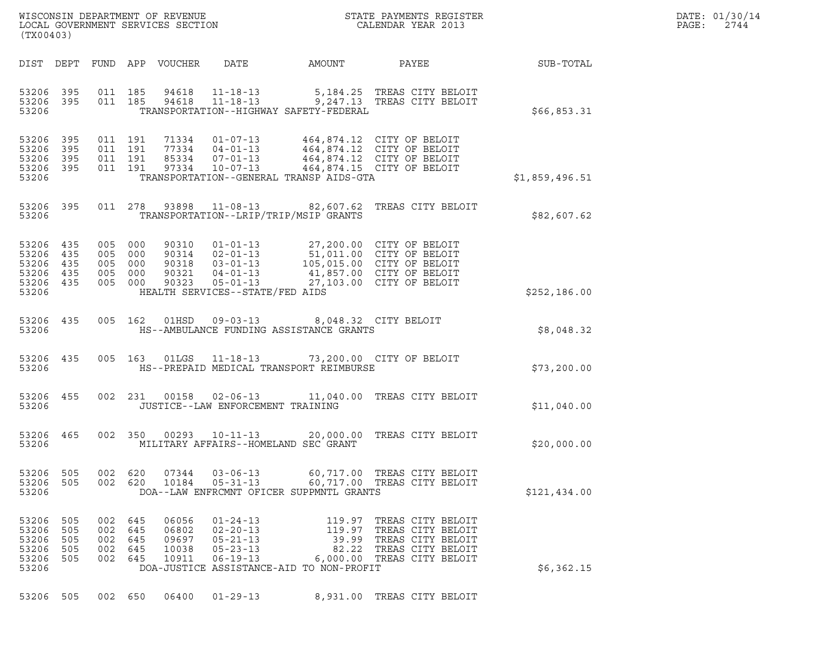| WISCONSIN DEPARTMENT OF REVENUE<br>LOCAL GOVERNMENT SERVICES SECTION<br>(TX00403) | STATE PAYMENTS REGISTER<br>CALENDAR YEAR 2013 | DATE: 01/30/14<br>PAGE:<br>2744 |
|-----------------------------------------------------------------------------------|-----------------------------------------------|---------------------------------|

| (TX00403)                                          |                                 |                                 |                                 |                                           |                                                                                                                           |                                                                                            |                                                                                                                                           |                |
|----------------------------------------------------|---------------------------------|---------------------------------|---------------------------------|-------------------------------------------|---------------------------------------------------------------------------------------------------------------------------|--------------------------------------------------------------------------------------------|-------------------------------------------------------------------------------------------------------------------------------------------|----------------|
| DIST                                               | DEPT                            | FUND APP                        |                                 | VOUCHER                                   | DATE                                                                                                                      | AMOUNT                                                                                     | PAYEE                                                                                                                                     | SUB-TOTAL      |
| 53206<br>53206<br>53206                            | 395<br>395                      | 011<br>011                      | 185<br>185                      | 94618<br>94618                            | $11 - 18 - 13$<br>$11 - 18 - 13$                                                                                          | 9,247.13<br>TRANSPORTATION--HIGHWAY SAFETY-FEDERAL                                         | 5,184.25 TREAS CITY BELOIT<br>TREAS CITY BELOIT                                                                                           | \$66,853.31    |
| 53206<br>53206<br>53206<br>53206<br>53206          | 395<br>395<br>395<br>395        | 011<br>011<br>011<br>011        | 191<br>191<br>191<br>191        | 71334<br>77334<br>85334<br>97334          | $01 - 07 - 13$<br>$04 - 01 - 13$<br>$07 - 01 - 13$<br>$10 - 07 - 13$                                                      | TRANSPORTATION--GENERAL TRANSP AIDS-GTA                                                    | 464,874.12 CITY OF BELOIT<br>464,874.12 CITY OF BELOIT<br>464,874.12 CITY OF BELOIT<br>464,874.15 CITY OF BELOIT                          | \$1,859,496.51 |
| 53206<br>53206                                     | 395                             | 011                             | 278                             | 93898                                     | $11 - 08 - 13$                                                                                                            | 82,607.62<br>TRANSPORTATION--LRIP/TRIP/MSIP GRANTS                                         | TREAS CITY BELOIT                                                                                                                         | \$82,607.62    |
| 53206<br>53206<br>53206<br>53206<br>53206<br>53206 | 435<br>435<br>435<br>435<br>435 | 005<br>005<br>005<br>005<br>005 | 000<br>000<br>000<br>000<br>000 | 90310<br>90314<br>90318<br>90321<br>90323 | $01 - 01 - 13$<br>$02 - 01 - 13$<br>$03 - 01 - 13$<br>$04 - 01 - 13$<br>$05 - 01 - 13$<br>HEALTH SERVICES--STATE/FED AIDS |                                                                                            | 27,200.00 CITY OF BELOIT<br>51,011.00 CITY OF BELOIT<br>105,015.00 CITY OF BELOIT<br>41,857.00 CITY OF BELOIT<br>27,103.00 CITY OF BELOIT | \$252,186.00   |
| 53206<br>53206                                     | 435                             | 005                             | 162                             | 01HSD                                     | $09 - 03 - 13$                                                                                                            | HS--AMBULANCE FUNDING ASSISTANCE GRANTS                                                    | 8,048.32 CITY BELOIT                                                                                                                      | \$8,048.32     |
| 53206<br>53206                                     | 435                             | 005                             | 163                             | 01LGS                                     | $11 - 18 - 13$                                                                                                            | HS--PREPAID MEDICAL TRANSPORT REIMBURSE                                                    | 73,200.00 CITY OF BELOIT                                                                                                                  | \$73,200.00    |
| 53206<br>53206                                     | 455                             | 002                             | 231                             | 00158                                     | $02 - 06 - 13$<br>JUSTICE--LAW ENFORCEMENT TRAINING                                                                       | 11,040.00                                                                                  | TREAS CITY BELOIT                                                                                                                         | \$11,040.00    |
| 53206<br>53206                                     | 465                             | 002                             | 350                             | 00293                                     | $10 - 11 - 13$                                                                                                            | 20,000.00<br>MILITARY AFFAIRS--HOMELAND SEC GRANT                                          | TREAS CITY BELOIT                                                                                                                         | \$20,000.00    |
| 53206<br>53206<br>53206                            | 505<br>505                      | 002<br>002                      | 620<br>620                      | 07344<br>10184                            | $03 - 06 - 13$<br>$05 - 31 - 13$                                                                                          | DOA--LAW ENFRCMNT OFICER SUPPMNTL GRANTS                                                   | 60,717.00 TREAS CITY BELOIT<br>60,717.00 TREAS CITY BELOIT                                                                                | \$121,434.00   |
| 53206<br>53206<br>53206<br>53206<br>53206<br>53206 | 505<br>505<br>505<br>505<br>505 | 002<br>002<br>002<br>002<br>002 | 645<br>645<br>645<br>645<br>645 | 06056<br>06802<br>09697<br>10038<br>10911 | $01 - 24 - 13$<br>$02 - 20 - 13$<br>$05 - 21 - 13$<br>$05 - 23 - 13$<br>$06 - 19 - 13$                                    | 119.97<br>119.97<br>39.99<br>82.22<br>6,000.00<br>DOA-JUSTICE ASSISTANCE-AID TO NON-PROFIT | TREAS CITY BELOIT<br>TREAS CITY BELOIT<br>TREAS CITY BELOIT<br>TREAS CITY BELOIT<br>TREAS CITY BELOIT                                     | \$6,362.15     |

53206 505 002 650 06400 01-29-13 8,931.00 TREAS CITY BELOIT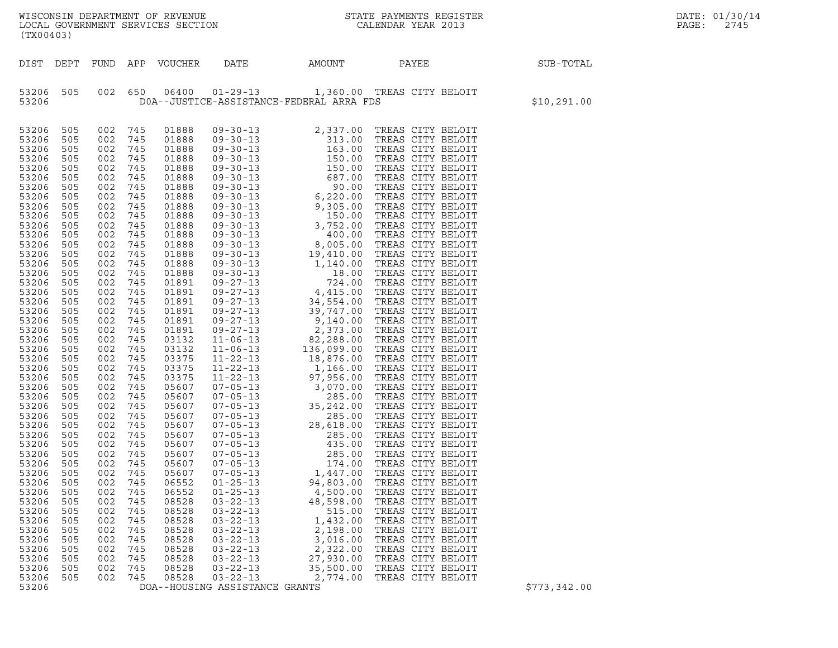| DATE: | 01/30/14 |
|-------|----------|
| PAGE: | 2745     |

WISCONSIN DEPARTMENT OF REVENUE<br>LOCAL GOVERNMENT SERVICES SECTION STATE PAYMENTS REGISTER SECONDER SERVICES OF SERVICES SECTION WISCONSIN DEPARTMENT OF REVENUE<br>LOCAL GOVERNMENT SERVICES SECTION FOR THE STATE PAYMENTS REGISTER FOR THE PAGE: 2745<br>(TX00403) (TX00403)

| STATE PAYMENTS REGISTER |                    |  |  |
|-------------------------|--------------------|--|--|
|                         | CALENDAR YEAR 2013 |  |  |

| (TX00403)                                                                                                                                                                                                                                                                                                                                                                                                                                                                                                                                                                                                                                                                                                                                                                                             |                                                                                                                                                                                                                                                                                                                                              |                                                                                                                                                                                                                                                                                                                                              |                                                                                                                                                                                                                                                                                                                                                                                                                                              |                                                                                                                                                                                |                                                                                              |                                                                                                                                                                      |              |
|-------------------------------------------------------------------------------------------------------------------------------------------------------------------------------------------------------------------------------------------------------------------------------------------------------------------------------------------------------------------------------------------------------------------------------------------------------------------------------------------------------------------------------------------------------------------------------------------------------------------------------------------------------------------------------------------------------------------------------------------------------------------------------------------------------|----------------------------------------------------------------------------------------------------------------------------------------------------------------------------------------------------------------------------------------------------------------------------------------------------------------------------------------------|----------------------------------------------------------------------------------------------------------------------------------------------------------------------------------------------------------------------------------------------------------------------------------------------------------------------------------------------|----------------------------------------------------------------------------------------------------------------------------------------------------------------------------------------------------------------------------------------------------------------------------------------------------------------------------------------------------------------------------------------------------------------------------------------------|--------------------------------------------------------------------------------------------------------------------------------------------------------------------------------|----------------------------------------------------------------------------------------------|----------------------------------------------------------------------------------------------------------------------------------------------------------------------|--------------|
| DIST<br>DEPT                                                                                                                                                                                                                                                                                                                                                                                                                                                                                                                                                                                                                                                                                                                                                                                          | FUND                                                                                                                                                                                                                                                                                                                                         | APP                                                                                                                                                                                                                                                                                                                                          | VOUCHER                                                                                                                                                                                                                                                                                                                                                                                                                                      | DATE                                                                                                                                                                           | AMOUNT                                                                                       | PAYEE                                                                                                                                                                | SUB-TOTAL    |
| 53206<br>505<br>53206                                                                                                                                                                                                                                                                                                                                                                                                                                                                                                                                                                                                                                                                                                                                                                                 | 002                                                                                                                                                                                                                                                                                                                                          | 650                                                                                                                                                                                                                                                                                                                                          | 06400                                                                                                                                                                                                                                                                                                                                                                                                                                        |                                                                                                                                                                                | DOA--JUSTICE-ASSISTANCE-FEDERAL ARRA FDS                                                     | 01-29-13 1,360.00 TREAS CITY BELOIT                                                                                                                                  | \$10, 291.00 |
| 53206<br>505<br>505<br>53206<br>53206<br>505<br>53206<br>505<br>53206<br>505<br>505<br>53206<br>53206<br>505<br>53206<br>505<br>53206<br>505<br>53206<br>505<br>53206<br>505<br>53206<br>505<br>53206<br>505<br>53206<br>505<br>53206<br>505<br>53206<br>505<br>53206<br>505<br>53206<br>505<br>53206<br>505<br>53206<br>505<br>53206<br>505<br>53206<br>505<br>53206<br>505<br>53206<br>505<br>53206<br>505<br>53206<br>505<br>53206<br>505<br>53206<br>505<br>53206<br>505<br>53206<br>505<br>53206<br>505<br>53206<br>505<br>53206<br>505<br>53206<br>505<br>53206<br>505<br>53206<br>505<br>53206<br>505<br>53206<br>505<br>53206<br>505<br>53206<br>505<br>53206<br>505<br>53206<br>505<br>53206<br>505<br>53206<br>505<br>53206<br>505<br>53206<br>505<br>53206<br>505<br>53206<br>505<br>53206 | 002<br>002<br>002<br>002<br>002<br>002<br>002<br>002<br>002<br>002<br>002<br>002<br>002<br>002<br>002<br>002<br>002<br>002<br>002<br>002<br>002<br>002<br>002<br>002<br>002<br>002<br>002<br>002<br>002<br>002<br>002<br>002<br>002<br>002<br>002<br>002<br>002<br>002<br>002<br>002<br>002<br>002<br>002<br>002<br>002<br>002<br>002<br>002 | 745<br>745<br>745<br>745<br>745<br>745<br>745<br>745<br>745<br>745<br>745<br>745<br>745<br>745<br>745<br>745<br>745<br>745<br>745<br>745<br>745<br>745<br>745<br>745<br>745<br>745<br>745<br>745<br>745<br>745<br>745<br>745<br>745<br>745<br>745<br>745<br>745<br>745<br>745<br>745<br>745<br>745<br>745<br>745<br>745<br>745<br>745<br>745 | 01888<br>01888<br>01888<br>01888<br>01888<br>01888<br>01888<br>01888<br>01888<br>01888<br>01888<br>01888<br>01888<br>01888<br>01888<br>01888<br>01891<br>01891<br>01891<br>01891<br>01891<br>01891<br>03132<br>03132<br>03375<br>03375<br>03375<br>05607<br>05607<br>05607<br>05607<br>05607<br>05607<br>05607<br>05607<br>05607<br>05607<br>06552<br>06552<br>08528<br>08528<br>08528<br>08528<br>08528<br>08528<br>08528<br>08528<br>08528 | $03 - 22 - 13$<br>$03 - 22 - 13$<br>$03 - 22 - 13$<br>$03 - 22 - 13$<br>$03 - 22 - 13$<br>$03 - 22 - 13$<br>$03 - 22 - 13$<br>$03 - 22 - 13$<br>DOA--HOUSING ASSISTANCE GRANTS | 515.00<br>1,432.00<br>2,198.00<br>3,016.00<br>2,322.00<br>27,930.00<br>35,500.00<br>2,774.00 | TREAS CITY BELOIT<br>TREAS CITY BELOIT<br>TREAS CITY BELOIT<br>TREAS CITY BELOIT<br>TREAS CITY BELOIT<br>TREAS CITY BELOIT<br>TREAS CITY BELOIT<br>TREAS CITY BELOIT | \$773,342.00 |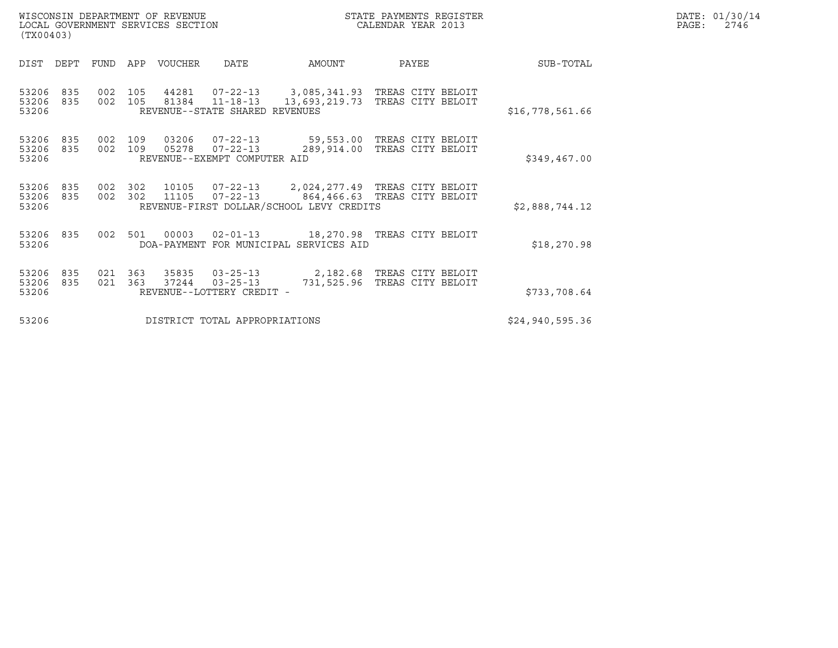|       | DATE: 01/30/14 |
|-------|----------------|
| PAGE: | 2746           |

WISCONSIN DEPARTMENT OF REVENUE<br>LOCAL GOVERNMENT SERVICES SECTION STATE PAYMENTS REGISTER SECONDER STATE PASS: 2746 WISCONSIN DEPARTMENT OF REVENUE CONSUMIC STATE PAYMENTS REGISTER LOCAL GOVERNMENT SERVICES SECTION (TX00403)

|                 |                                                     |       |                         |               |                                                                    |                |            |            |            | (TX00403)               |
|-----------------|-----------------------------------------------------|-------|-------------------------|---------------|--------------------------------------------------------------------|----------------|------------|------------|------------|-------------------------|
| SUB-TOTAL       |                                                     | PAYEE |                         | AMOUNT        | DATE                                                               | VOUCHER        | APP        | FUND       | DEPT       | DIST                    |
| \$16,778,561.66 | 3,085,341.93 TREAS CITY BELOIT<br>TREAS CITY BELOIT |       |                         | 13,693,219.73 | $07 - 22 - 13$<br>$11 - 18 - 13$<br>REVENUE--STATE SHARED REVENUES | 44281<br>81384 | 105<br>105 | 002<br>002 | 835<br>835 | 53206<br>53206<br>53206 |
| \$349,467.00    | TREAS CITY BELOIT<br>TREAS CITY BELOIT              |       | 59,553.00<br>289,914.00 |               | $07 - 22 - 13$<br>$07 - 22 - 13$<br>REVENUE--EXEMPT COMPUTER AID   | 03206<br>05278 | 109<br>109 | 002<br>002 | 835<br>835 | 53206<br>53206<br>53206 |
| \$2,888,744.12  | 864,466.63 TREAS CITY BELOIT                        |       |                         |               | $07 - 22 - 13$<br>REVENUE-FIRST DOLLAR/SCHOOL LEVY CREDITS         | 10105<br>11105 | 302<br>302 | 002<br>002 | 835<br>835 | 53206<br>53206<br>53206 |
| \$18, 270.98    | 18,270.98 TREAS CITY BELOIT                         |       |                         |               | $02 - 01 - 13$<br>DOA-PAYMENT FOR MUNICIPAL SERVICES AID           | 00003          | 501        | 002        | 835        | 53206<br>53206          |
| \$733,708.64    | TREAS CITY BELOIT<br>TREAS CITY BELOIT              |       | 2,182.68<br>731,525.96  |               | $03 - 25 - 13$<br>$03 - 25 - 13$<br>REVENUE--LOTTERY CREDIT -      | 35835<br>37244 | 363<br>363 | 021<br>021 | 835<br>835 | 53206<br>53206<br>53206 |
| \$24,940,595.36 |                                                     |       |                         |               | DISTRICT TOTAL APPROPRIATIONS                                      |                |            |            |            | 53206                   |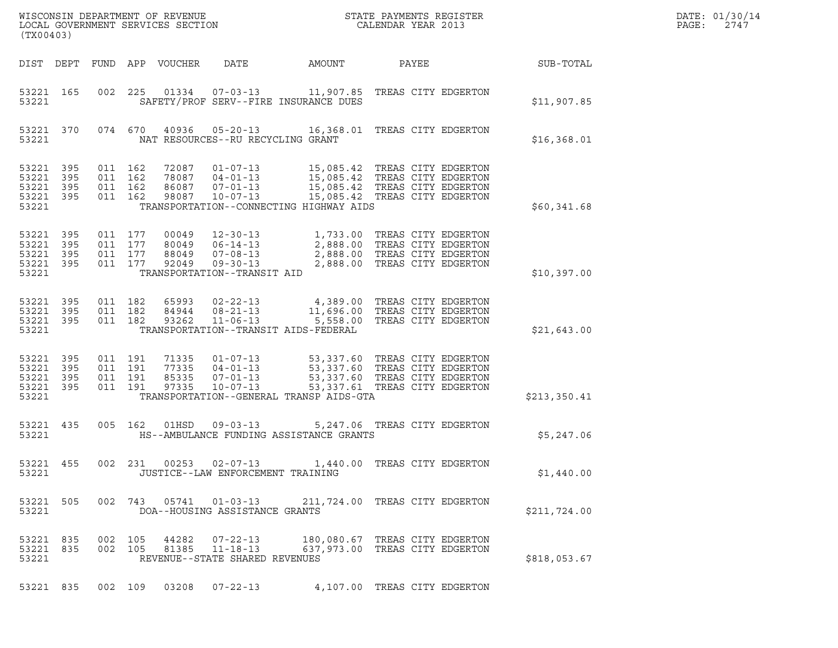| (TX00403)                                         |                   |                                          |                    | WISCONSIN DEPARTMENT OF REVENUE<br>LOCAL GOVERNMENT SERVICES SECTION |                                                                                               | DATE: 01/30/14<br>PAGE:<br>2747                                                                                                                     |                                                                  |              |  |
|---------------------------------------------------|-------------------|------------------------------------------|--------------------|----------------------------------------------------------------------|-----------------------------------------------------------------------------------------------|-----------------------------------------------------------------------------------------------------------------------------------------------------|------------------------------------------------------------------|--------------|--|
|                                                   |                   |                                          |                    | DIST DEPT FUND APP VOUCHER                                           | DATE                                                                                          | AMOUNT                                                                                                                                              | PAYEE                                                            | SUB-TOTAL    |  |
| 53221 165<br>53221                                |                   | 002 225                                  |                    |                                                                      |                                                                                               | SAFETY/PROF SERV--FIRE INSURANCE DUES                                                                                                               |                                                                  | \$11,907.85  |  |
| 53221 370<br>53221                                |                   |                                          |                    | 074 670 40936                                                        | NAT RESOURCES--RU RECYCLING GRANT                                                             | 05-20-13 16,368.01 TREAS CITY EDGERTON                                                                                                              |                                                                  | \$16,368.01  |  |
| 53221 395<br>53221<br>53221<br>53221 395<br>53221 | 395<br>395        | 011 162<br>011 162<br>011 162<br>011 162 |                    | 72087<br>86087<br>98087                                              | 78087 04-01-13<br>$07 - 01 - 13$<br>$10 - 07 - 13$                                            | 01-07-13 15,085.42 TREAS CITY EDGERTON<br>15,085.42 TREAS CITY EDGERTON<br>15,085.42 TREAS CITY EDGERTON<br>TRANSPORTATION--CONNECTING HIGHWAY AIDS | 15,085.42 TREAS CITY EDGERTON                                    | \$60,341.68  |  |
| 53221 395<br>53221<br>53221<br>53221 395<br>53221 | 395<br>395        | 011 177<br>011 177                       | 011 177<br>011 177 | 00049<br>80049<br>88049<br>92049                                     | 12-30-13<br>$06 - 14 - 13$<br>$07 - 08 - 13$<br>$09 - 30 - 13$<br>TRANSPORTATION--TRANSIT AID | 1,733.00 TREAS CITY EDGERTON<br>2,888.00 TPEAS CITY TO CON                                                                                          | 2,888.00 TREAS CITY EDGERTON<br>2,888.00 TREAS CITY EDGERTON     | \$10,397.00  |  |
| 53221 395<br>53221<br>53221 395<br>53221          | - 395             | 011 182<br>011 182<br>011 182            |                    | 65993<br>84944<br>93262                                              | $08 - 21 - 13$<br>$11 - 06 - 13$                                                              | 02-22-13 4,389.00 TREAS CITY EDGERTON<br>TRANSPORTATION--TRANSIT AIDS-FEDERAL                                                                       | 11,696.00 TREAS CITY EDGERTON<br>5,558.00 TREAS CITY EDGERTON    | \$21,643.00  |  |
| 53221 395<br>53221<br>53221<br>53221<br>53221     | 395<br>395<br>395 | 011 191<br>011 191<br>011 191<br>011 191 |                    | 71335<br>77335<br>85335<br>97335                                     | $04 - 01 - 13$<br>$07 - 01 - 13$<br>$10 - 07 - 13$                                            | 01-07-13 53,337.60 TREAS CITY EDGERTON<br>53,337.60 TREAS CITY EDGERTON<br>TRANSPORTATION--GENERAL TRANSP AIDS-GTA                                  | 53,337.60 TREAS CITY EDGERTON<br>53,337.61 TREAS CITY EDGERTON   | \$213,350.41 |  |
| 53221 435<br>53221                                |                   | 005 162                                  |                    | 01HSD                                                                | $09 - 03 - 13$                                                                                | HS--AMBULANCE FUNDING ASSISTANCE GRANTS                                                                                                             | 5,247.06 TREAS CITY EDGERTON                                     | \$5,247.06   |  |
| 53221                                             |                   |                                          |                    |                                                                      | JUSTICE--LAW ENFORCEMENT TRAINING                                                             | 53221 455 002 231 00253 02-07-13 1,440.00 TREAS CITY EDGERTON                                                                                       |                                                                  | \$1,440.00   |  |
| 53221 505<br>53221                                |                   |                                          |                    |                                                                      | 002 743 05741 01-03-13<br>DOA--HOUSING ASSISTANCE GRANTS                                      |                                                                                                                                                     | 211,724.00 TREAS CITY EDGERTON                                   | \$211,724.00 |  |
| 53221 835<br>53221 835<br>53221                   |                   | 002 105                                  | 002 105            |                                                                      | 44282 07-22-13<br>81385 11-18-13<br>REVENUE--STATE SHARED REVENUES                            |                                                                                                                                                     | 180,080.67 TREAS CITY EDGERTON<br>637,973.00 TREAS CITY EDGERTON | \$818,053.67 |  |
| 53221 835                                         |                   |                                          | 002 109            |                                                                      | 03208 07-22-13                                                                                |                                                                                                                                                     | 4,107.00 TREAS CITY EDGERTON                                     |              |  |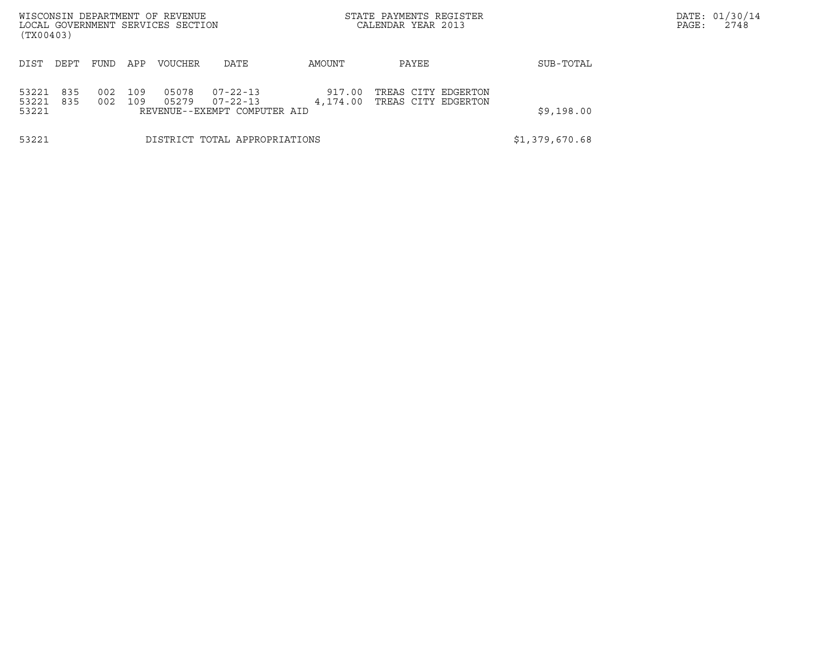| WISCONSIN DEPARTMENT OF REVENUE<br>LOCAL GOVERNMENT SERVICES SECTION<br>(TX00403) |            |            |            |                |                                                            |                    | STATE PAYMENTS REGISTER<br>CALENDAR YEAR 2013 |            | DATE: 01/30/14<br>PAGE:<br>2748 |
|-----------------------------------------------------------------------------------|------------|------------|------------|----------------|------------------------------------------------------------|--------------------|-----------------------------------------------|------------|---------------------------------|
| DIST                                                                              | DEPT       | FUND       | APP        | <b>VOUCHER</b> | DATE                                                       | AMOUNT             | PAYEE                                         | SUB-TOTAL  |                                 |
| 53221<br>53221<br>53221                                                           | 835<br>835 | 002<br>002 | 109<br>109 | 05078<br>05279 | $07 - 22 - 13$<br>07-22-13<br>REVENUE--EXEMPT COMPUTER AID | 917.00<br>4,174.00 | TREAS CITY EDGERTON<br>TREAS CITY EDGERTON    | \$9,198.00 |                                 |
| 53221                                                                             |            |            |            |                | DISTRICT TOTAL APPROPRIATIONS                              | \$1,379,670.68     |                                               |            |                                 |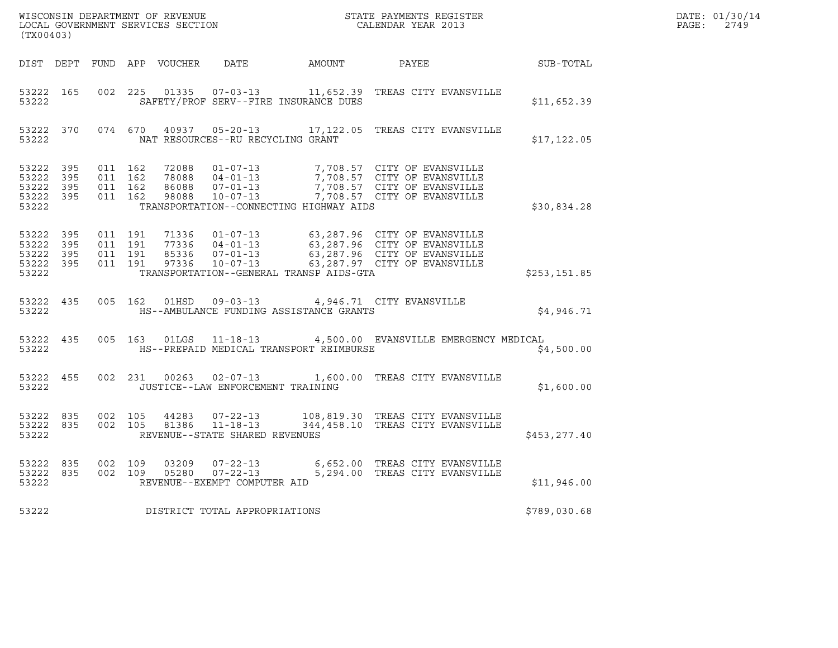| (TX00403)                                                 |     |                                          |         |       |                                                                               | $\tt WISCONSIM DEPARTMENT OF REVENUE$ $\tt WISCONSIMENTS REGISTER$<br>LOCAL GOVERNMENT SERVICES SECTION $\tt CALENDAR YEAR$ 2013                                                                 |              | DATE: 01/30/14<br>$\mathtt{PAGE:}$<br>2749 |
|-----------------------------------------------------------|-----|------------------------------------------|---------|-------|-------------------------------------------------------------------------------|--------------------------------------------------------------------------------------------------------------------------------------------------------------------------------------------------|--------------|--------------------------------------------|
|                                                           |     |                                          |         |       |                                                                               | DIST DEPT FUND APP VOUCHER DATE AMOUNT PAYEE                                                                                                                                                     | SUB-TOTAL    |                                            |
| 53222                                                     |     |                                          |         |       | SAFETY/PROF SERV--FIRE INSURANCE DUES                                         | 53222 165 002 225 01335 07-03-13 11,652.39 TREAS CITY EVANSVILLE                                                                                                                                 | \$11,652.39  |                                            |
| 53222                                                     |     |                                          |         |       | NAT RESOURCES--RU RECYCLING GRANT                                             | 53222 370 074 670 40937 05-20-13 17,122.05 TREAS CITY EVANSVILLE                                                                                                                                 | \$17, 122.05 |                                            |
| 53222 395<br>53222 395<br>53222 395<br>53222 395<br>53222 |     | 011 162<br>011 162<br>011 162<br>011 162 |         |       | TRANSPORTATION--CONNECTING HIGHWAY AIDS                                       | 72088  01-07-13  7,708.57  CITY OF EVANSVILLE<br>78088  04-01-13  7,708.57  CITY OF EVANSVILLE<br>86088  07-01-13  7,708.57  CITY OF EVANSVILLE<br>98088  10-07-13  7,708.57  CITY OF EVANSVILLE | \$30,834.28  |                                            |
| 53222 395<br>53222<br>53222 395<br>53222 395<br>53222     | 395 | 011 191<br>011 191<br>011 191<br>011 191 |         |       | TRANSPORTATION--GENERAL TRANSP AIDS-GTA                                       | 71336 01-07-13 63,287.96 CITY OF EVANSVILLE<br>77336 04-01-13 63,287.96 CITY OF EVANSVILLE<br>85336 07-01-13 63,287.96 CITY OF EVANSVILLE<br>97336 10-07-13 63,287.97 CITY OF EVANSVILLE         | \$253,151.85 |                                            |
| 53222                                                     |     |                                          |         |       | HS--AMBULANCE FUNDING ASSISTANCE GRANTS                                       | 53222 435 005 162 01HSD 09-03-13 4,946.71 CITY EVANSVILLE                                                                                                                                        | \$4,946.71   |                                            |
| 53222 435<br>53222                                        |     |                                          |         |       | HS--PREPAID MEDICAL TRANSPORT REIMBURSE                                       | 005 163 01LGS 11-18-13 4,500.00 EVANSVILLE EMERGENCY MEDICAL                                                                                                                                     | \$4,500.00   |                                            |
| 53222 455<br>53222                                        |     |                                          |         |       | JUSTICE--LAW ENFORCEMENT TRAINING                                             | 002 231 00263 02-07-13 1,600.00 TREAS CITY EVANSVILLE                                                                                                                                            | \$1,600.00   |                                            |
| 53222 835<br>53222                                        |     | 53222 835 002 105                        | 002 105 |       | 44283       07-22-13<br>81386      11-18-13<br>REVENUE--STATE SHARED REVENUES | 108,819.30 TREAS CITY EVANSVILLE<br>344,458.10 TREAS CITY EVANSVILLE                                                                                                                             | \$453,277.40 |                                            |
| 53222 835<br>53222 835<br>53222                           |     | 002 109                                  |         | 03209 | REVENUE--EXEMPT COMPUTER AID                                                  | 07-22-13 6,652.00 TREAS CITY EVANSVILLE<br>002 109 05280 07-22-13 5,294.00 TREAS CITY EVANSVILLE                                                                                                 | \$11,946.00  |                                            |
| 53222                                                     |     |                                          |         |       | DISTRICT TOTAL APPROPRIATIONS                                                 |                                                                                                                                                                                                  | \$789,030.68 |                                            |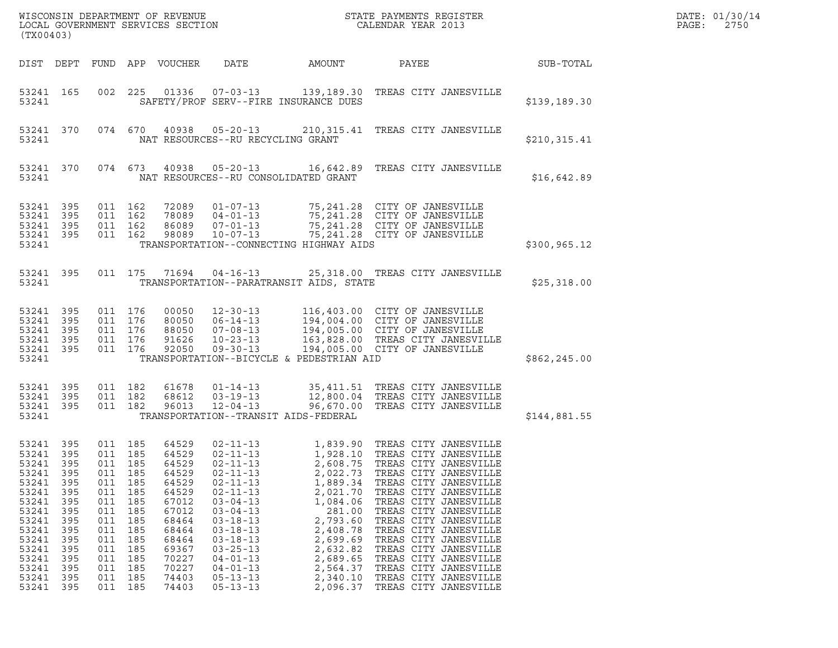| (TX00403)                                                                                                                                            |                                                                                                  |                                                                                                                          |                                                                                         |                                                                                                                                              |                                                                                                                                                                                                                                                                                              |                                                                                                                                                                                                           |                                                                                                                                                                                                                                                                                                                                                                                                                                |               | DATE: 01/30/14<br>$\mathtt{PAGE}$ :<br>2750 |
|------------------------------------------------------------------------------------------------------------------------------------------------------|--------------------------------------------------------------------------------------------------|--------------------------------------------------------------------------------------------------------------------------|-----------------------------------------------------------------------------------------|----------------------------------------------------------------------------------------------------------------------------------------------|----------------------------------------------------------------------------------------------------------------------------------------------------------------------------------------------------------------------------------------------------------------------------------------------|-----------------------------------------------------------------------------------------------------------------------------------------------------------------------------------------------------------|--------------------------------------------------------------------------------------------------------------------------------------------------------------------------------------------------------------------------------------------------------------------------------------------------------------------------------------------------------------------------------------------------------------------------------|---------------|---------------------------------------------|
|                                                                                                                                                      |                                                                                                  |                                                                                                                          |                                                                                         | DIST DEPT FUND APP VOUCHER                                                                                                                   | DATE                                                                                                                                                                                                                                                                                         | AMOUNT                                                                                                                                                                                                    | PAYEE                                                                                                                                                                                                                                                                                                                                                                                                                          | SUB-TOTAL     |                                             |
| 53241                                                                                                                                                | 53241 165                                                                                        |                                                                                                                          |                                                                                         |                                                                                                                                              | 002 225 01336 07-03-13                                                                                                                                                                                                                                                                       | SAFETY/PROF SERV--FIRE INSURANCE DUES                                                                                                                                                                     | 139,189.30 TREAS CITY JANESVILLE                                                                                                                                                                                                                                                                                                                                                                                               | \$139,189.30  |                                             |
| 53241                                                                                                                                                | 53241 370                                                                                        |                                                                                                                          |                                                                                         |                                                                                                                                              | 074 670 40938 05-20-13<br>NAT RESOURCES--RU RECYCLING GRANT                                                                                                                                                                                                                                  |                                                                                                                                                                                                           | 210,315.41 TREAS CITY JANESVILLE                                                                                                                                                                                                                                                                                                                                                                                               | \$210, 315.41 |                                             |
| 53241                                                                                                                                                | 53241 370                                                                                        |                                                                                                                          |                                                                                         |                                                                                                                                              | NAT RESOURCES--RU CONSOLIDATED GRANT                                                                                                                                                                                                                                                         |                                                                                                                                                                                                           | 074 673 40938 05-20-13 16,642.89 TREAS CITY JANESVILLE                                                                                                                                                                                                                                                                                                                                                                         | \$16,642.89   |                                             |
| 53241 395<br>53241 395<br>53241 395<br>53241 395<br>53241                                                                                            |                                                                                                  | 011 162<br>011 162<br>011 162<br>011 162                                                                                 |                                                                                         |                                                                                                                                              |                                                                                                                                                                                                                                                                                              | 72089  01-07-13  75,241.28  CITY OF JANESVILLE<br>78089 04-01-13<br>86089 07-01-13 75,241.28 CITY OF JANESVILLE<br>98089 10-07-13 75,241.28 CITY OF JANESVILLE<br>TRANSPORTATION--CONNECTING HIGHWAY AIDS | \$300, 965.12                                                                                                                                                                                                                                                                                                                                                                                                                  |               |                                             |
| 53241                                                                                                                                                | 53241 395                                                                                        | 011 175                                                                                                                  |                                                                                         | 71694                                                                                                                                        | $04 - 16 - 13$                                                                                                                                                                                                                                                                               | 25,318.00 TREAS CITY JANESVILLE<br>TRANSPORTATION--PARATRANSIT AIDS, STATE                                                                                                                                | \$25,318.00                                                                                                                                                                                                                                                                                                                                                                                                                    |               |                                             |
| 53241 395<br>53241 395<br>53241 395<br>53241 395<br>53241 395<br>53241                                                                               |                                                                                                  | 011 176<br>011 176<br>011 176<br>011 176                                                                                 | 011 176                                                                                 | 00050<br>80050<br>88050<br>91626<br>92050                                                                                                    | 12-30-13<br>06-14-13<br>07-08-13<br>10-23-13<br>09-30-13                                                                                                                                                                                                                                     | TRANSPORTATION--BICYCLE & PEDESTRIAN AID                                                                                                                                                                  | 116,403.00 CITY OF JANESVILLE<br>194,004.00 CITY OF JANESVILLE<br>194,005.00 CITY OF JANESVILLE<br>163,828.00 TREAS CITY JANESVILLE<br>194,005.00 CITY OF JANESVILLE                                                                                                                                                                                                                                                           | \$862, 245.00 |                                             |
| 53241 395<br>53241 395<br>53241 395<br>53241                                                                                                         |                                                                                                  | 011 182<br>011 182<br>011 182                                                                                            |                                                                                         | 61678<br>68612<br>96013                                                                                                                      | $01 - 14 - 13$<br>$03 - 19 - 13$<br>$12 - 04 - 13$                                                                                                                                                                                                                                           | TRANSPORTATION--TRANSIT AIDS-FEDERAL                                                                                                                                                                      | 35,411.51 TREAS CITY JANESVILLE<br>12,800.04 TREAS CITY JANESVILLE<br>96,670.00 TREAS CITY JANESVILLE                                                                                                                                                                                                                                                                                                                          | \$144,881.55  |                                             |
| 53241 395<br>53241 395<br>53241<br>53241<br>53241<br>53241<br>53241<br>53241<br>53241<br>53241<br>53241<br>53241<br>53241<br>53241<br>53241<br>53241 | 395<br>395<br>395<br>395<br>395<br>395<br>395<br>395<br>395<br>395<br>395<br>395<br>395<br>- 395 | 011 185<br>011 185<br>011<br>011<br>011<br>011<br>011<br>011<br>011<br>011<br>011<br>011<br>011<br>011<br>011<br>011 185 | 185<br>185<br>185<br>185<br>185<br>185<br>185<br>185<br>185<br>185<br>185<br>185<br>185 | 64529<br>64529<br>64529<br>64529<br>64529<br>64529<br>67012<br>67012<br>68464<br>68464<br>68464<br>69367<br>70227<br>70227<br>74403<br>74403 | $02 - 11 - 13$<br>$02 - 11 - 13$<br>$02 - 11 - 13$<br>$02 - 11 - 13$<br>$02 - 11 - 13$<br>$02 - 11 - 13$<br>$03 - 04 - 13$<br>$03 - 04 - 13$<br>$03 - 18 - 13$<br>$03 - 18 - 13$<br>$03 - 18 - 13$<br>$03 - 25 - 13$<br>$04 - 01 - 13$<br>$04 - 01 - 13$<br>$05 - 13 - 13$<br>$05 - 13 - 13$ | 2,608.75<br>2,022.73<br>1,889.34<br>2,021.70<br>1,084.06<br>281.00<br>2,793.60<br>2,408.78<br>2,699.69<br>2,632.82<br>2,689.65<br>2,564.37<br>2,340.10<br>2,096.37                                        | 1,839.90 TREAS CITY JANESVILLE<br>1,928.10 TREAS CITY JANESVILLE<br>TREAS CITY JANESVILLE<br>TREAS CITY JANESVILLE<br>TREAS CITY JANESVILLE<br>TREAS CITY JANESVILLE<br>TREAS CITY JANESVILLE<br>TREAS CITY JANESVILLE<br>TREAS CITY JANESVILLE<br>TREAS CITY JANESVILLE<br>TREAS CITY JANESVILLE<br>TREAS CITY JANESVILLE<br>TREAS CITY JANESVILLE<br>TREAS CITY JANESVILLE<br>TREAS CITY JANESVILLE<br>TREAS CITY JANESVILLE |               |                                             |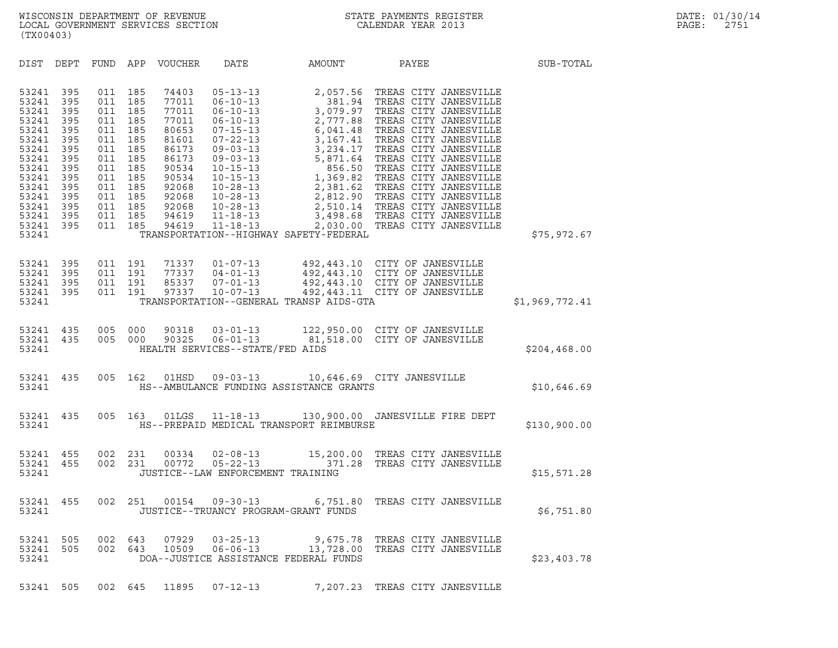| (TX00403)                                                                                                                                    |                                                                                                       |                                                                                                       |                                                                                                       |                                                                                                                                     |                                                                                                                                                                                                                                                                      |                                                                                                              |                                                                                                                                                                                                                                                                                                                                                                                                                                                      |                |  |
|----------------------------------------------------------------------------------------------------------------------------------------------|-------------------------------------------------------------------------------------------------------|-------------------------------------------------------------------------------------------------------|-------------------------------------------------------------------------------------------------------|-------------------------------------------------------------------------------------------------------------------------------------|----------------------------------------------------------------------------------------------------------------------------------------------------------------------------------------------------------------------------------------------------------------------|--------------------------------------------------------------------------------------------------------------|------------------------------------------------------------------------------------------------------------------------------------------------------------------------------------------------------------------------------------------------------------------------------------------------------------------------------------------------------------------------------------------------------------------------------------------------------|----------------|--|
| DIST                                                                                                                                         | DEPT                                                                                                  | FUND APP                                                                                              |                                                                                                       | VOUCHER                                                                                                                             | DATE                                                                                                                                                                                                                                                                 | <b>AMOUNT</b>                                                                                                | PAYEE                                                                                                                                                                                                                                                                                                                                                                                                                                                | SUB-TOTAL      |  |
| 53241<br>53241<br>53241<br>53241<br>53241<br>53241<br>53241<br>53241<br>53241<br>53241<br>53241<br>53241<br>53241<br>53241<br>53241<br>53241 | 395<br>395<br>395<br>395<br>395<br>395<br>395<br>395<br>395<br>395<br>395<br>395<br>395<br>395<br>395 | 011<br>011<br>011<br>011<br>011<br>011<br>011<br>011<br>011<br>011<br>011<br>011<br>011<br>011<br>011 | 185<br>185<br>185<br>185<br>185<br>185<br>185<br>185<br>185<br>185<br>185<br>185<br>185<br>185<br>185 | 74403<br>77011<br>77011<br>77011<br>80653<br>81601<br>86173<br>86173<br>90534<br>90534<br>92068<br>92068<br>92068<br>94619<br>94619 | $05 - 13 - 13$<br>$06 - 10 - 13$<br>$06 - 10 - 13$<br>$06 - 10 - 13$<br>$07 - 15 - 13$<br>$07 - 22 - 13$<br>$09 - 03 - 13$<br>$09 - 03 - 13$<br>$10 - 15 - 13$<br>$10 - 15 - 13$<br>$10 - 28 - 13$<br>$10 - 28 - 13$<br>$10 - 28 - 13$<br>$11 - 18 - 13$<br>11-18-13 | 2,057.56<br>381.94<br>3,079.97<br>3,167.41<br>3,234.17<br>5,871.64<br>TRANSPORTATION--HIGHWAY SAFETY-FEDERAL | TREAS CITY JANESVILLE<br>TREAS CITY JANESVILLE<br>TREAS CITY JANESVILLE<br>2,777.88 TREAS CITY JANESVILLE<br>6,041.48 TREAS CITY JANESVILLE<br>TREAS CITY JANESVILLE<br>TREAS CITY JANESVILLE<br>5,871.64 TREAS CITY JANESVILLE<br>856.50 TREAS CITY JANESVILLE<br>1,369.82 TREAS CITY JANESVILLE<br>2,381.62 TREAS CITY JANESVILLE<br>2,812.90 TREAS CITY JANESVILLE<br>2,510.14 TREAS CITY JANESVILLE<br>3,498.68 TREAS CITY JANESVILLE<br>2,030.0 | \$75,972.67    |  |
| 53241<br>53241<br>53241<br>53241<br>53241                                                                                                    | 395<br>395<br>395<br>395                                                                              | 011<br>011<br>011<br>011                                                                              | 191<br>191<br>191<br>191                                                                              | 71337<br>77337<br>85337<br>97337                                                                                                    | $01 - 07 - 13$<br>$04 - 01 - 13$<br>$07 - 01 - 13$<br>$10 - 07 - 13$                                                                                                                                                                                                 | TRANSPORTATION--GENERAL TRANSP AIDS-GTA                                                                      | 492,443.10 CITY OF JANESVILLE<br>492,443.10 CITY OF JANESVILLE<br>492,443.10 CITY OF JANESVILLE<br>492,443.11 CITY OF JANESVILLE                                                                                                                                                                                                                                                                                                                     | \$1,969,772.41 |  |
| 53241<br>53241<br>53241                                                                                                                      | 435<br>435                                                                                            | 005<br>005                                                                                            | 000<br>000                                                                                            | 90318<br>90325                                                                                                                      | $03 - 01 - 13$<br>$06 - 01 - 13$<br>HEALTH SERVICES--STATE/FED AIDS                                                                                                                                                                                                  |                                                                                                              | 122,950.00 CITY OF JANESVILLE<br>81,518.00 CITY OF JANESVILLE                                                                                                                                                                                                                                                                                                                                                                                        | \$204,468.00   |  |
| 53241<br>53241                                                                                                                               | 435                                                                                                   | 005                                                                                                   | 162                                                                                                   | 01HSD                                                                                                                               |                                                                                                                                                                                                                                                                      | HS--AMBULANCE FUNDING ASSISTANCE GRANTS                                                                      | 09-03-13 10,646.69 CITY JANESVILLE                                                                                                                                                                                                                                                                                                                                                                                                                   | \$10,646.69    |  |
| 53241<br>53241                                                                                                                               | 435                                                                                                   | 005                                                                                                   |                                                                                                       |                                                                                                                                     |                                                                                                                                                                                                                                                                      | HS--PREPAID MEDICAL TRANSPORT REIMBURSE                                                                      | 163 01LGS  11-18-13  130,900.00 JANESVILLE FIRE DEPT                                                                                                                                                                                                                                                                                                                                                                                                 | \$130,900.00   |  |
| 53241<br>53241<br>53241                                                                                                                      | 455<br>455                                                                                            | 002<br>002                                                                                            | 231<br>231                                                                                            | 00334<br>00772                                                                                                                      | $02 - 08 - 13$<br>$05 - 22 - 13$<br>JUSTICE--LAW ENFORCEMENT TRAINING                                                                                                                                                                                                | 371.28                                                                                                       | 15,200.00 TREAS CITY JANESVILLE<br>TREAS CITY JANESVILLE                                                                                                                                                                                                                                                                                                                                                                                             | \$15,571.28    |  |
| 53241<br>53241                                                                                                                               | 455                                                                                                   | 002                                                                                                   | 251                                                                                                   | 00154                                                                                                                               | $09 - 30 - 13$                                                                                                                                                                                                                                                       | 6,751.80<br>JUSTICE--TRUANCY PROGRAM-GRANT FUNDS                                                             | TREAS CITY JANESVILLE                                                                                                                                                                                                                                                                                                                                                                                                                                | \$6,751.80     |  |
| 53241 505<br>53241 505<br>53241                                                                                                              |                                                                                                       |                                                                                                       | 002 643<br>002 643                                                                                    | 07929                                                                                                                               | $03 - 25 - 13$                                                                                                                                                                                                                                                       | DOA--JUSTICE ASSISTANCE FEDERAL FUNDS                                                                        | 9,675.78 TREAS CITY JANESVILLE<br>10509  06-06-13  13,728.00 TREAS CITY JANESVILLE                                                                                                                                                                                                                                                                                                                                                                   | \$23,403.78    |  |
| 53241 505                                                                                                                                    |                                                                                                       |                                                                                                       | 002 645                                                                                               | 11895                                                                                                                               | $07 - 12 - 13$                                                                                                                                                                                                                                                       |                                                                                                              | 7,207.23 TREAS CITY JANESVILLE                                                                                                                                                                                                                                                                                                                                                                                                                       |                |  |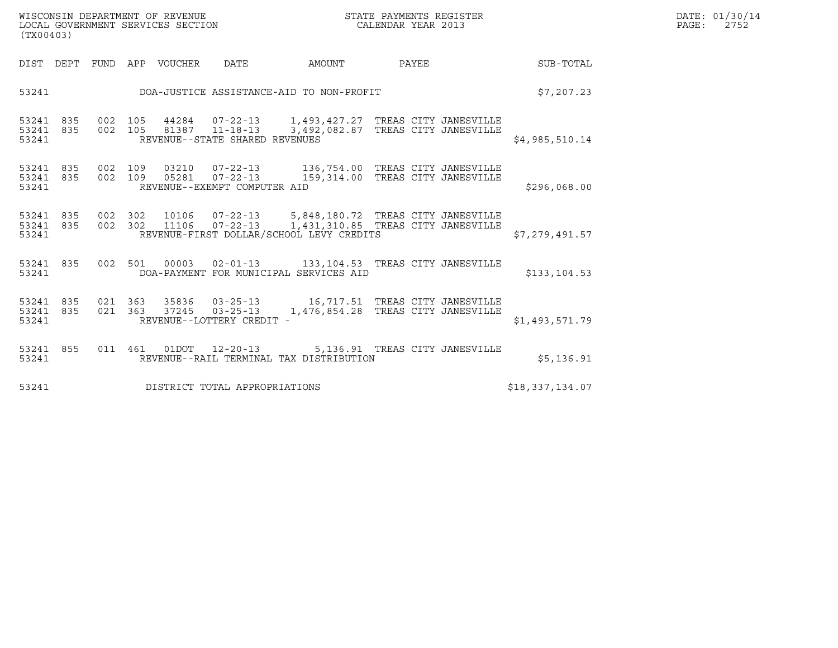| WISCONSIN DEPARTMENT OF REVENUE   | STATE PAYMENTS REGISTER | DATE: 01/30/14 |
|-----------------------------------|-------------------------|----------------|
| LOCAL GOVERNMENT SERVICES SECTION | CALENDAR YEAR 2013      | 2752<br>PAGE:  |

| (TX00403)                       |                                                                                                                                                                    |            | DATE: 01/30/14<br>PAGE:<br>2752 |  |
|---------------------------------|--------------------------------------------------------------------------------------------------------------------------------------------------------------------|------------|---------------------------------|--|
|                                 | DIST DEPT FUND APP VOUCHER  DATE           AMOUNT           PAYEE                                                                                                  |            | SUB-TOTAL                       |  |
|                                 | 53241 DOA-JUSTICE ASSISTANCE-AID TO NON-PROFIT                                                                                                                     | \$7,207.23 |                                 |  |
| 53241 835<br>53241 835<br>53241 | 002 105 44284 07-22-13 1,493,427.27 TREAS CITY JANESVILLE<br>002 105 81387 11-18-13 3,492,082.87 TREAS CITY JANESVILLE<br>REVENUE--STATE SHARED REVENUES           |            | \$4,985,510.14                  |  |
| 53241 835<br>53241 835<br>53241 | 002 109  03210  07-22-13  136,754.00 TREAS CITY JANESVILLE<br>002  109  05281  07-22-13  159,314.00 TREAS CITY JANESVILLE<br>REVENUE--EXEMPT COMPUTER AID          |            | \$296,068.00                    |  |
| 53241 835<br>53241 835<br>53241 | 002 302 10106 07-22-13 5,848,180.72 TREAS CITY JANESVILLE<br>002 302 11106 07-22-13 1,431,310.85 TREAS CITY JANESVILLE<br>REVENUE-FIRST DOLLAR/SCHOOL LEVY CREDITS |            | \$7,279,491.57                  |  |
| 53241 835<br>53241              | 002 501 00003 02-01-13 133,104.53 TREAS CITY JANESVILLE<br>DOA-PAYMENT FOR MUNICIPAL SERVICES AID                                                                  |            | \$133, 104.53                   |  |
| 53241 835<br>53241 835<br>53241 | 021 363 35836 03-25-13 16,717.51 TREAS CITY JANESVILLE<br>021 363 37245 03-25-13 1,476,854.28 TREAS CITY JANESVILLE<br>REVENUE--LOTTERY CREDIT -                   |            | \$1,493,571.79                  |  |
| 53241 855<br>53241              | 011 461 01DOT 12-20-13 5,136.91 TREAS CITY JANESVILLE<br>REVENUE--RAIL TERMINAL TAX DISTRIBUTION                                                                   |            | \$5,136.91                      |  |
| 53241                           | DISTRICT TOTAL APPROPRIATIONS                                                                                                                                      |            | \$18,337,134.07                 |  |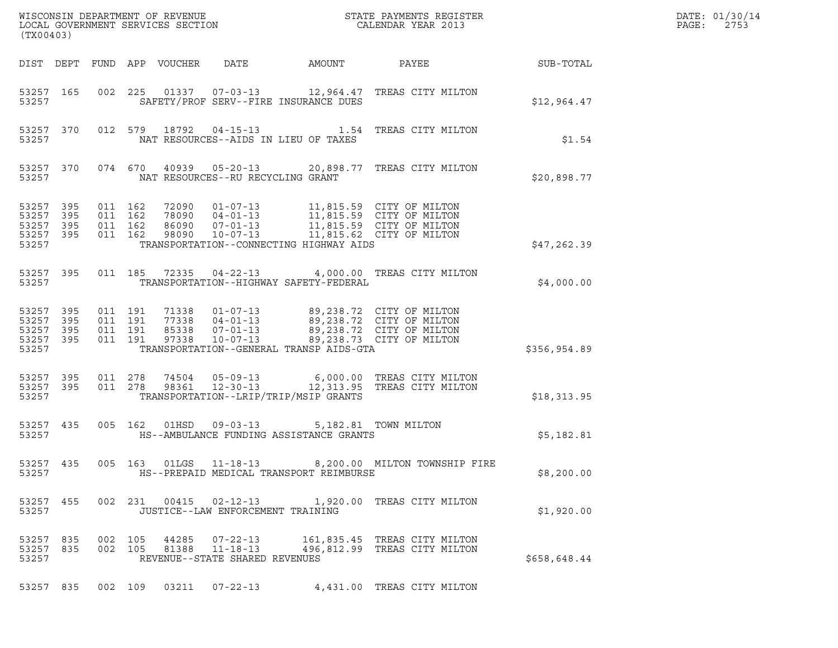| (TX00403)                                                 |  |                                          |         |                            |                                                  |                                                                                                                                     |                                                                                                                                                  |              | DATE: 01/30/14<br>PAGE:<br>2753 |
|-----------------------------------------------------------|--|------------------------------------------|---------|----------------------------|--------------------------------------------------|-------------------------------------------------------------------------------------------------------------------------------------|--------------------------------------------------------------------------------------------------------------------------------------------------|--------------|---------------------------------|
|                                                           |  |                                          |         | DIST DEPT FUND APP VOUCHER | DATE                                             | AMOUNT                                                                                                                              | PAYEE                                                                                                                                            | SUB-TOTAL    |                                 |
| 53257 165<br>53257                                        |  |                                          | 002 225 |                            |                                                  | SAFETY/PROF SERV--FIRE INSURANCE DUES                                                                                               | 01337  07-03-13  12,964.47  TREAS CITY MILTON                                                                                                    | \$12,964.47  |                                 |
| 53257 370<br>53257                                        |  |                                          |         |                            |                                                  | NAT RESOURCES--AIDS IN LIEU OF TAXES                                                                                                | 012 579 18792 04-15-13 1.54 TREAS CITY MILTON                                                                                                    | \$1.54       |                                 |
| 53257 370<br>53257                                        |  |                                          |         |                            | NAT RESOURCES--RU RECYCLING GRANT                |                                                                                                                                     | 074 670 40939 05-20-13 20,898.77 TREAS CITY MILTON                                                                                               | \$20,898.77  |                                 |
| 53257 395<br>53257 395<br>53257 395<br>53257 395<br>53257 |  | 011 162<br>011 162<br>011 162<br>011 162 |         | 98090                      | 86090 07-01-13<br>10-07-13                       | TRANSPORTATION--CONNECTING HIGHWAY AIDS                                                                                             | 72090  01-07-13  11,815.59  CITY OF MILTON<br>78090  04-01-13  11,815.59  CITY OF MILTON<br>11,815.59 CITY OF MILTON<br>11,815.62 CITY OF MILTON | \$47,262.39  |                                 |
| 53257 395<br>53257                                        |  | 011 185                                  |         | 72335                      | $04 - 22 - 13$                                   | TRANSPORTATION--HIGHWAY SAFETY-FEDERAL                                                                                              | 4,000.00 TREAS CITY MILTON                                                                                                                       | \$4,000.00   |                                 |
| 53257 395<br>53257 395<br>53257 395<br>53257 395<br>53257 |  | 011 191<br>011 191<br>011 191<br>011 191 |         | 97338                      | $10 - 07 - 13$                                   | 71338  01-07-13  89,238.72  CITY OF MILTON<br>77338  04-01-13  89,238.72  CITY OF MILTON<br>TRANSPORTATION--GENERAL TRANSP AIDS-GTA | 77338 04-01-13 89, 238. 72 CITY OF MILTON<br>85338 07-01-13 89, 238. 72 CITY OF MILTON<br>89,238.73 CITY OF MILTON                               | \$356,954.89 |                                 |
| 53257 395<br>53257 395<br>53257                           |  | 011 278<br>011 278                       |         | 74504<br>98361             | $05 - 09 - 13$<br>$12 - 30 - 13$                 | TRANSPORTATION--LRIP/TRIP/MSIP GRANTS                                                                                               | 6,000.00 TREAS CITY MILTON<br>12,313.95 TREAS CITY MILTON                                                                                        | \$18,313.95  |                                 |
| 53257 435<br>53257                                        |  | 005 162                                  |         | 01HSD                      | $09 - 03 - 13$                                   | HS--AMBULANCE FUNDING ASSISTANCE GRANTS                                                                                             | 5,182.81 TOWN MILTON                                                                                                                             | \$5,182.81   |                                 |
| 53257 435<br>53257                                        |  |                                          |         |                            |                                                  | HS--PREPAID MEDICAL TRANSPORT REIMBURSE                                                                                             | 005 163 01LGS 11-18-13 8,200.00 MILTON TOWNSHIP FIRE                                                                                             | \$8,200.00   |                                 |
| 53257 455<br>53257                                        |  |                                          |         |                            | JUSTICE--LAW ENFORCEMENT TRAINING                |                                                                                                                                     | 002 231 00415 02-12-13 1,920.00 TREAS CITY MILTON                                                                                                | \$1,920.00   |                                 |
| 53257 835<br>53257 835<br>53257                           |  | 002 105<br>002 105                       |         |                            | 81388 11-18-13<br>REVENUE--STATE SHARED REVENUES |                                                                                                                                     | 44285  07-22-13   161,835.45   TREAS CITY MILTON<br>496,812.99 TREAS CITY MILTON                                                                 | \$658,648.44 |                                 |
| 53257 835                                                 |  |                                          |         |                            | 002 109 03211 07-22-13                           |                                                                                                                                     | 4,431.00 TREAS CITY MILTON                                                                                                                       |              |                                 |